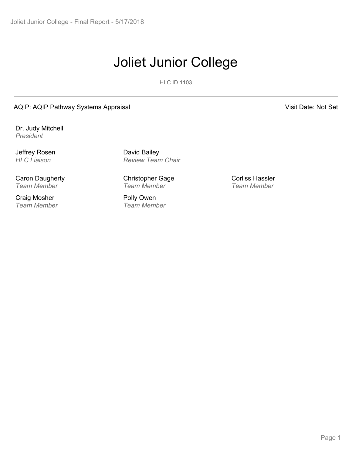# Joliet Junior College

HLC ID 1103

AQIP: AQIP Pathway Systems Appraisal Visit Date: Not Set

Dr. Judy Mitchell *President*

Jeffrey Rosen

Caron Daugherty *Team Member*

Craig Mosher *Team Member*

*HLC Liaison Review Team Chair* David Bailey

> Christopher Gage *Team Member*

Polly Owen *Team Member* Corliss Hassler *Team Member*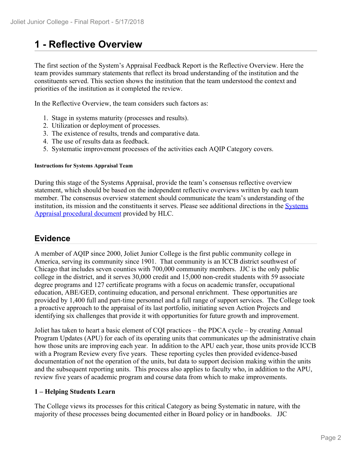## **1 - Reflective Overview**

The first section of the System's Appraisal Feedback Report is the Reflective Overview. Here the team provides summary statements that reflect its broad understanding of the institution and the constituents served. This section shows the institution that the team understood the context and priorities of the institution as it completed the review.

In the Reflective Overview, the team considers such factors as:

- 1. Stage in systems maturity (processes and results).
- 2. Utilization or deployment of processes.
- 3. The existence of results, trends and comparative data.
- 4. The use of results data as feedback.
- 5. Systematic improvement processes of the activities each AQIP Category covers.

#### **Instructions for Systems Appraisal Team**

During this stage of the Systems Appraisal, provide the team's consensus reflective overview statement, which should be based on the independent reflective overviews written by each team member. The consensus overview statement should communicate the team's understanding of the institution, its mission and the constituents it serves. Please see additional directions in the Systems Appraisal procedural document provided by HLC.

### **Evidence**

A member of AQIP since 2000, Joliet Junior College is the first public community college in America, serving its community since 1901. That community is an ICCB district southwest of Chicago that includes seven counties with 700,000 community members. JJC is the only public college in the district, and it serves 30,000 credit and 15,000 non-credit students with 59 associate degree programs and 127 certificate programs with a focus on academic transfer, occupational education, ABE/GED, continuing education, and personal enrichment. These opportunities are provided by 1,400 full and part-time personnel and a full range of support services. The College took a proactive approach to the appraisal of its last portfolio, initiating seven Action Projects and identifying six challenges that provide it with opportunities for future growth and improvement.

Joliet has taken to heart a basic element of CQI practices – the PDCA cycle – by creating Annual Program Updates (APU) for each of its operating units that communicates up the administrative chain how those units are improving each year. In addition to the APU each year, those units provide ICCB with a Program Review every five years. These reporting cycles then provided evidence-based documentation of not the operation of the units, but data to support decision making within the units and the subsequent reporting units. This process also applies to faculty who, in addition to the APU, review five years of academic program and course data from which to make improvements.

#### **1 – Helping Students Learn**

The College views its processes for this critical Category as being Systematic in nature, with the majority of these processes being documented either in Board policy or in handbooks. JJC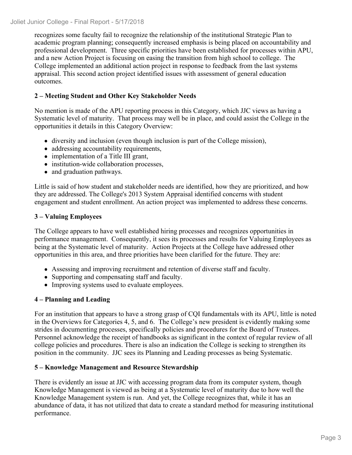recognizes some faculty fail to recognize the relationship of the institutional Strategic Plan to academic program planning; consequently increased emphasis is being placed on accountability and professional development. Three specific priorities have been established for processes within APU, and a new Action Project is focusing on easing the transition from high school to college. The College implemented an additional action project in response to feedback from the last systems appraisal. This second action project identified issues with assessment of general education outcomes.

#### **2 – Meeting Student and Other Key Stakeholder Needs**

No mention is made of the APU reporting process in this Category, which JJC views as having a Systematic level of maturity. That process may well be in place, and could assist the College in the opportunities it details in this Category Overview:

- diversity and inclusion (even though inclusion is part of the College mission),
- addressing accountability requirements,
- implementation of a Title III grant,
- institution-wide collaboration processes,
- and graduation pathways.

Little is said of how student and stakeholder needs are identified, how they are prioritized, and how they are addressed. The College's 2013 System Appraisal identified concerns with student engagement and student enrollment. An action project was implemented to address these concerns.

#### **3 – Valuing Employees**

The College appears to have well established hiring processes and recognizes opportunities in performance management. Consequently, it sees its processes and results for Valuing Employees as being at the Systematic level of maturity. Action Projects at the College have addressed other opportunities in this area, and three priorities have been clarified for the future. They are:

- Assessing and improving recruitment and retention of diverse staff and faculty.
- Supporting and compensating staff and faculty.
- Improving systems used to evaluate employees.

#### **4 – Planning and Leading**

For an institution that appears to have a strong grasp of CQI fundamentals with its APU, little is noted in the Overviews for Categories 4, 5, and 6. The College's new president is evidently making some strides in documenting processes, specifically policies and procedures for the Board of Trustees. Personnel acknowledge the receipt of handbooks as significant in the context of regular review of all college policies and procedures. There is also an indication the College is seeking to strengthen its position in the community. JJC sees its Planning and Leading processes as being Systematic.

#### **5 – Knowledge Management and Resource Stewardship**

There is evidently an issue at JJC with accessing program data from its computer system, though Knowledge Management is viewed as being at a Systematic level of maturity due to how well the Knowledge Management system is run. And yet, the College recognizes that, while it has an abundance of data, it has not utilized that data to create a standard method for measuring institutional performance.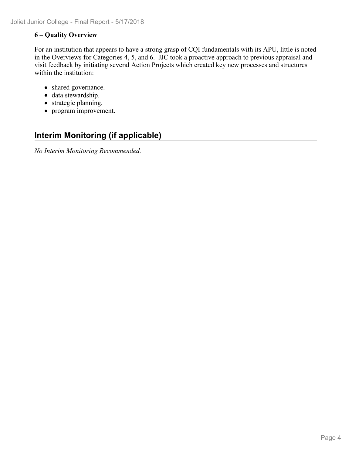#### **6 – Quality Overview**

For an institution that appears to have a strong grasp of CQI fundamentals with its APU, little is noted in the Overviews for Categories 4, 5, and 6. JJC took a proactive approach to previous appraisal and visit feedback by initiating several Action Projects which created key new processes and structures within the institution:

- shared governance.
- data stewardship.
- strategic planning.
- program improvement.

## **Interim Monitoring (if applicable)**

*No Interim Monitoring Recommended.*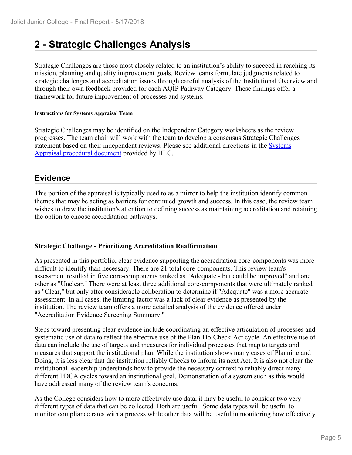## **2 - Strategic Challenges Analysis**

Strategic Challenges are those most closely related to an institution's ability to succeed in reaching its mission, planning and quality improvement goals. Review teams formulate judgments related to strategic challenges and accreditation issues through careful analysis of the Institutional Overview and through their own feedback provided for each AQIP Pathway Category. These findings offer a framework for future improvement of processes and systems.

#### **Instructions for Systems Appraisal Team**

Strategic Challenges may be identified on the Independent Category worksheets as the review progresses. The team chair will work with the team to develop a consensus Strategic Challenges statement based on their independent reviews. Please see additional directions in the **Systems** Appraisal procedural document provided by HLC.

### **Evidence**

This portion of the appraisal is typically used to as a mirror to help the institution identify common themes that may be acting as barriers for continued growth and success. In this case, the review team wishes to draw the institution's attention to defining success as maintaining accreditation and retaining the option to choose accreditation pathways.

#### **Strategic Challenge - Prioritizing Accreditation Reaffirmation**

As presented in this portfolio, clear evidence supporting the accreditation core-components was more difficult to identify than necessary. There are 21 total core-components. This review team's assessment resulted in five core-components ranked as "Adequate - but could be improved" and one other as "Unclear." There were at least three additional core-components that were ultimately ranked as "Clear," but only after considerable deliberation to determine if "Adequate" was a more accurate assessment. In all cases, the limiting factor was a lack of clear evidence as presented by the institution. The review team offers a more detailed analysis of the evidence offered under "Accreditation Evidence Screening Summary."

Steps toward presenting clear evidence include coordinating an effective articulation of processes and systematic use of data to reflect the effective use of the Plan-Do-Check-Act cycle. An effective use of data can include the use of targets and measures for individual processes that map to targets and measures that support the institutional plan. While the institution shows many cases of Planning and Doing, it is less clear that the institution reliably Checks to inform its next Act. It is also not clear the institutional leadership understands how to provide the necessary context to reliably direct many different PDCA cycles toward an institutional goal. Demonstration of a system such as this would have addressed many of the review team's concerns.

As the College considers how to more effectively use data, it may be useful to consider two very different types of data that can be collected. Both are useful. Some data types will be useful to monitor compliance rates with a process while other data will be useful in monitoring how effectively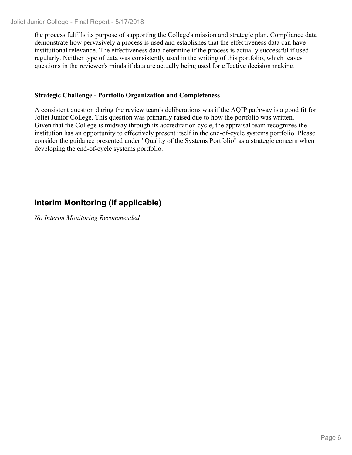the process fulfills its purpose of supporting the College's mission and strategic plan. Compliance data demonstrate how pervasively a process is used and establishes that the effectiveness data can have institutional relevance. The effectiveness data determine if the process is actually successful if used regularly. Neither type of data was consistently used in the writing of this portfolio, which leaves questions in the reviewer's minds if data are actually being used for effective decision making.

#### **Strategic Challenge - Portfolio Organization and Completeness**

A consistent question during the review team's deliberations was if the AQIP pathway is a good fit for Joliet Junior College. This question was primarily raised due to how the portfolio was written. Given that the College is midway through its accreditation cycle, the appraisal team recognizes the institution has an opportunity to effectively present itself in the end-of-cycle systems portfolio. Please consider the guidance presented under "Quality of the Systems Portfolio" as a strategic concern when developing the end-of-cycle systems portfolio.

## **Interim Monitoring (if applicable)**

*No Interim Monitoring Recommended.*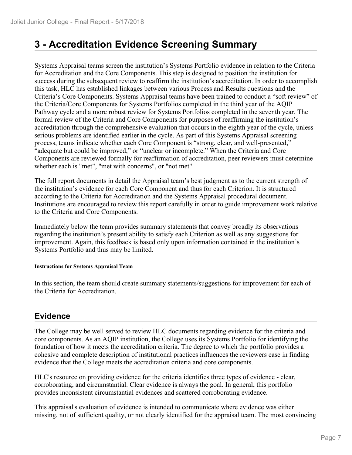## **3 - Accreditation Evidence Screening Summary**

Systems Appraisal teams screen the institution's Systems Portfolio evidence in relation to the Criteria for Accreditation and the Core Components. This step is designed to position the institution for success during the subsequent review to reaffirm the institution's accreditation. In order to accomplish this task, HLC has established linkages between various Process and Results questions and the Criteria's Core Components. Systems Appraisal teams have been trained to conduct a "soft review" of the Criteria/Core Components for Systems Portfolios completed in the third year of the AQIP Pathway cycle and a more robust review for Systems Portfolios completed in the seventh year. The formal review of the Criteria and Core Components for purposes of reaffirming the institution's accreditation through the comprehensive evaluation that occurs in the eighth year of the cycle, unless serious problems are identified earlier in the cycle. As part of this Systems Appraisal screening process, teams indicate whether each Core Component is "strong, clear, and well-presented," "adequate but could be improved," or "unclear or incomplete." When the Criteria and Core Components are reviewed formally for reaffirmation of accreditation, peer reviewers must determine whether each is "met", "met with concerns", or "not met".

The full report documents in detail the Appraisal team's best judgment as to the current strength of the institution's evidence for each Core Component and thus for each Criterion. It is structured according to the Criteria for Accreditation and the Systems Appraisal procedural document. Institutions are encouraged to review this report carefully in order to guide improvement work relative to the Criteria and Core Components.

Immediately below the team provides summary statements that convey broadly its observations regarding the institution's present ability to satisfy each Criterion as well as any suggestions for improvement. Again, this feedback is based only upon information contained in the institution's Systems Portfolio and thus may be limited.

#### **Instructions for Systems Appraisal Team**

In this section, the team should create summary statements/suggestions for improvement for each of the Criteria for Accreditation.

### **Evidence**

The College may be well served to review HLC documents regarding evidence for the criteria and core components. As an AQIP institution, the College uses its Systems Portfolio for identifying the foundation of how it meets the accreditation criteria. The degree to which the portfolio provides a cohesive and complete description of institutional practices influences the reviewers ease in finding evidence that the College meets the accreditation criteria and core components.

HLC's resource on providing evidence for the criteria identifies three types of evidence - clear, corroborating, and circumstantial. Clear evidence is always the goal. In general, this portfolio provides inconsistent circumstantial evidences and scattered corroborating evidence.

This appraisal's evaluation of evidence is intended to communicate where evidence was either missing, not of sufficient quality, or not clearly identified for the appraisal team. The most convincing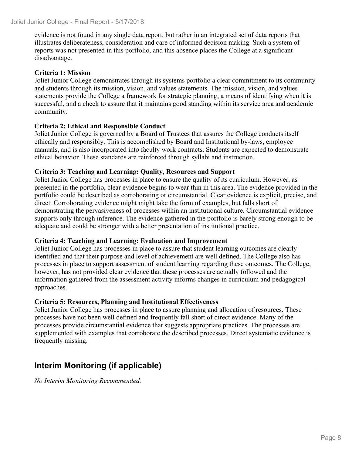evidence is not found in any single data report, but rather in an integrated set of data reports that illustrates deliberateness, consideration and care of informed decision making. Such a system of reports was not presented in this portfolio, and this absence places the College at a significant disadvantage.

#### **Criteria 1: Mission**

Joliet Junior College demonstrates through its systems portfolio a clear commitment to its community and students through its mission, vision, and values statements. The mission, vision, and values statements provide the College a framework for strategic planning, a means of identifying when it is successful, and a check to assure that it maintains good standing within its service area and academic community.

#### **Criteria 2: Ethical and Responsible Conduct**

Joliet Junior College is governed by a Board of Trustees that assures the College conducts itself ethically and responsibly. This is accomplished by Board and Institutional by-laws, employee manuals, and is also incorporated into faculty work contracts. Students are expected to demonstrate ethical behavior. These standards are reinforced through syllabi and instruction.

#### **Criteria 3: Teaching and Learning: Quality, Resources and Support**

Joliet Junior College has processes in place to ensure the quality of its curriculum. However, as presented in the portfolio, clear evidence begins to wear thin in this area. The evidence provided in the portfolio could be described as corroborating or circumstantial. Clear evidence is explicit, precise, and direct. Corroborating evidence might might take the form of examples, but falls short of demonstrating the pervasiveness of processes within an institutional culture. Circumstantial evidence supports only through inference. The evidence gathered in the portfolio is barely strong enough to be adequate and could be stronger with a better presentation of institutional practice.

#### **Criteria 4: Teaching and Learning: Evaluation and Improvement**

Joliet Junior College has processes in place to assure that student learning outcomes are clearly identified and that their purpose and level of achievement are well defined. The College also has processes in place to support assessment of student learning regarding these outcomes. The College, however, has not provided clear evidence that these processes are actually followed and the information gathered from the assessment activity informs changes in curriculum and pedagogical approaches.

#### **Criteria 5: Resources, Planning and Institutional Effectiveness**

Joliet Junior College has processes in place to assure planning and allocation of resources. These processes have not been well defined and frequently fall short of direct evidence. Many of the processes provide circumstantial evidence that suggests appropriate practices. The processes are supplemented with examples that corroborate the described processes. Direct systematic evidence is frequently missing.

## **Interim Monitoring (if applicable)**

*No Interim Monitoring Recommended.*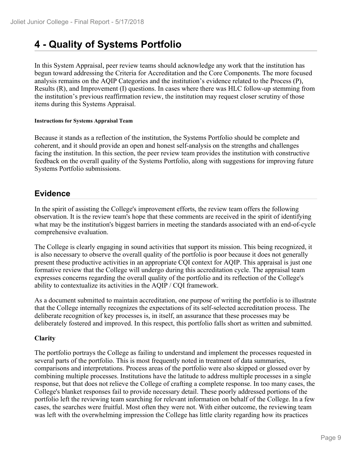## **4 - Quality of Systems Portfolio**

In this System Appraisal, peer review teams should acknowledge any work that the institution has begun toward addressing the Criteria for Accreditation and the Core Components. The more focused analysis remains on the AQIP Categories and the institution's evidence related to the Process (P), Results (R), and Improvement (I) questions. In cases where there was HLC follow-up stemming from the institution's previous reaffirmation review, the institution may request closer scrutiny of those items during this Systems Appraisal.

#### **Instructions for Systems Appraisal Team**

Because it stands as a reflection of the institution, the Systems Portfolio should be complete and coherent, and it should provide an open and honest self-analysis on the strengths and challenges facing the institution. In this section, the peer review team provides the institution with constructive feedback on the overall quality of the Systems Portfolio, along with suggestions for improving future Systems Portfolio submissions.

## **Evidence**

In the spirit of assisting the College's improvement efforts, the review team offers the following observation. It is the review team's hope that these comments are received in the spirit of identifying what may be the institution's biggest barriers in meeting the standards associated with an end-of-cycle comprehensive evaluation.

The College is clearly engaging in sound activities that support its mission. This being recognized, it is also necessary to observe the overall quality of the portfolio is poor because it does not generally present these productive activities in an appropriate CQI context for AQIP. This appraisal is just one formative review that the College will undergo during this accreditation cycle. The appraisal team expresses concerns regarding the overall quality of the portfolio and its reflection of the College's ability to contextualize its activities in the AQIP / CQI framework.

As a document submitted to maintain accreditation, one purpose of writing the portfolio is to illustrate that the College internally recognizes the expectations of its self-selected accreditation process. The deliberate recognition of key processes is, in itself, an assurance that these processes may be deliberately fostered and improved. In this respect, this portfolio falls short as written and submitted.

#### **Clarity**

The portfolio portrays the College as failing to understand and implement the processes requested in several parts of the portfolio. This is most frequently noted in treatment of data summaries, comparisons and interpretations. Process areas of the portfolio were also skipped or glossed over by combining multiple processes. Institutions have the latitude to address multiple processes in a single response, but that does not relieve the College of crafting a complete response. In too many cases, the College's blanket responses fail to provide necessary detail. These poorly addressed portions of the portfolio left the reviewing team searching for relevant information on behalf of the College. In a few cases, the searches were fruitful. Most often they were not. With either outcome, the reviewing team was left with the overwhelming impression the College has little clarity regarding how its practices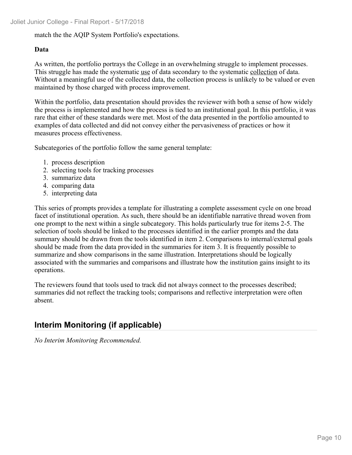#### match the the AQIP System Portfolio's expectations.

#### **Data**

As written, the portfolio portrays the College in an overwhelming struggle to implement processes. This struggle has made the systematic use of data secondary to the systematic collection of data. Without a meaningful use of the collected data, the collection process is unlikely to be valued or even maintained by those charged with process improvement.

Within the portfolio, data presentation should provides the reviewer with both a sense of how widely the process is implemented and how the process is tied to an institutional goal. In this portfolio, it was rare that either of these standards were met. Most of the data presented in the portfolio amounted to examples of data collected and did not convey either the pervasiveness of practices or how it measures process effectiveness.

Subcategories of the portfolio follow the same general template:

- 1. process description
- 2. selecting tools for tracking processes
- 3. summarize data
- 4. comparing data
- 5. interpreting data

This series of prompts provides a template for illustrating a complete assessment cycle on one broad facet of institutional operation. As such, there should be an identifiable narrative thread woven from one prompt to the next within a single subcategory. This holds particularly true for items 2-5. The selection of tools should be linked to the processes identified in the earlier prompts and the data summary should be drawn from the tools identified in item 2. Comparisons to internal/external goals should be made from the data provided in the summaries for item 3. It is frequently possible to summarize and show comparisons in the same illustration. Interpretations should be logically associated with the summaries and comparisons and illustrate how the institution gains insight to its operations.

The reviewers found that tools used to track did not always connect to the processes described; summaries did not reflect the tracking tools; comparisons and reflective interpretation were often absent.

## **Interim Monitoring (if applicable)**

*No Interim Monitoring Recommended.*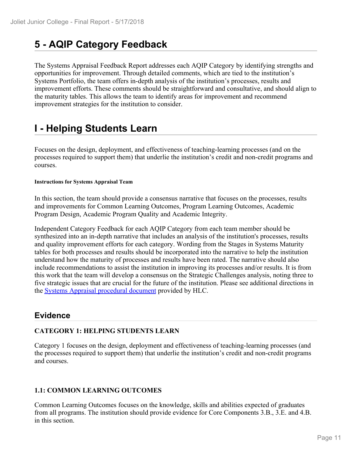## **5 - AQIP Category Feedback**

The Systems Appraisal Feedback Report addresses each AQIP Category by identifying strengths and opportunities for improvement. Through detailed comments, which are tied to the institution's Systems Portfolio, the team offers in-depth analysis of the institution's processes, results and improvement efforts. These comments should be straightforward and consultative, and should align to the maturity tables. This allows the team to identify areas for improvement and recommend improvement strategies for the institution to consider.

## **I - Helping Students Learn**

Focuses on the design, deployment, and effectiveness of teaching-learning processes (and on the processes required to support them) that underlie the institution's credit and non-credit programs and courses.

#### **Instructions for Systems Appraisal Team**

In this section, the team should provide a consensus narrative that focuses on the processes, results and improvements for Common Learning Outcomes, Program Learning Outcomes, Academic Program Design, Academic Program Quality and Academic Integrity.

Independent Category Feedback for each AQIP Category from each team member should be synthesized into an in-depth narrative that includes an analysis of the institution's processes, results and quality improvement efforts for each category. Wording from the Stages in Systems Maturity tables for both processes and results should be incorporated into the narrative to help the institution understand how the maturity of processes and results have been rated. The narrative should also include recommendations to assist the institution in improving its processes and/or results. It is from this work that the team will develop a consensus on the Strategic Challenges analysis, noting three to five strategic issues that are crucial for the future of the institution. Please see additional directions in the Systems Appraisal procedural document provided by HLC.

### **Evidence**

#### **CATEGORY 1: HELPING STUDENTS LEARN**

Category 1 focuses on the design, deployment and effectiveness of teaching-learning processes (and the processes required to support them) that underlie the institution's credit and non-credit programs and courses.

#### **1.1: COMMON LEARNING OUTCOMES**

Common Learning Outcomes focuses on the knowledge, skills and abilities expected of graduates from all programs. The institution should provide evidence for Core Components 3.B., 3.E. and 4.B. in this section.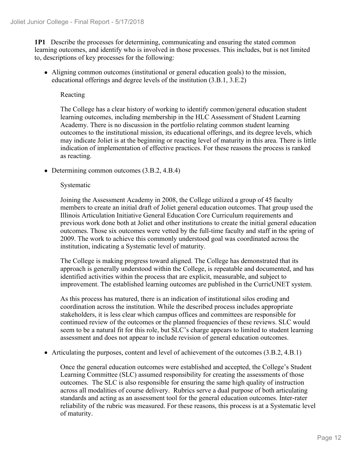**1P1** Describe the processes for determining, communicating and ensuring the stated common learning outcomes, and identify who is involved in those processes. This includes, but is not limited to, descriptions of key processes for the following:

Aligning common outcomes (institutional or general education goals) to the mission, educational offerings and degree levels of the institution (3.B.1, 3.E.2)

#### Reacting

The College has a clear history of working to identify common/general education student learning outcomes, including membership in the HLC Assessment of Student Learning Academy. There is no discussion in the portfolio relating common student learning outcomes to the institutional mission, its educational offerings, and its degree levels, which may indicate Joliet is at the beginning or reacting level of maturity in this area. There is little indication of implementation of effective practices. For these reasons the process is ranked as reacting.

• Determining common outcomes (3.B.2, 4.B.4)

#### Systematic

Joining the Assessment Academy in 2008, the College utilized a group of 45 faculty members to create an initial draft of Joliet general education outcomes. That group used the Illinois Articulation Initiative General Education Core Curriculum requirements and previous work done both at Joliet and other institutions to create the initial general education outcomes. Those six outcomes were vetted by the full-time faculty and staff in the spring of 2009. The work to achieve this commonly understood goal was coordinated across the institution, indicating a Systematic level of maturity.

The College is making progress toward aligned. The College has demonstrated that its approach is generally understood within the College, is repeatable and documented, and has identified activities within the process that are explicit, measurable, and subject to improvement. The established learning outcomes are published in the CurricUNET system.

As this process has matured, there is an indication of institutional silos eroding and coordination across the institution. While the described process includes appropriate stakeholders, it is less clear which campus offices and committees are responsible for continued review of the outcomes or the planned frequencies of these reviews. SLC would seem to be a natural fit for this role, but SLC's charge appears to limited to student learning assessment and does not appear to include revision of general education outcomes.

Articulating the purposes, content and level of achievement of the outcomes (3.B.2, 4.B.1)

Once the general education outcomes were established and accepted, the College's Student Learning Committee (SLC) assumed responsibility for creating the assessments of those outcomes. The SLC is also responsible for ensuring the same high quality of instruction across all modalities of course delivery. Rubrics serve a dual purpose of both articulating standards and acting as an assessment tool for the general education outcomes. Inter-rater reliability of the rubric was measured. For these reasons, this process is at a Systematic level of maturity.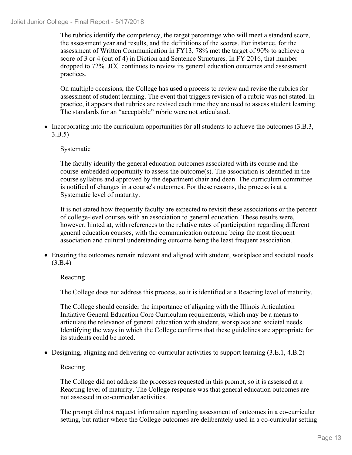The rubrics identify the competency, the target percentage who will meet a standard score, the assessment year and results, and the definitions of the scores. For instance, for the assessment of Written Communication in FY13, 78% met the target of 90% to achieve a score of 3 or 4 (out of 4) in Diction and Sentence Structures. In FY 2016, that number dropped to 72%. JCC continues to review its general education outcomes and assessment practices.

On multiple occasions, the College has used a process to review and revise the rubrics for assessment of student learning. The event that triggers revision of a rubric was not stated. In practice, it appears that rubrics are revised each time they are used to assess student learning. The standards for an "acceptable" rubric were not articulated.

• Incorporating into the curriculum opportunities for all students to achieve the outcomes (3.B.3, 3.B.5)

#### Systematic

The faculty identify the general education outcomes associated with its course and the course-embedded opportunity to assess the outcome $(s)$ . The association is identified in the course syllabus and approved by the department chair and dean. The curriculum committee is notified of changes in a course's outcomes. For these reasons, the process is at a Systematic level of maturity.

It is not stated how frequently faculty are expected to revisit these associations or the percent of college-level courses with an association to general education. These results were, however, hinted at, with references to the relative rates of participation regarding different general education courses, with the communication outcome being the most frequent association and cultural understanding outcome being the least frequent association.

Ensuring the outcomes remain relevant and aligned with student, workplace and societal needs (3.B.4)

#### Reacting

The College does not address this process, so it is identified at a Reacting level of maturity.

The College should consider the importance of aligning with the Illinois Articulation Initiative General Education Core Curriculum requirements, which may be a means to articulate the relevance of general education with student, workplace and societal needs. Identifying the ways in which the College confirms that these guidelines are appropriate for its students could be noted.

Designing, aligning and delivering co-curricular activities to support learning (3.E.1, 4.B.2)

#### Reacting

The College did not address the processes requested in this prompt, so it is assessed at a Reacting level of maturity. The College response was that general education outcomes are not assessed in co-curricular activities.

The prompt did not request information regarding assessment of outcomes in a co-curricular setting, but rather where the College outcomes are deliberately used in a co-curricular setting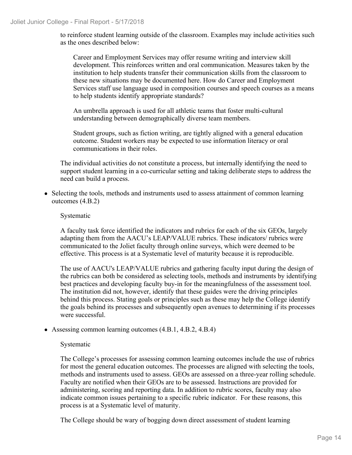to reinforce student learning outside of the classroom. Examples may include activities such as the ones described below:

Career and Employment Services may offer resume writing and interview skill development. This reinforces written and oral communication. Measures taken by the institution to help students transfer their communication skills from the classroom to these new situations may be documented here. How do Career and Employment Services staff use language used in composition courses and speech courses as a means to help students identify appropriate standards?

An umbrella approach is used for all athletic teams that foster multi-cultural understanding between demographically diverse team members.

Student groups, such as fiction writing, are tightly aligned with a general education outcome. Student workers may be expected to use information literacy or oral communications in their roles.

The individual activities do not constitute a process, but internally identifying the need to support student learning in a co-curricular setting and taking deliberate steps to address the need can build a process.

• Selecting the tools, methods and instruments used to assess attainment of common learning outcomes (4.B.2)

#### Systematic

A faculty task force identified the indicators and rubrics for each of the six GEOs, largely adapting them from the AACU's LEAP/VALUE rubrics. These indicators/ rubrics were communicated to the Joliet faculty through online surveys, which were deemed to be effective. This process is at a Systematic level of maturity because it is reproducible.

The use of AACU's LEAP/VALUE rubrics and gathering faculty input during the design of the rubrics can both be considered as selecting tools, methods and instruments by identifying best practices and developing faculty buy-in for the meaningfulness of the assessment tool. The institution did not, however, identify that these guides were the driving principles behind this process. Stating goals or principles such as these may help the College identify the goals behind its processes and subsequently open avenues to determining if its processes were successful.

Assessing common learning outcomes (4.B.1, 4.B.2, 4.B.4)

#### Systematic

The College's processes for assessing common learning outcomes include the use of rubrics for most the general education outcomes. The processes are aligned with selecting the tools, methods and instruments used to assess. GEOs are assessed on a three-year rolling schedule. Faculty are notified when their GEOs are to be assessed. Instructions are provided for administering, scoring and reporting data. In addition to rubric scores, faculty may also indicate common issues pertaining to a specific rubric indicator. For these reasons, this process is at a Systematic level of maturity.

The College should be wary of bogging down direct assessment of student learning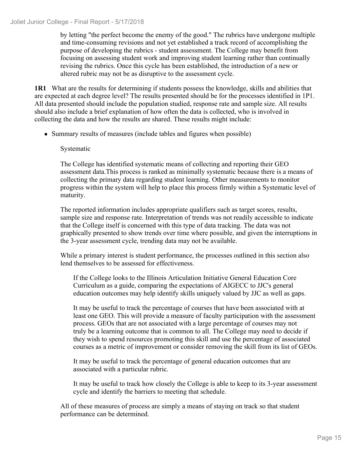by letting "the perfect become the enemy of the good." The rubrics have undergone multiple and time-consuming revisions and not yet established a track record of accomplishing the purpose of developing the rubrics - student assessment. The College may benefit from focusing on assessing student work and improving student learning rather than continually revising the rubrics. Once this cycle has been established, the introduction of a new or altered rubric may not be as disruptive to the assessment cycle.

**1R1** What are the results for determining if students possess the knowledge, skills and abilities that are expected at each degree level? The results presented should be for the processes identified in 1P1. All data presented should include the population studied, response rate and sample size. All results should also include a brief explanation of how often the data is collected, who is involved in collecting the data and how the results are shared. These results might include:

• Summary results of measures (include tables and figures when possible)

#### Systematic

The College has identified systematic means of collecting and reporting their GEO assessment data.This process is ranked as minimally systematic because there is a means of collecting the primary data regarding student learning. Other measurements to monitor progress within the system will help to place this process firmly within a Systematic level of maturity.

The reported information includes appropriate qualifiers such as target scores, results, sample size and response rate. Interpretation of trends was not readily accessible to indicate that the College itself is concerned with this type of data tracking. The data was not graphically presented to show trends over time where possible, and given the interruptions in the 3-year assessment cycle, trending data may not be available.

While a primary interest is student performance, the processes outlined in this section also lend themselves to be assessed for effectiveness.

If the College looks to the Illinois Articulation Initiative General Education Core Curriculum as a guide, comparing the expectations of AIGECC to JJC's general education outcomes may help identify skills uniquely valued by JJC as well as gaps.

It may be useful to track the percentage of courses that have been associated with at least one GEO. This will provide a measure of faculty participation with the assessment process. GEOs that are not associated with a large percentage of courses may not truly be a learning outcome that is common to all. The College may need to decide if they wish to spend resources promoting this skill and use the percentage of associated courses as a metric of improvement or consider removing the skill from its list of GEOs.

It may be useful to track the percentage of general education outcomes that are associated with a particular rubric.

It may be useful to track how closely the College is able to keep to its 3-year assessment cycle and identify the barriers to meeting that schedule.

All of these measures of process are simply a means of staying on track so that student performance can be determined.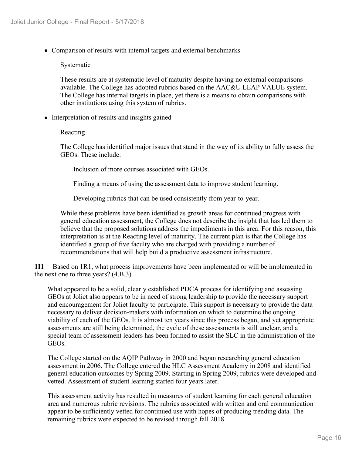Comparison of results with internal targets and external benchmarks

#### Systematic

These results are at systematic level of maturity despite having no external comparisons available. The College has adopted rubrics based on the AAC&U LEAP VALUE system. The College has internal targets in place, yet there is a means to obtain comparisons with other institutions using this system of rubrics.

• Interpretation of results and insights gained

#### Reacting

The College has identified major issues that stand in the way of its ability to fully assess the GEOs. These include:

Inclusion of more courses associated with GEOs.

Finding a means of using the assessment data to improve student learning.

Developing rubrics that can be used consistently from year-to-year.

While these problems have been identified as growth areas for continued progress with general education assessment, the College does not describe the insight that has led them to believe that the proposed solutions address the impediments in this area. For this reason, this interpretation is at the Reacting level of maturity. The current plan is that the College has identified a group of five faculty who are charged with providing a number of recommendations that will help build a productive assessment infrastructure.

**1I1** Based on 1R1, what process improvements have been implemented or will be implemented in the next one to three years? (4.B.3)

What appeared to be a solid, clearly established PDCA process for identifying and assessing GEOs at Joliet also appears to be in need of strong leadership to provide the necessary support and encouragement for Joliet faculty to participate. This support is necessary to provide the data necessary to deliver decision-makers with information on which to determine the ongoing viability of each of the GEOs. It is almost ten years since this process began, and yet appropriate assessments are still being determined, the cycle of these assessments is still unclear, and a special team of assessment leaders has been formed to assist the SLC in the administration of the GEOs.

The College started on the AQIP Pathway in 2000 and began researching general education assessment in 2006. The College entered the HLC Assessment Academy in 2008 and identified general education outcomes by Spring 2009. Starting in Spring 2009, rubrics were developed and vetted. Assessment of student learning started four years later.

This assessment activity has resulted in measures of student learning for each general education area and numerous rubric revisions. The rubrics associated with written and oral communication appear to be sufficiently vetted for continued use with hopes of producing trending data. The remaining rubrics were expected to be revised through fall 2018.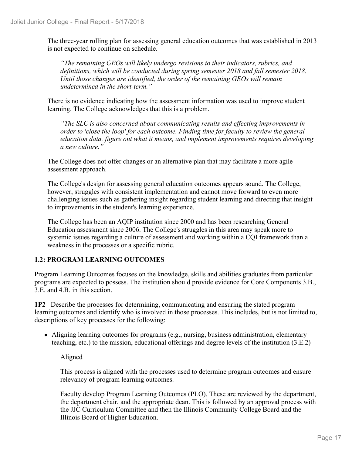The three-year rolling plan for assessing general education outcomes that was established in 2013 is not expected to continue on schedule.

*"The remaining GEOs will likely undergo revisions to their indicators, rubrics, and definitions, which will be conducted during spring semester 2018 and fall semester 2018. Until those changes are identified, the order of the remaining GEOs will remain undetermined in the short-term."*

There is no evidence indicating how the assessment information was used to improve student learning. The College acknowledges that this is a problem.

*"The SLC is also concerned about communicating results and effecting improvements in order to 'close the loop' for each outcome. Finding time for faculty to review the general education data, figure out what it means, and implement improvements requires developing a new culture."* 

The College does not offer changes or an alternative plan that may facilitate a more agile assessment approach.

The College's design for assessing general education outcomes appears sound. The College, however, struggles with consistent implementation and cannot move forward to even more challenging issues such as gathering insight regarding student learning and directing that insight to improvements in the student's learning experience.

The College has been an AQIP institution since 2000 and has been researching General Education assessment since 2006. The College's struggles in this area may speak more to systemic issues regarding a culture of assessment and working within a CQI framework than a weakness in the processes or a specific rubric.

#### **1.2: PROGRAM LEARNING OUTCOMES**

Program Learning Outcomes focuses on the knowledge, skills and abilities graduates from particular programs are expected to possess. The institution should provide evidence for Core Components 3.B., 3.E. and 4.B. in this section.

**1P2** Describe the processes for determining, communicating and ensuring the stated program learning outcomes and identify who is involved in those processes. This includes, but is not limited to, descriptions of key processes for the following:

Aligning learning outcomes for programs (e.g., nursing, business administration, elementary teaching, etc.) to the mission, educational offerings and degree levels of the institution (3.E.2)

Aligned

This process is aligned with the processes used to determine program outcomes and ensure relevancy of program learning outcomes.

Faculty develop Program Learning Outcomes (PLO). These are reviewed by the department, the department chair, and the appropriate dean. This is followed by an approval process with the JJC Curriculum Committee and then the Illinois Community College Board and the Illinois Board of Higher Education.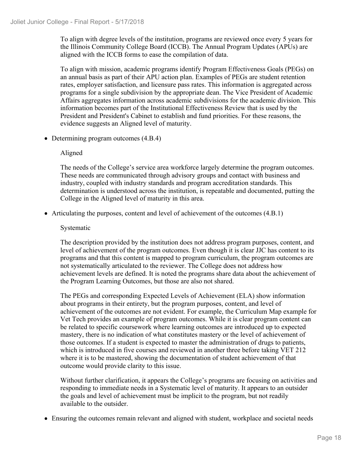To align with degree levels of the institution, programs are reviewed once every 5 years for the Illinois Community College Board (ICCB). The Annual Program Updates (APUs) are aligned with the ICCB forms to ease the compilation of data.

To align with mission, academic programs identify Program Effectiveness Goals (PEGs) on an annual basis as part of their APU action plan. Examples of PEGs are student retention rates, employer satisfaction, and licensure pass rates. This information is aggregated across programs for a single subdivision by the appropriate dean. The Vice President of Academic Affairs aggregates information across academic subdivisions for the academic division. This information becomes part of the Institutional Effectiveness Review that is used by the President and President's Cabinet to establish and fund priorities. For these reasons, the evidence suggests an Aligned level of maturity.

• Determining program outcomes  $(4.B.4)$ 

#### Aligned

The needs of the College's service area workforce largely determine the program outcomes. These needs are communicated through advisory groups and contact with business and industry, coupled with industry standards and program accreditation standards. This determination is understood across the institution, is repeatable and documented, putting the College in the Aligned level of maturity in this area.

Articulating the purposes, content and level of achievement of the outcomes (4.B.1)

#### Systematic

The description provided by the institution does not address program purposes, content, and level of achievement of the program outcomes. Even though it is clear JJC has content to its programs and that this content is mapped to program curriculum, the program outcomes are not systematically articulated to the reviewer. The College does not address how achievement levels are defined. It is noted the programs share data about the achievement of the Program Learning Outcomes, but those are also not shared.

The PEGs and corresponding Expected Levels of Achievement (ELA) show information about programs in their entirety, but the program purposes, content, and level of achievement of the outcomes are not evident. For example, the Curriculum Map example for Vet Tech provides an example of program outcomes. While it is clear program content can be related to specific coursework where learning outcomes are introduced up to expected mastery, there is no indication of what constitutes mastery or the level of achievement of those outcomes. If a student is expected to master the administration of drugs to patients, which is introduced in five courses and reviewed in another three before taking VET 212 where it is to be mastered, showing the documentation of student achievement of that outcome would provide clarity to this issue.

Without further clarification, it appears the College's programs are focusing on activities and responding to immediate needs in a Systematic level of maturity. It appears to an outsider the goals and level of achievement must be implicit to the program, but not readily available to the outsider.

Ensuring the outcomes remain relevant and aligned with student, workplace and societal needs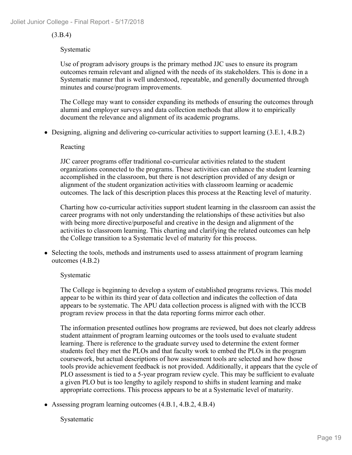#### (3.B.4)

#### Systematic

Use of program advisory groups is the primary method JJC uses to ensure its program outcomes remain relevant and aligned with the needs of its stakeholders. This is done in a Systematic manner that is well understood, repeatable, and generally documented through minutes and course/program improvements.

The College may want to consider expanding its methods of ensuring the outcomes through alumni and employer surveys and data collection methods that allow it to empirically document the relevance and alignment of its academic programs.

Designing, aligning and delivering co-curricular activities to support learning (3.E.1, 4.B.2)

#### Reacting

JJC career programs offer traditional co-curricular activities related to the student organizations connected to the programs. These activities can enhance the student learning accomplished in the classroom, but there is not description provided of any design or alignment of the student organization activities with classroom learning or academic outcomes. The lack of this description places this process at the Reacting level of maturity.

Charting how co-curricular activities support student learning in the classroom can assist the career programs with not only understanding the relationships of these activities but also with being more directive/purposeful and creative in the design and alignment of the activities to classroom learning. This charting and clarifying the related outcomes can help the College transition to a Systematic level of maturity for this process.

• Selecting the tools, methods and instruments used to assess attainment of program learning outcomes (4.B.2)

#### Systematic

The College is beginning to develop a system of established programs reviews. This model appear to be within its third year of data collection and indicates the collection of data appears to be systematic. The APU data collection process is aligned with with the ICCB program review process in that the data reporting forms mirror each other.

The information presented outlines how programs are reviewed, but does not clearly address student attainment of program learning outcomes or the tools used to evaluate student learning. There is reference to the graduate survey used to determine the extent former students feel they met the PLOs and that faculty work to embed the PLOs in the program coursework, but actual descriptions of how assessment tools are selected and how those tools provide achievement feedback is not provided. Additionally, it appears that the cycle of PLO assessment is tied to a 5-year program review cycle. This may be sufficient to evaluate a given PLO but is too lengthy to agilely respond to shifts in student learning and make appropriate corrections. This process appears to be at a Systematic level of maturity.

Assessing program learning outcomes (4.B.1, 4.B.2, 4.B.4)

Sysatematic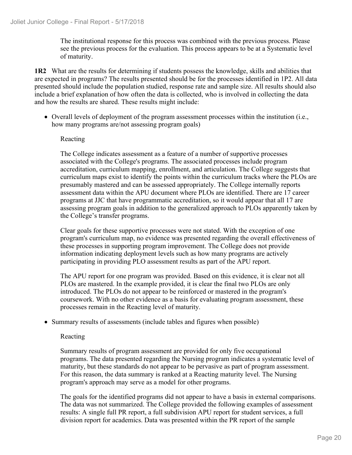The institutional response for this process was combined with the previous process. Please see the previous process for the evaluation. This process appears to be at a Systematic level of maturity.

**1R2** What are the results for determining if students possess the knowledge, skills and abilities that are expected in programs? The results presented should be for the processes identified in 1P2. All data presented should include the population studied, response rate and sample size. All results should also include a brief explanation of how often the data is collected, who is involved in collecting the data and how the results are shared. These results might include:

Overall levels of deployment of the program assessment processes within the institution (i.e., how many programs are/not assessing program goals)

#### Reacting

The College indicates assessment as a feature of a number of supportive processes associated with the College's programs. The associated processes include program accreditation, curriculum mapping, enrollment, and articulation. The College suggests that curriculum maps exist to identify the points within the curriculum tracks where the PLOs are presumably mastered and can be assessed appropriately. The College internally reports assessment data within the APU document where PLOs are identified. There are 17 career programs at JJC that have programmatic accreditation, so it would appear that all 17 are assessing program goals in addition to the generalized approach to PLOs apparently taken by the College's transfer programs.

Clear goals for these supportive processes were not stated. With the exception of one program's curriculum map, no evidence was presented regarding the overall effectiveness of these processes in supporting program improvement. The College does not provide information indicating deployment levels such as how many programs are actively participating in providing PLO assessment results as part of the APU report.

The APU report for one program was provided. Based on this evidence, it is clear not all PLOs are mastered. In the example provided, it is clear the final two PLOs are only introduced. The PLOs do not appear to be reinforced or mastered in the program's coursework. With no other evidence as a basis for evaluating program assessment, these processes remain in the Reacting level of maturity.

• Summary results of assessments (include tables and figures when possible)

#### Reacting

Summary results of program assessment are provided for only five occupational programs. The data presented regarding the Nursing program indicates a systematic level of maturity, but these standards do not appear to be pervasive as part of program assessment. For this reason, the data summary is ranked at a Reacting maturity level. The Nursing program's approach may serve as a model for other programs.

The goals for the identified programs did not appear to have a basis in external comparisons. The data was not summarized. The College provided the following examples of assessment results: A single full PR report, a full subdivision APU report for student services, a full division report for academics. Data was presented within the PR report of the sample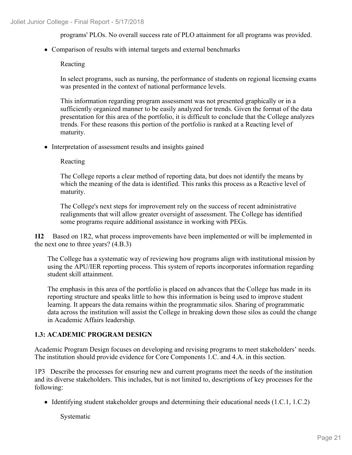programs' PLOs. No overall success rate of PLO attainment for all programs was provided.

Comparison of results with internal targets and external benchmarks

Reacting

In select programs, such as nursing, the performance of students on regional licensing exams was presented in the context of national performance levels.

This information regarding program assessment was not presented graphically or in a sufficiently organized manner to be easily analyzed for trends. Given the format of the data presentation for this area of the portfolio, it is difficult to conclude that the College analyzes trends. For these reasons this portion of the portfolio is ranked at a Reacting level of maturity.

• Interpretation of assessment results and insights gained

Reacting

The College reports a clear method of reporting data, but does not identify the means by which the meaning of the data is identified. This ranks this process as a Reactive level of maturity.

The College's next steps for improvement rely on the success of recent administrative realignments that will allow greater oversight of assessment. The College has identified some programs require additional assistance in working with PEGs.

**1I2** Based on 1R2, what process improvements have been implemented or will be implemented in the next one to three years? (4.B.3)

The College has a systematic way of reviewing how programs align with institutional mission by using the APU/IER reporting process. This system of reports incorporates information regarding student skill attainment.

The emphasis in this area of the portfolio is placed on advances that the College has made in its reporting structure and speaks little to how this information is being used to improve student learning. It appears the data remains within the programmatic silos. Sharing of programmatic data across the institution will assist the College in breaking down those silos as could the change in Academic Affairs leadership.

#### **1.3: ACADEMIC PROGRAM DESIGN**

Academic Program Design focuses on developing and revising programs to meet stakeholders' needs. The institution should provide evidence for Core Components 1.C. and 4.A. in this section.

1P3 Describe the processes for ensuring new and current programs meet the needs of the institution and its diverse stakeholders. This includes, but is not limited to, descriptions of key processes for the following:

Identifying student stakeholder groups and determining their educational needs  $(1.C.1, 1.C.2)$ 

Systematic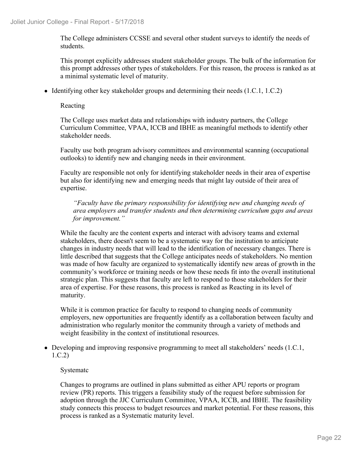The College administers CCSSE and several other student surveys to identify the needs of students.

This prompt explicitly addresses student stakeholder groups. The bulk of the information for this prompt addresses other types of stakeholders. For this reason, the process is ranked as at a minimal systematic level of maturity.

Identifying other key stakeholder groups and determining their needs  $(1.C.1, 1.C.2)$ 

#### Reacting

The College uses market data and relationships with industry partners, the College Curriculum Committee, VPAA, ICCB and IBHE as meaningful methods to identify other stakeholder needs.

Faculty use both program advisory committees and environmental scanning (occupational outlooks) to identify new and changing needs in their environment.

Faculty are responsible not only for identifying stakeholder needs in their area of expertise but also for identifying new and emerging needs that might lay outside of their area of expertise.

*"Faculty have the primary responsibility for identifying new and changing needs of area employers and transfer students and then determining curriculum gaps and areas for improvement."*

While the faculty are the content experts and interact with advisory teams and external stakeholders, there doesn't seem to be a systematic way for the institution to anticipate changes in industry needs that will lead to the identification of necessary changes. There is little described that suggests that the College anticipates needs of stakeholders. No mention was made of how faculty are organized to systematically identify new areas of growth in the community's workforce or training needs or how these needs fit into the overall institutional strategic plan. This suggests that faculty are left to respond to those stakeholders for their area of expertise. For these reasons, this process is ranked as Reacting in its level of maturity.

While it is common practice for faculty to respond to changing needs of community employers, new opportunities are frequently identify as a collaboration between faculty and administration who regularly monitor the community through a variety of methods and weight feasibility in the context of institutional resources.

• Developing and improving responsive programming to meet all stakeholders' needs (1.C.1, 1.C.2)

#### Systematc

Changes to programs are outlined in plans submitted as either APU reports or program review (PR) reports. This triggers a feasibility study of the request before submission for adoption through the JJC Curriculum Committee, VPAA, ICCB, and IBHE. The feasibility study connects this process to budget resources and market potential. For these reasons, this process is ranked as a Systematic maturity level.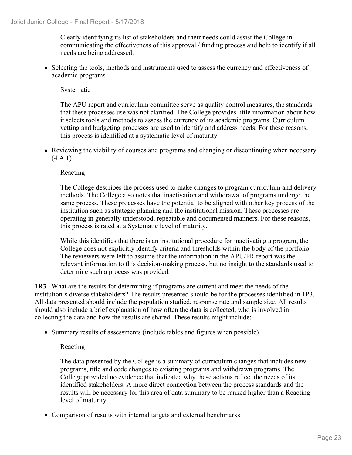Clearly identifying its list of stakeholders and their needs could assist the College in communicating the effectiveness of this approval / funding process and help to identify if all needs are being addressed.

• Selecting the tools, methods and instruments used to assess the currency and effectiveness of academic programs

Systematic

The APU report and curriculum committee serve as quality control measures, the standards that these processes use was not clarified. The College provides little information about how it selects tools and methods to assess the currency of its academic programs. Curriculum vetting and budgeting processes are used to identify and address needs. For these reasons, this process is identified at a systematic level of maturity.

Reviewing the viability of courses and programs and changing or discontinuing when necessary (4.A.1)

#### Reacting

The College describes the process used to make changes to program curriculum and delivery methods. The College also notes that inactivation and withdrawal of programs undergo the same process. These processes have the potential to be aligned with other key process of the institution such as strategic planning and the institutional mission. These processes are operating in generally understood, repeatable and documented manners. For these reasons, this process is rated at a Systematic level of maturity.

While this identifies that there is an institutional procedure for inactivating a program, the College does not explicitly identify criteria and thresholds within the body of the portfolio. The reviewers were left to assume that the information in the APU/PR report was the relevant information to this decision-making process, but no insight to the standards used to determine such a process was provided.

**1R3** What are the results for determining if programs are current and meet the needs of the institution's diverse stakeholders? The results presented should be for the processes identified in 1P3. All data presented should include the population studied, response rate and sample size. All results should also include a brief explanation of how often the data is collected, who is involved in collecting the data and how the results are shared. These results might include:

• Summary results of assessments (include tables and figures when possible)

#### Reacting

The data presented by the College is a summary of curriculum changes that includes new programs, title and code changes to existing programs and withdrawn programs. The College provided no evidence that indicated why these actions reflect the needs of its identified stakeholders. A more direct connection between the process standards and the results will be necessary for this area of data summary to be ranked higher than a Reacting level of maturity.

• Comparison of results with internal targets and external benchmarks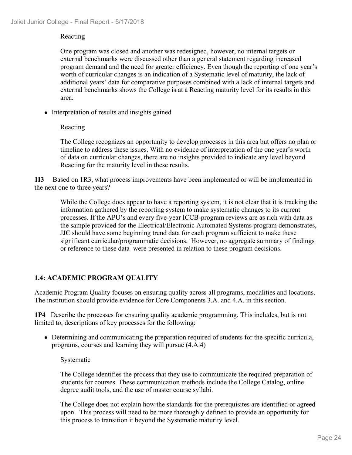#### Reacting

One program was closed and another was redesigned, however, no internal targets or external benchmarks were discussed other than a general statement regarding increased program demand and the need for greater efficiency. Even though the reporting of one year's worth of curricular changes is an indication of a Systematic level of maturity, the lack of additional years' data for comparative purposes combined with a lack of internal targets and external benchmarks shows the College is at a Reacting maturity level for its results in this area.

• Interpretation of results and insights gained

#### Reacting

The College recognizes an opportunity to develop processes in this area but offers no plan or timeline to address these issues. With no evidence of interpretation of the one year's worth of data on curricular changes, there are no insights provided to indicate any level beyond Reacting for the maturity level in these results.

**1I3** Based on 1R3, what process improvements have been implemented or will be implemented in the next one to three years?

While the College does appear to have a reporting system, it is not clear that it is tracking the information gathered by the reporting system to make systematic changes to its current processes. If the APU's and every five-year ICCB-program reviews are as rich with data as the sample provided for the Electrical/Electronic Automated Systems program demonstrates, JJC should have some beginning trend data for each program sufficient to make these significant curricular/programmatic decisions. However, no aggregate summary of findings or reference to these data were presented in relation to these program decisions.

#### **1.4: ACADEMIC PROGRAM QUALITY**

Academic Program Quality focuses on ensuring quality across all programs, modalities and locations. The institution should provide evidence for Core Components 3.A. and 4.A. in this section.

**1P4** Describe the processes for ensuring quality academic programming. This includes, but is not limited to, descriptions of key processes for the following:

Determining and communicating the preparation required of students for the specific curricula, programs, courses and learning they will pursue (4.A.4)

#### Systematic

The College identifies the process that they use to communicate the required preparation of students for courses. These communication methods include the College Catalog, online degree audit tools, and the use of master course syllabi.

The College does not explain how the standards for the prerequisites are identified or agreed upon. This process will need to be more thoroughly defined to provide an opportunity for this process to transition it beyond the Systematic maturity level.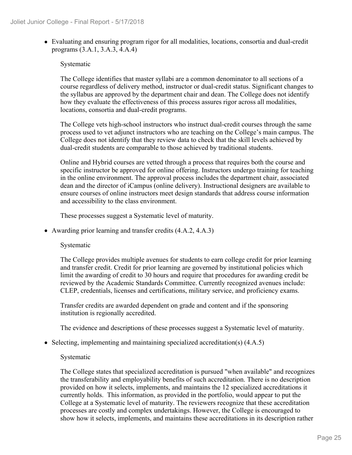Evaluating and ensuring program rigor for all modalities, locations, consortia and dual-credit programs (3.A.1, 3.A.3, 4.A.4)

#### Systematic

The College identifies that master syllabi are a common denominator to all sections of a course regardless of delivery method, instructor or dual-credit status. Significant changes to the syllabus are approved by the department chair and dean. The College does not identify how they evaluate the effectiveness of this process assures rigor across all modalities, locations, consortia and dual-credit programs.

The College vets high-school instructors who instruct dual-credit courses through the same process used to vet adjunct instructors who are teaching on the College's main campus. The College does not identify that they review data to check that the skill levels achieved by dual-credit students are comparable to those achieved by traditional students.

Online and Hybrid courses are vetted through a process that requires both the course and specific instructor be approved for online offering. Instructors undergo training for teaching in the online environment. The approval process includes the department chair, associated dean and the director of iCampus (online delivery). Instructional designers are available to ensure courses of online instructors meet design standards that address course information and accessibility to the class environment.

These processes suggest a Systematic level of maturity.

Awarding prior learning and transfer credits (4.A.2, 4.A.3)

#### Systematic

The College provides multiple avenues for students to earn college credit for prior learning and transfer credit. Credit for prior learning are governed by institutional policies which limit the awarding of credit to 30 hours and require that procedures for awarding credit be reviewed by the Academic Standards Committee. Currently recognized avenues include: CLEP, credentials, licenses and certifications, military service, and proficiency exams.

Transfer credits are awarded dependent on grade and content and if the sponsoring institution is regionally accredited.

The evidence and descriptions of these processes suggest a Systematic level of maturity.

 $\bullet$  Selecting, implementing and maintaining specialized accreditation(s) (4.A.5)

#### Systematic

The College states that specialized accreditation is pursued "when available" and recognizes the transferability and employability benefits of such accreditation. There is no description provided on how it selects, implements, and maintains the 12 specialized accreditations it currently holds. This information, as provided in the portfolio, would appear to put the College at a Systematic level of maturity. The reviewers recognize that these accreditation processes are costly and complex undertakings. However, the College is encouraged to show how it selects, implements, and maintains these accreditations in its description rather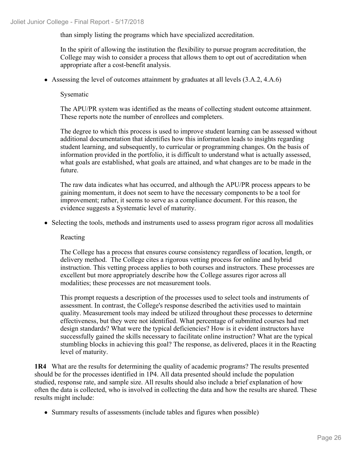than simply listing the programs which have specialized accreditation.

In the spirit of allowing the institution the flexibility to pursue program accreditation, the College may wish to consider a process that allows them to opt out of accreditation when appropriate after a cost-benefit analysis.

Assessing the level of outcomes attainment by graduates at all levels (3.A.2, 4.A.6)

Sysematic

The APU/PR system was identified as the means of collecting student outcome attainment. These reports note the number of enrollees and completers.

The degree to which this process is used to improve student learning can be assessed without additional documentation that identifies how this information leads to insights regarding student learning, and subsequently, to curricular or programming changes. On the basis of information provided in the portfolio, it is difficult to understand what is actually assessed, what goals are established, what goals are attained, and what changes are to be made in the future.

The raw data indicates what has occurred, and although the APU/PR process appears to be gaining momentum, it does not seem to have the necessary components to be a tool for improvement; rather, it seems to serve as a compliance document. For this reason, the evidence suggests a Systematic level of maturity.

• Selecting the tools, methods and instruments used to assess program rigor across all modalities

Reacting

The College has a process that ensures course consistency regardless of location, length, or delivery method. The College cites a rigorous vetting process for online and hybrid instruction. This vetting process applies to both courses and instructors. These processes are excellent but more appropriately describe how the College assures rigor across all modalities; these processes are not measurement tools.

This prompt requests a description of the processes used to select tools and instruments of assessment. In contrast, the College's response described the activities used to maintain quality. Measurement tools may indeed be utilized throughout these processes to determine effectiveness, but they were not identified. What percentage of submitted courses had met design standards? What were the typical deficiencies? How is it evident instructors have successfully gained the skills necessary to facilitate online instruction? What are the typical stumbling blocks in achieving this goal? The response, as delivered, places it in the Reacting level of maturity.

**1R4** What are the results for determining the quality of academic programs? The results presented should be for the processes identified in 1P4. All data presented should include the population studied, response rate, and sample size. All results should also include a brief explanation of how often the data is collected, who is involved in collecting the data and how the results are shared. These results might include:

• Summary results of assessments (include tables and figures when possible)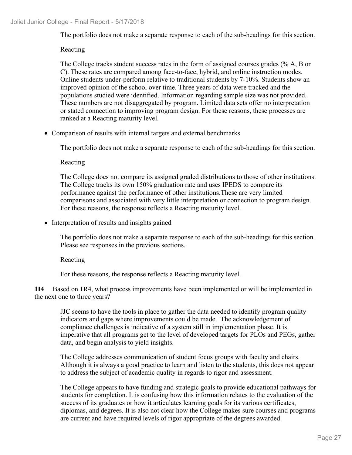The portfolio does not make a separate response to each of the sub-headings for this section.

#### Reacting

The College tracks student success rates in the form of assigned courses grades (% A, B or C). These rates are compared among face-to-face, hybrid, and online instruction modes. Online students under-perform relative to traditional students by 7-10%. Students show an improved opinion of the school over time. Three years of data were tracked and the populations studied were identified. Information regarding sample size was not provided. These numbers are not disaggregated by program. Limited data sets offer no interpretation or stated connection to improving program design. For these reasons, these processes are ranked at a Reacting maturity level.

• Comparison of results with internal targets and external benchmarks

The portfolio does not make a separate response to each of the sub-headings for this section.

Reacting

The College does not compare its assigned graded distributions to those of other institutions. The College tracks its own 150% graduation rate and uses IPEDS to compare its performance against the performance of other institutions.These are very limited comparisons and associated with very little interpretation or connection to program design. For these reasons, the response reflects a Reacting maturity level.

• Interpretation of results and insights gained

The portfolio does not make a separate response to each of the sub-headings for this section. Please see responses in the previous sections.

Reacting

For these reasons, the response reflects a Reacting maturity level.

**1I4** Based on 1R4, what process improvements have been implemented or will be implemented in the next one to three years?

JJC seems to have the tools in place to gather the data needed to identify program quality indicators and gaps where improvements could be made. The acknowledgement of compliance challenges is indicative of a system still in implementation phase. It is imperative that all programs get to the level of developed targets for PLOs and PEGs, gather data, and begin analysis to yield insights.

The College addresses communication of student focus groups with faculty and chairs. Although it is always a good practice to learn and listen to the students, this does not appear to address the subject of academic quality in regards to rigor and assessment.

The College appears to have funding and strategic goals to provide educational pathways for students for completion. It is confusing how this information relates to the evaluation of the success of its graduates or how it articulates learning goals for its various certificates, diplomas, and degrees. It is also not clear how the College makes sure courses and programs are current and have required levels of rigor appropriate of the degrees awarded.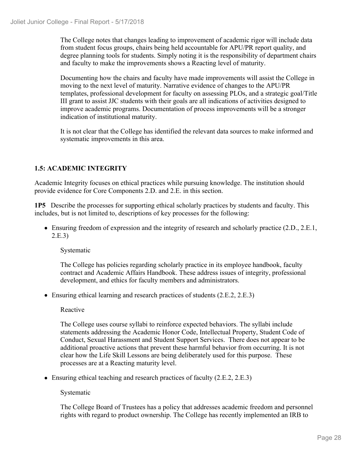The College notes that changes leading to improvement of academic rigor will include data from student focus groups, chairs being held accountable for APU/PR report quality, and degree planning tools for students. Simply noting it is the responsibility of department chairs and faculty to make the improvements shows a Reacting level of maturity.

Documenting how the chairs and faculty have made improvements will assist the College in moving to the next level of maturity. Narrative evidence of changes to the APU/PR templates, professional development for faculty on assessing PLOs, and a strategic goal/Title III grant to assist JJC students with their goals are all indications of activities designed to improve academic programs. Documentation of process improvements will be a stronger indication of institutional maturity.

It is not clear that the College has identified the relevant data sources to make informed and systematic improvements in this area.

#### **1.5: ACADEMIC INTEGRITY**

Academic Integrity focuses on ethical practices while pursuing knowledge. The institution should provide evidence for Core Components 2.D. and 2.E. in this section.

**1P5** Describe the processes for supporting ethical scholarly practices by students and faculty. This includes, but is not limited to, descriptions of key processes for the following:

Ensuring freedom of expression and the integrity of research and scholarly practice (2.D., 2.E.1, 2.E.3)

Systematic

The College has policies regarding scholarly practice in its employee handbook, faculty contract and Academic Affairs Handbook. These address issues of integrity, professional development, and ethics for faculty members and administrators.

• Ensuring ethical learning and research practices of students (2.E.2, 2.E.3)

#### Reactive

The College uses course syllabi to reinforce expected behaviors. The syllabi include statements addressing the Academic Honor Code, Intellectual Property, Student Code of Conduct, Sexual Harassment and Student Support Services. There does not appear to be additional proactive actions that prevent these harmful behavior from occurring. It is not clear how the Life Skill Lessons are being deliberately used for this purpose. These processes are at a Reacting maturity level.

• Ensuring ethical teaching and research practices of faculty (2.E.2, 2.E.3)

Systematic

The College Board of Trustees has a policy that addresses academic freedom and personnel rights with regard to product ownership. The College has recently implemented an IRB to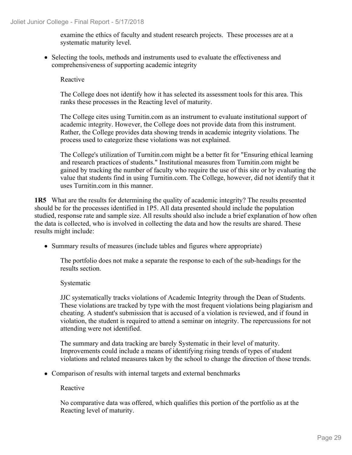examine the ethics of faculty and student research projects. These processes are at a systematic maturity level.

• Selecting the tools, methods and instruments used to evaluate the effectiveness and comprehensiveness of supporting academic integrity

Reactive

The College does not identify how it has selected its assessment tools for this area. This ranks these processes in the Reacting level of maturity.

The College cites using Turnitin.com as an instrument to evaluate institutional support of academic integrity. However, the College does not provide data from this instrument. Rather, the College provides data showing trends in academic integrity violations. The process used to categorize these violations was not explained.

The College's utilization of Turnitin.com might be a better fit for "Ensuring ethical learning and research practices of students." Institutional measures from Turnitin.com might be gained by tracking the number of faculty who require the use of this site or by evaluating the value that students find in using Turnitin.com. The College, however, did not identify that it uses Turnitin.com in this manner.

**1R5** What are the results for determining the quality of academic integrity? The results presented should be for the processes identified in 1P5. All data presented should include the population studied, response rate and sample size. All results should also include a brief explanation of how often the data is collected, who is involved in collecting the data and how the results are shared. These results might include:

Summary results of measures (include tables and figures where appropriate)

The portfolio does not make a separate the response to each of the sub-headings for the results section.

Systematic

JJC systematically tracks violations of Academic Integrity through the Dean of Students. These violations are tracked by type with the most frequent violations being plagiarism and cheating. A student's submission that is accused of a violation is reviewed, and if found in violation, the student is required to attend a seminar on integrity. The repercussions for not attending were not identified.

The summary and data tracking are barely Systematic in their level of maturity. Improvements could include a means of identifying rising trends of types of student violations and related measures taken by the school to change the direction of those trends.

• Comparison of results with internal targets and external benchmarks

Reactive

No comparative data was offered, which qualifies this portion of the portfolio as at the Reacting level of maturity.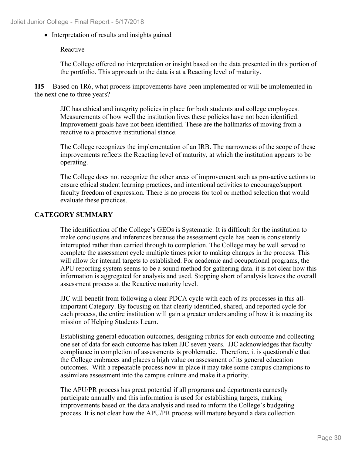• Interpretation of results and insights gained

Reactive

The College offered no interpretation or insight based on the data presented in this portion of the portfolio. This approach to the data is at a Reacting level of maturity.

**1I5** Based on 1R6, what process improvements have been implemented or will be implemented in the next one to three years?

JJC has ethical and integrity policies in place for both students and college employees. Measurements of how well the institution lives these policies have not been identified. Improvement goals have not been identified. These are the hallmarks of moving from a reactive to a proactive institutional stance.

The College recognizes the implementation of an IRB. The narrowness of the scope of these improvements reflects the Reacting level of maturity, at which the institution appears to be operating.

The College does not recognize the other areas of improvement such as pro-active actions to ensure ethical student learning practices, and intentional activities to encourage/support faculty freedom of expression. There is no process for tool or method selection that would evaluate these practices.

#### **CATEGORY SUMMARY**

The identification of the College's GEOs is Systematic. It is difficult for the institution to make conclusions and inferences because the assessment cycle has been is consistently interrupted rather than carried through to completion. The College may be well served to complete the assessment cycle multiple times prior to making changes in the process. This will allow for internal targets to established. For academic and occupational programs, the APU reporting system seems to be a sound method for gathering data. it is not clear how this information is aggregated for analysis and used. Stopping short of analysis leaves the overall assessment process at the Reactive maturity level.

JJC will benefit from following a clear PDCA cycle with each of its processes in this allimportant Category. By focusing on that clearly identified, shared, and reported cycle for each process, the entire institution will gain a greater understanding of how it is meeting its mission of Helping Students Learn.

Establishing general education outcomes, designing rubrics for each outcome and collecting one set of data for each outcome has taken JJC seven years. JJC acknowledges that faculty compliance in completion of assessments is problematic. Therefore, it is questionable that the College embraces and places a high value on assessment of its general education outcomes. With a repeatable process now in place it may take some campus champions to assimilate assessment into the campus culture and make it a priority.

The APU/PR process has great potential if all programs and departments earnestly participate annually and this information is used for establishing targets, making improvements based on the data analysis and used to inform the College's budgeting process. It is not clear how the APU/PR process will mature beyond a data collection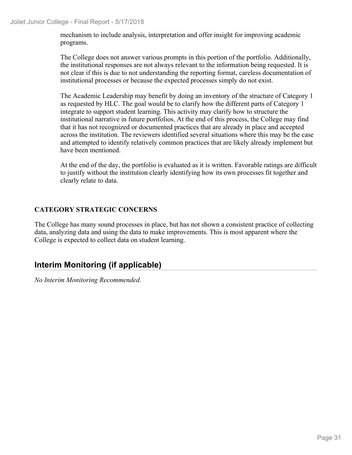mechanism to include analysis, interpretation and offer insight for improving academic programs.

The College does not answer various prompts in this portion of the portfolio. Additionally, the institutional responses are not always relevant to the information being requested. It is not clear if this is due to not understanding the reporting format, careless documentation of institutional processes or because the expected processes simply do not exist.

The Academic Leadership may benefit by doing an inventory of the structure of Category 1 as requested by HLC. The goal would be to clarify how the different parts of Category 1 integrate to support student learning. This activity may clarify how to structure the institutional narrative in future portfolios. At the end of this process, the College may find that it has not recognized or documented practices that are already in place and accepted across the institution. The reviewers identified several situations where this may be the case and attempted to identify relatively common practices that are likely already implement but have been mentioned.

At the end of the day, the portfolio is evaluated as it is written. Favorable ratings are difficult to justify without the institution clearly identifying how its own processes fit together and clearly relate to data.

### **CATEGORY STRATEGIC CONCERNS**

The College has many sound processes in place, but has not shown a consistent practice of collecting data, analyzing data and using the data to make improvements. This is most apparent where the College is expected to collect data on student learning.

## **Interim Monitoring (if applicable)**

*No Interim Monitoring Recommended.*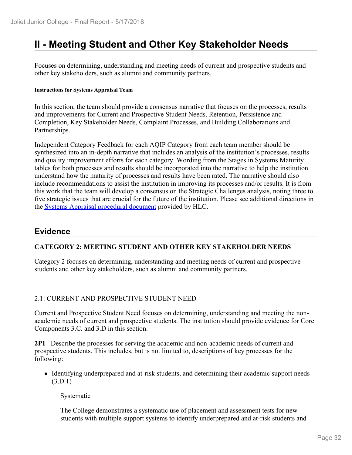## **II - Meeting Student and Other Key Stakeholder Needs**

Focuses on determining, understanding and meeting needs of current and prospective students and other key stakeholders, such as alumni and community partners.

#### **Instructions for Systems Appraisal Team**

In this section, the team should provide a consensus narrative that focuses on the processes, results and improvements for Current and Prospective Student Needs, Retention, Persistence and Completion, Key Stakeholder Needs, Complaint Processes, and Building Collaborations and Partnerships.

Independent Category Feedback for each AQIP Category from each team member should be synthesized into an in-depth narrative that includes an analysis of the institution's processes, results and quality improvement efforts for each category. Wording from the Stages in Systems Maturity tables for both processes and results should be incorporated into the narrative to help the institution understand how the maturity of processes and results have been rated. The narrative should also include recommendations to assist the institution in improving its processes and/or results. It is from this work that the team will develop a consensus on the Strategic Challenges analysis, noting three to five strategic issues that are crucial for the future of the institution. Please see additional directions in the **Systems Appraisal procedural document** provided by HLC.

### **Evidence**

#### **CATEGORY 2: MEETING STUDENT AND OTHER KEY STAKEHOLDER NEEDS**

Category 2 focuses on determining, understanding and meeting needs of current and prospective students and other key stakeholders, such as alumni and community partners.

#### 2.1: CURRENT AND PROSPECTIVE STUDENT NEED

Current and Prospective Student Need focuses on determining, understanding and meeting the nonacademic needs of current and prospective students. The institution should provide evidence for Core Components 3.C. and 3.D in this section.

**2P1** Describe the processes for serving the academic and non-academic needs of current and prospective students. This includes, but is not limited to, descriptions of key processes for the following:

- Identifying underprepared and at-risk students, and determining their academic support needs (3.D.1)
	- Systematic

The College demonstrates a systematic use of placement and assessment tests for new students with multiple support systems to identify underprepared and at-risk students and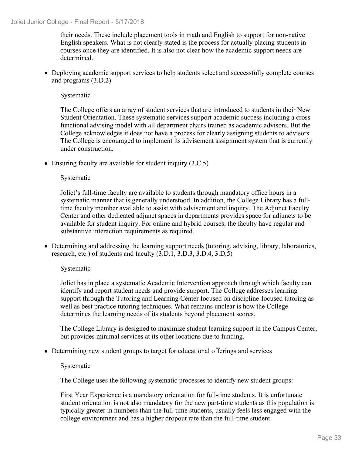their needs. These include placement tools in math and English to support for non-native English speakers. What is not clearly stated is the process for actually placing students in courses once they are identified. It is also not clear how the academic support needs are determined.

Deploying academic support services to help students select and successfully complete courses and programs (3.D.2)

Systematic

The College offers an array of student services that are introduced to students in their New Student Orientation. These systematic services support academic success including a crossfunctional advising model with all department chairs trained as academic advisors. But the College acknowledges it does not have a process for clearly assigning students to advisors. The College is encouraged to implement its advisement assignment system that is currently under construction.

• Ensuring faculty are available for student inquiry (3.C.5)

Systematic

Joliet's full-time faculty are available to students through mandatory office hours in a systematic manner that is generally understood. In addition, the College Library has a fulltime faculty member available to assist with advisement and inquiry. The Adjunct Faculty Center and other dedicated adjunct spaces in departments provides space for adjuncts to be available for student inquiry. For online and hybrid courses, the faculty have regular and substantive interaction requirements as required.

Determining and addressing the learning support needs (tutoring, advising, library, laboratories, research, etc.) of students and faculty (3.D.1, 3.D.3, 3.D.4, 3.D.5)

#### Systematic

Joliet has in place a systematic Academic Intervention approach through which faculty can identify and report student needs and provide support. The College addresses learning support through the Tutoring and Learning Center focused on discipline-focused tutoring as well as best practice tutoring techniques. What remains unclear is how the College determines the learning needs of its students beyond placement scores.

The College Library is designed to maximize student learning support in the Campus Center, but provides minimal services at its other locations due to funding.

Determining new student groups to target for educational offerings and services

Systematic

The College uses the following systematic processes to identify new student groups:

First Year Experience is a mandatory orientation for full-time students. It is unfortunate student orientation is not also mandatory for the new part-time students as this population is typically greater in numbers than the full-time students, usually feels less engaged with the college environment and has a higher dropout rate than the full-time student.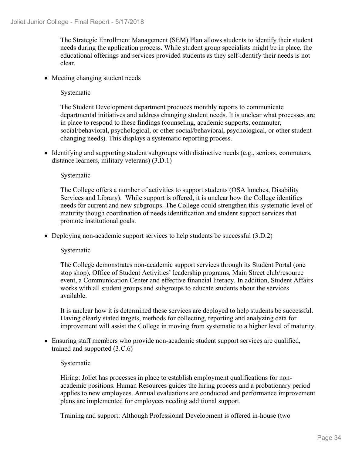The Strategic Enrollment Management (SEM) Plan allows students to identify their student needs during the application process. While student group specialists might be in place, the educational offerings and services provided students as they self-identify their needs is not clear.

• Meeting changing student needs

Systematic

The Student Development department produces monthly reports to communicate departmental initiatives and address changing student needs. It is unclear what processes are in place to respond to these findings (counseling, academic supports, commuter, social/behavioral, psychological, or other social/behavioral, psychological, or other student changing needs). This displays a systematic reporting process.

• Identifying and supporting student subgroups with distinctive needs (e.g., seniors, commuters, distance learners, military veterans) (3.D.1)

#### Systematic

The College offers a number of activities to support students (OSA lunches, Disability Services and Library). While support is offered, it is unclear how the College identifies needs for current and new subgroups. The College could strengthen this systematic level of maturity though coordination of needs identification and student support services that promote institutional goals.

• Deploying non-academic support services to help students be successful (3.D.2)

#### Systematic

The College demonstrates non-academic support services through its Student Portal (one stop shop), Office of Student Activities' leadership programs, Main Street club/resource event, a Communication Center and effective financial literacy. In addition, Student Affairs works with all student groups and subgroups to educate students about the services available.

It is unclear how it is determined these services are deployed to help students be successful. Having clearly stated targets, methods for collecting, reporting and analyzing data for improvement will assist the College in moving from systematic to a higher level of maturity.

Ensuring staff members who provide non-academic student support services are qualified, trained and supported (3.C.6)

#### Systematic

Hiring: Joliet has processes in place to establish employment qualifications for nonacademic positions. Human Resources guides the hiring process and a probationary period applies to new employees. Annual evaluations are conducted and performance improvement plans are implemented for employees needing additional support.

Training and support: Although Professional Development is offered in-house (two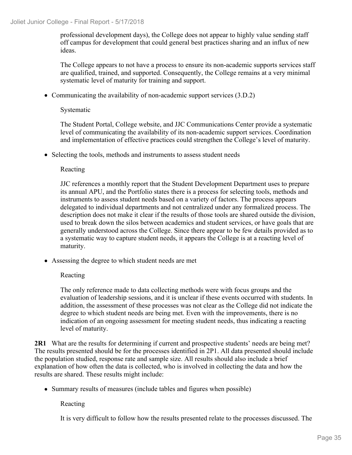professional development days), the College does not appear to highly value sending staff off campus for development that could general best practices sharing and an influx of new ideas.

The College appears to not have a process to ensure its non-academic supports services staff are qualified, trained, and supported. Consequently, the College remains at a very minimal systematic level of maturity for training and support.

• Communicating the availability of non-academic support services (3.D.2)

#### Systematic

The Student Portal, College website, and JJC Communications Center provide a systematic level of communicating the availability of its non-academic support services. Coordination and implementation of effective practices could strengthen the College's level of maturity.

• Selecting the tools, methods and instruments to assess student needs

#### Reacting

JJC references a monthly report that the Student Development Department uses to prepare its annual APU, and the Portfolio states there is a process for selecting tools, methods and instruments to assess student needs based on a variety of factors. The process appears delegated to individual departments and not centralized under any formalized process. The description does not make it clear if the results of those tools are shared outside the division, used to break down the silos between academics and student services, or have goals that are generally understood across the College. Since there appear to be few details provided as to a systematic way to capture student needs, it appears the College is at a reacting level of maturity.

Assessing the degree to which student needs are met

#### Reacting

The only reference made to data collecting methods were with focus groups and the evaluation of leadership sessions, and it is unclear if these events occurred with students. In addition, the assessment of these processes was not clear as the College did not indicate the degree to which student needs are being met. Even with the improvements, there is no indication of an ongoing assessment for meeting student needs, thus indicating a reacting level of maturity.

**2R1** What are the results for determining if current and prospective students' needs are being met? The results presented should be for the processes identified in 2P1. All data presented should include the population studied, response rate and sample size. All results should also include a brief explanation of how often the data is collected, who is involved in collecting the data and how the results are shared. These results might include:

• Summary results of measures (include tables and figures when possible)

Reacting

It is very difficult to follow how the results presented relate to the processes discussed. The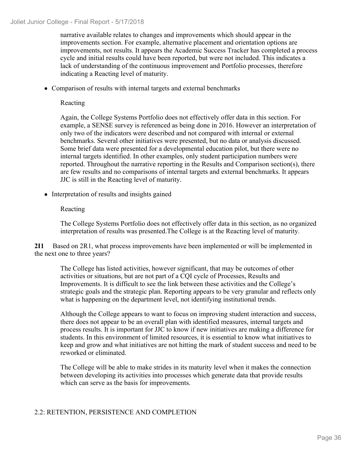narrative available relates to changes and improvements which should appear in the improvements section. For example, alternative placement and orientation options are improvements, not results. It appears the Academic Success Tracker has completed a process cycle and initial results could have been reported, but were not included. This indicates a lack of understanding of the continuous improvement and Portfolio processes, therefore indicating a Reacting level of maturity.

Comparison of results with internal targets and external benchmarks

Reacting

Again, the College Systems Portfolio does not effectively offer data in this section. For example, a SENSE survey is referenced as being done in 2016. However an interpretation of only two of the indicators were described and not compared with internal or external benchmarks. Several other initiatives were presented, but no data or analysis discussed. Some brief data were presented for a developmental education pilot, but there were no internal targets identified. In other examples, only student participation numbers were reported. Throughout the narrative reporting in the Results and Comparison section(s), there are few results and no comparisons of internal targets and external benchmarks. It appears JJC is still in the Reacting level of maturity.

• Interpretation of results and insights gained

#### Reacting

The College Systems Portfolio does not effectively offer data in this section, as no organized interpretation of results was presented.The College is at the Reacting level of maturity.

**2I1** Based on 2R1, what process improvements have been implemented or will be implemented in the next one to three years?

The College has listed activities, however significant, that may be outcomes of other activities or situations, but are not part of a CQI cycle of Processes, Results and Improvements. It is difficult to see the link between these activities and the College's strategic goals and the strategic plan. Reporting appears to be very granular and reflects only what is happening on the department level, not identifying institutional trends.

Although the College appears to want to focus on improving student interaction and success, there does not appear to be an overall plan with identified measures, internal targets and process results. It is important for JJC to know if new initiatives are making a difference for students. In this environment of limited resources, it is essential to know what initiatives to keep and grow and what initiatives are not hitting the mark of student success and need to be reworked or eliminated.

The College will be able to make strides in its maturity level when it makes the connection between developing its activities into processes which generate data that provide results which can serve as the basis for improvements.

## 2.2: RETENTION, PERSISTENCE AND COMPLETION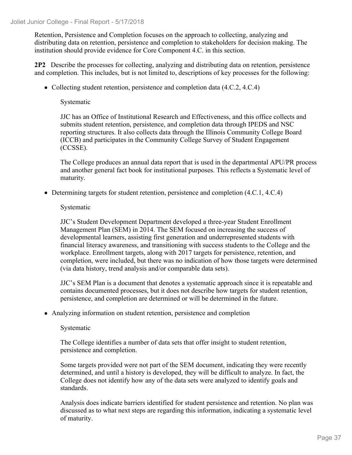Retention, Persistence and Completion focuses on the approach to collecting, analyzing and distributing data on retention, persistence and completion to stakeholders for decision making. The institution should provide evidence for Core Component 4.C. in this section.

**2P2** Describe the processes for collecting, analyzing and distributing data on retention, persistence and completion. This includes, but is not limited to, descriptions of key processes for the following:

• Collecting student retention, persistence and completion data (4.C.2, 4.C.4)

Systematic

JJC has an Office of Institutional Research and Effectiveness, and this office collects and submits student retention, persistence, and completion data through IPEDS and NSC reporting structures. It also collects data through the Illinois Community College Board (ICCB) and participates in the Community College Survey of Student Engagement (CCSSE).

The College produces an annual data report that is used in the departmental APU/PR process and another general fact book for institutional purposes. This reflects a Systematic level of maturity.

• Determining targets for student retention, persistence and completion  $(4.C.1, 4.C.4)$ 

## Systematic

JJC's Student Development Department developed a three-year Student Enrollment Management Plan (SEM) in 2014. The SEM focused on increasing the success of developmental learners, assisting first generation and underrepresented students with financial literacy awareness, and transitioning with success students to the College and the workplace. Enrollment targets, along with 2017 targets for persistence, retention, and completion, were included, but there was no indication of how those targets were determined (via data history, trend analysis and/or comparable data sets).

JJC's SEM Plan is a document that denotes a systematic approach since it is repeatable and contains documented processes, but it does not describe how targets for student retention, persistence, and completion are determined or will be determined in the future.

Analyzing information on student retention, persistence and completion

## Systematic

The College identifies a number of data sets that offer insight to student retention, persistence and completion.

Some targets provided were not part of the SEM document, indicating they were recently determined, and until a history is developed, they will be difficult to analyze. In fact, the College does not identify how any of the data sets were analyzed to identify goals and standards.

Analysis does indicate barriers identified for student persistence and retention. No plan was discussed as to what next steps are regarding this information, indicating a systematic level of maturity.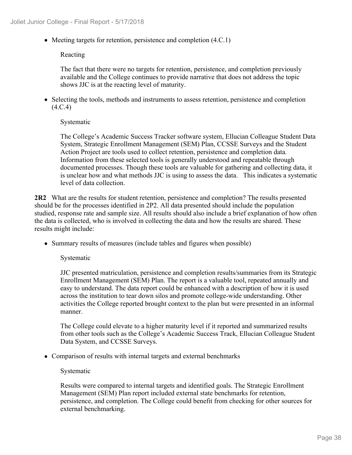• Meeting targets for retention, persistence and completion (4.C.1)

## Reacting

The fact that there were no targets for retention, persistence, and completion previously available and the College continues to provide narrative that does not address the topic shows JJC is at the reacting level of maturity.

• Selecting the tools, methods and instruments to assess retention, persistence and completion  $(4.C.4)$ 

## Systematic

The College's Academic Success Tracker software system, Ellucian Colleague Student Data System, Strategic Enrollment Management (SEM) Plan, CCSSE Surveys and the Student Action Project are tools used to collect retention, persistence and completion data. Information from these selected tools is generally understood and repeatable through documented processes. Though these tools are valuable for gathering and collecting data, it is unclear how and what methods JJC is using to assess the data. This indicates a systematic level of data collection.

**2R2** What are the results for student retention, persistence and completion? The results presented should be for the processes identified in 2P2. All data presented should include the population studied, response rate and sample size. All results should also include a brief explanation of how often the data is collected, who is involved in collecting the data and how the results are shared. These results might include:

Summary results of measures (include tables and figures when possible)

Systematic

JJC presented matriculation, persistence and completion results/summaries from its Strategic Enrollment Management (SEM) Plan. The report is a valuable tool, repeated annually and easy to understand. The data report could be enhanced with a description of how it is used across the institution to tear down silos and promote college-wide understanding. Other activities the College reported brought context to the plan but were presented in an informal manner.

The College could elevate to a higher maturity level if it reported and summarized results from other tools such as the College's Academic Success Track, Ellucian Colleague Student Data System, and CCSSE Surveys.

• Comparison of results with internal targets and external benchmarks

## Systematic

Results were compared to internal targets and identified goals. The Strategic Enrollment Management (SEM) Plan report included external state benchmarks for retention, persistence, and completion. The College could benefit from checking for other sources for external benchmarking.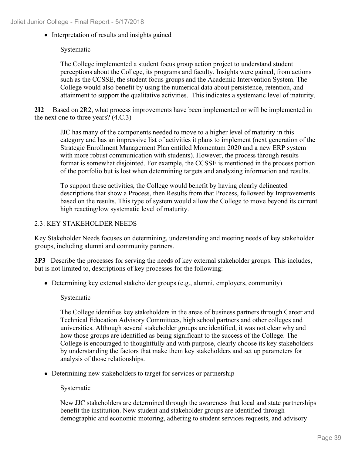• Interpretation of results and insights gained

## Systematic

The College implemented a student focus group action project to understand student perceptions about the College, its programs and faculty. Insights were gained, from actions such as the CCSSE, the student focus groups and the Academic Intervention System. The College would also benefit by using the numerical data about persistence, retention, and attainment to support the qualitative activities. This indicates a systematic level of maturity.

**2I2** Based on 2R2, what process improvements have been implemented or will be implemented in the next one to three years? (4.C.3)

JJC has many of the components needed to move to a higher level of maturity in this category and has an impressive list of activities it plans to implement (next generation of the Strategic Enrollment Management Plan entitled Momentum 2020 and a new ERP system with more robust communication with students). However, the process through results format is somewhat disjointed. For example, the CCSSE is mentioned in the process portion of the portfolio but is lost when determining targets and analyzing information and results.

To support these activities, the College would benefit by having clearly delineated descriptions that show a Process, then Results from that Process, followed by Improvements based on the results. This type of system would allow the College to move beyond its current high reacting/low systematic level of maturity.

## 2.3: KEY STAKEHOLDER NEEDS

Key Stakeholder Needs focuses on determining, understanding and meeting needs of key stakeholder groups, including alumni and community partners.

**2P3** Describe the processes for serving the needs of key external stakeholder groups. This includes, but is not limited to, descriptions of key processes for the following:

Determining key external stakeholder groups (e.g., alumni, employers, community)

## Systematic

The College identifies key stakeholders in the areas of business partners through Career and Technical Education Advisory Committees, high school partners and other colleges and universities. Although several stakeholder groups are identified, it was not clear why and how those groups are identified as being significant to the success of the College. The College is encouraged to thoughtfully and with purpose, clearly choose its key stakeholders by understanding the factors that make them key stakeholders and set up parameters for analysis of those relationships.

• Determining new stakeholders to target for services or partnership

## Systematic

New JJC stakeholders are determined through the awareness that local and state partnerships benefit the institution. New student and stakeholder groups are identified through demographic and economic motoring, adhering to student services requests, and advisory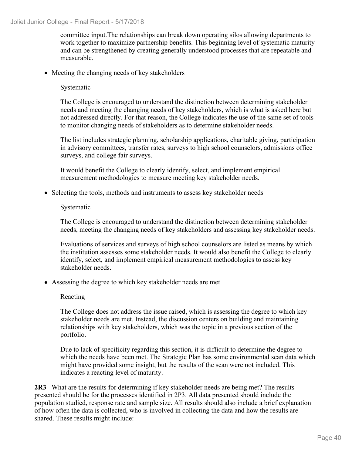committee input.The relationships can break down operating silos allowing departments to work together to maximize partnership benefits. This beginning level of systematic maturity and can be strengthened by creating generally understood processes that are repeatable and measurable.

• Meeting the changing needs of key stakeholders

## Systematic

The College is encouraged to understand the distinction between determining stakeholder needs and meeting the changing needs of key stakeholders, which is what is asked here but not addressed directly. For that reason, the College indicates the use of the same set of tools to monitor changing needs of stakeholders as to determine stakeholder needs.

The list includes strategic planning, scholarship applications, charitable giving, participation in advisory committees, transfer rates, surveys to high school counselors, admissions office surveys, and college fair surveys.

It would benefit the College to clearly identify, select, and implement empirical measurement methodologies to measure meeting key stakeholder needs.

• Selecting the tools, methods and instruments to assess key stakeholder needs

#### Systematic

The College is encouraged to understand the distinction between determining stakeholder needs, meeting the changing needs of key stakeholders and assessing key stakeholder needs.

Evaluations of services and surveys of high school counselors are listed as means by which the institution assesses some stakeholder needs. It would also benefit the College to clearly identify, select, and implement empirical measurement methodologies to assess key stakeholder needs.

Assessing the degree to which key stakeholder needs are met

## Reacting

The College does not address the issue raised, which is assessing the degree to which key stakeholder needs are met. Instead, the discussion centers on building and maintaining relationships with key stakeholders, which was the topic in a previous section of the portfolio.

Due to lack of specificity regarding this section, it is difficult to determine the degree to which the needs have been met. The Strategic Plan has some environmental scan data which might have provided some insight, but the results of the scan were not included. This indicates a reacting level of maturity.

**2R3** What are the results for determining if key stakeholder needs are being met? The results presented should be for the processes identified in 2P3. All data presented should include the population studied, response rate and sample size. All results should also include a brief explanation of how often the data is collected, who is involved in collecting the data and how the results are shared. These results might include: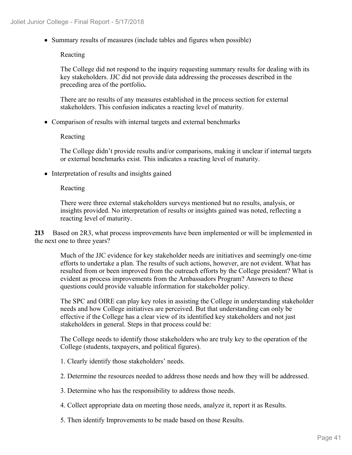Summary results of measures (include tables and figures when possible)

#### Reacting

The College did not respond to the inquiry requesting summary results for dealing with its key stakeholders. JJC did not provide data addressing the processes described in the preceding area of the portfolio**.**

There are no results of any measures established in the process section for external stakeholders. This confusion indicates a reacting level of maturity.

• Comparison of results with internal targets and external benchmarks

Reacting

The College didn't provide results and/or comparisons, making it unclear if internal targets or external benchmarks exist. This indicates a reacting level of maturity.

• Interpretation of results and insights gained

#### Reacting

There were three external stakeholders surveys mentioned but no results, analysis, or insights provided. No interpretation of results or insights gained was noted, reflecting a reacting level of maturity.

**2I3** Based on 2R3, what process improvements have been implemented or will be implemented in the next one to three years?

Much of the JJC evidence for key stakeholder needs are initiatives and seemingly one-time efforts to undertake a plan. The results of such actions, however, are not evident. What has resulted from or been improved from the outreach efforts by the College president? What is evident as process improvements from the Ambassadors Program? Answers to these questions could provide valuable information for stakeholder policy.

The SPC and OIRE can play key roles in assisting the College in understanding stakeholder needs and how College initiatives are perceived. But that understanding can only be effective if the College has a clear view of its identified key stakeholders and not just stakeholders in general. Steps in that process could be:

The College needs to identify those stakeholders who are truly key to the operation of the College (students, taxpayers, and political figures).

- 1. Clearly identify those stakeholders' needs.
- 2. Determine the resources needed to address those needs and how they will be addressed.
- 3. Determine who has the responsibility to address those needs.
- 4. Collect appropriate data on meeting those needs, analyze it, report it as Results.
- 5. Then identify Improvements to be made based on those Results.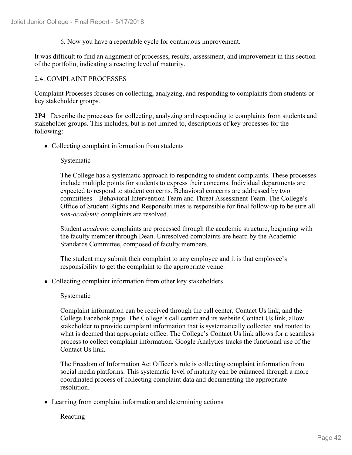6. Now you have a repeatable cycle for continuous improvement.

It was difficult to find an alignment of processes, results, assessment, and improvement in this section of the portfolio, indicating a reacting level of maturity.

## 2.4: COMPLAINT PROCESSES

Complaint Processes focuses on collecting, analyzing, and responding to complaints from students or key stakeholder groups.

**2P4** Describe the processes for collecting, analyzing and responding to complaints from students and stakeholder groups. This includes, but is not limited to, descriptions of key processes for the following:

• Collecting complaint information from students

## Systematic

The College has a systematic approach to responding to student complaints. These processes include multiple points for students to express their concerns. Individual departments are expected to respond to student concerns. Behavioral concerns are addressed by two committees – Behavioral Intervention Team and Threat Assessment Team. The College's Office of Student Rights and Responsibilities is responsible for final follow-up to be sure all *non-academic* complaints are resolved.

Student *academic* complaints are processed through the academic structure, beginning with the faculty member through Dean. Unresolved complaints are heard by the Academic Standards Committee, composed of faculty members.

The student may submit their complaint to any employee and it is that employee's responsibility to get the complaint to the appropriate venue.

Collecting complaint information from other key stakeholders

## Systematic

Complaint information can be received through the call center, Contact Us link, and the College Facebook page. The College's call center and its website Contact Us link, allow stakeholder to provide complaint information that is systematically collected and routed to what is deemed that appropriate office. The College's Contact Us link allows for a seamless process to collect complaint information. Google Analytics tracks the functional use of the Contact Us link.

The Freedom of Information Act Officer's role is collecting complaint information from social media platforms. This systematic level of maturity can be enhanced through a more coordinated process of collecting complaint data and documenting the appropriate resolution.

• Learning from complaint information and determining actions

Reacting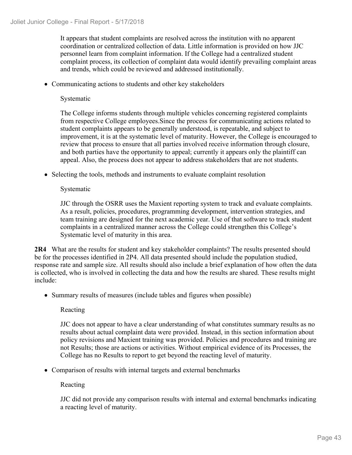It appears that student complaints are resolved across the institution with no apparent coordination or centralized collection of data. Little information is provided on how JJC personnel learn from complaint information. If the College had a centralized student complaint process, its collection of complaint data would identify prevailing complaint areas and trends, which could be reviewed and addressed institutionally.

Communicating actions to students and other key stakeholders

## Systematic

The College informs students through multiple vehicles concerning registered complaints from respective College employees.Since the process for communicating actions related to student complaints appears to be generally understood, is repeatable, and subject to improvement, it is at the systematic level of maturity. However, the College is encouraged to review that process to ensure that all parties involved receive information through closure, and both parties have the opportunity to appeal; currently it appears only the plaintiff can appeal. Also, the process does not appear to address stakeholders that are not students.

• Selecting the tools, methods and instruments to evaluate complaint resolution

## Systematic

JJC through the OSRR uses the Maxient reporting system to track and evaluate complaints. As a result, policies, procedures, programming development, intervention strategies, and team training are designed for the next academic year. Use of that software to track student complaints in a centralized manner across the College could strengthen this College's Systematic level of maturity in this area.

**2R4** What are the results for student and key stakeholder complaints? The results presented should be for the processes identified in 2P4. All data presented should include the population studied, response rate and sample size. All results should also include a brief explanation of how often the data is collected, who is involved in collecting the data and how the results are shared. These results might include:

• Summary results of measures (include tables and figures when possible)

## Reacting

JJC does not appear to have a clear understanding of what constitutes summary results as no results about actual complaint data were provided. Instead, in this section information about policy revisions and Maxient training was provided. Policies and procedures and training are not Results; those are actions or activities. Without empirical evidence of its Processes, the College has no Results to report to get beyond the reacting level of maturity.

• Comparison of results with internal targets and external benchmarks

## Reacting

JJC did not provide any comparison results with internal and external benchmarks indicating a reacting level of maturity.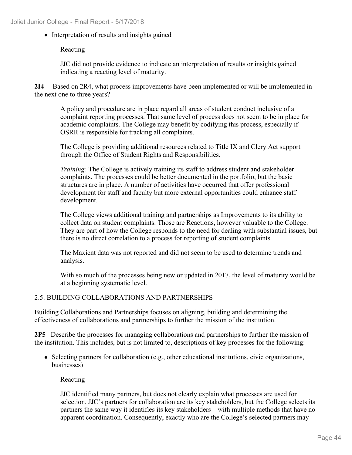• Interpretation of results and insights gained

Reacting

JJC did not provide evidence to indicate an interpretation of results or insights gained indicating a reacting level of maturity.

**2I4** Based on 2R4, what process improvements have been implemented or will be implemented in the next one to three years?

A policy and procedure are in place regard all areas of student conduct inclusive of a complaint reporting processes. That same level of process does not seem to be in place for academic complaints. The College may benefit by codifying this process, especially if OSRR is responsible for tracking all complaints.

The College is providing additional resources related to Title IX and Clery Act support through the Office of Student Rights and Responsibilities.

*Training:* The College is actively training its staff to address student and stakeholder complaints. The processes could be better documented in the portfolio, but the basic structures are in place. A number of activities have occurred that offer professional development for staff and faculty but more external opportunities could enhance staff development.

The College views additional training and partnerships as Improvements to its ability to collect data on student complaints. Those are Reactions, however valuable to the College. They are part of how the College responds to the need for dealing with substantial issues, but there is no direct correlation to a process for reporting of student complaints.

The Maxient data was not reported and did not seem to be used to determine trends and analysis.

With so much of the processes being new or updated in 2017, the level of maturity would be at a beginning systematic level.

## 2.5: BUILDING COLLABORATIONS AND PARTNERSHIPS

Building Collaborations and Partnerships focuses on aligning, building and determining the effectiveness of collaborations and partnerships to further the mission of the institution.

**2P5** Describe the processes for managing collaborations and partnerships to further the mission of the institution. This includes, but is not limited to, descriptions of key processes for the following:

• Selecting partners for collaboration (e.g., other educational institutions, civic organizations, businesses)

Reacting

JJC identified many partners, but does not clearly explain what processes are used for selection. JJC's partners for collaboration are its key stakeholders, but the College selects its partners the same way it identifies its key stakeholders – with multiple methods that have no apparent coordination. Consequently, exactly who are the College's selected partners may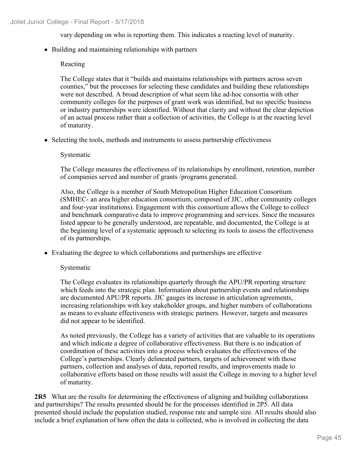vary depending on who is reporting them. This indicates a reacting level of maturity.

• Building and maintaining relationships with partners

## Reacting

The College states that it "builds and maintains relationships with partners across seven counties," but the processes for selecting these candidates and building these relationships were not described. A broad description of what seem like ad-hoc consortia with other community colleges for the purposes of grant work was identified, but no specific business or industry partnerships were identified. Without that clarity and without the clear depiction of an actual process rather than a collection of activities, the College is at the reacting level of maturity.

• Selecting the tools, methods and instruments to assess partnership effectiveness

## Systematic

The College measures the effectiveness of its relationships by enrollment, retention, number of companies served and number of grants /programs generated.

Also, the College is a member of South Metropolitan Higher Education Consortium (SMHEC- an area higher education consortium, composed of JJC, other community colleges and four-year institutions). Engagement with this consortium allows the College to collect and benchmark comparative data to improve programming and services. Since the measures listed appear to be generally understood, are repeatable, and documented, the College is at the beginning level of a systematic approach to selecting its tools to assess the effectiveness of its partnerships.

Evaluating the degree to which collaborations and partnerships are effective

## Systematic

The College evaluates its relationships quarterly through the APU/PR reporting structure which feeds into the strategic plan. Information about partnership events and relationships are documented APU/PR reports. JJC gauges its increase in articulation agreements, increasing relationships with key stakeholder groups, and higher numbers of collaborations as means to evaluate effectiveness with strategic partners. However, targets and measures did not appear to be identified.

As noted previously, the College has a variety of activities that are valuable to its operations and which indicate a degree of collaborative effectiveness. But there is no indication of coordination of these activities into a process which evaluates the effectiveness of the College's partnerships. Clearly delineated partners, targets of achievement with those partners, collection and analyses of data, reported results, and improvements made to collaborative efforts based on those results will assist the College in moving to a higher level of maturity.

**2R5** What are the results for determining the effectiveness of aligning and building collaborations and partnerships? The results presented should be for the processes identified in 2P5. All data presented should include the population studied, response rate and sample size. All results should also include a brief explanation of how often the data is collected, who is involved in collecting the data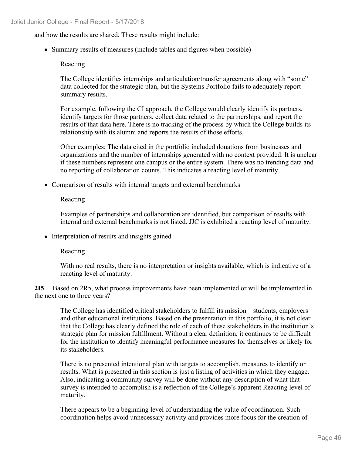and how the results are shared. These results might include:

Summary results of measures (include tables and figures when possible)

#### Reacting

The College identifies internships and articulation/transfer agreements along with "some" data collected for the strategic plan, but the Systems Portfolio fails to adequately report summary results.

For example, following the CI approach, the College would clearly identify its partners, identify targets for those partners, collect data related to the partnerships, and report the results of that data here. There is no tracking of the process by which the College builds its relationship with its alumni and reports the results of those efforts.

Other examples: The data cited in the portfolio included donations from businesses and organizations and the number of internships generated with no context provided. It is unclear if these numbers represent one campus or the entire system. There was no trending data and no reporting of collaboration counts. This indicates a reacting level of maturity.

• Comparison of results with internal targets and external benchmarks

Reacting

Examples of partnerships and collaboration are identified, but comparison of results with internal and external benchmarks is not listed. JJC is exhibited a reacting level of maturity.

• Interpretation of results and insights gained

Reacting

With no real results, there is no interpretation or insights available, which is indicative of a reacting level of maturity.

**2I5** Based on 2R5, what process improvements have been implemented or will be implemented in the next one to three years?

The College has identified critical stakeholders to fulfill its mission – students, employers and other educational institutions. Based on the presentation in this portfolio, it is not clear that the College has clearly defined the role of each of these stakeholders in the institution's strategic plan for mission fulfillment. Without a clear definition, it continues to be difficult for the institution to identify meaningful performance measures for themselves or likely for its stakeholders.

There is no presented intentional plan with targets to accomplish, measures to identify or results. What is presented in this section is just a listing of activities in which they engage. Also, indicating a community survey will be done without any description of what that survey is intended to accomplish is a reflection of the College's apparent Reacting level of maturity.

There appears to be a beginning level of understanding the value of coordination. Such coordination helps avoid unnecessary activity and provides more focus for the creation of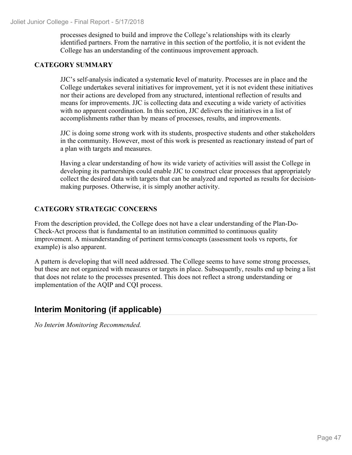processes designed to build and improve the College's relationships with its clearly identified partners. From the narrative in this section of the portfolio, it is not evident the College has an understanding of the continuous improvement approach.

## **CATEGORY SUMMARY**

JJC's self-analysis indicated a systematic **l**evel of maturity. Processes are in place and the College undertakes several initiatives for improvement, yet it is not evident these initiatives nor their actions are developed from any structured, intentional reflection of results and means for improvements. JJC is collecting data and executing a wide variety of activities with no apparent coordination. In this section, JJC delivers the initiatives in a list of accomplishments rather than by means of processes, results, and improvements.

JJC is doing some strong work with its students, prospective students and other stakeholders in the community. However, most of this work is presented as reactionary instead of part of a plan with targets and measures.

Having a clear understanding of how its wide variety of activities will assist the College in developing its partnerships could enable JJC to construct clear processes that appropriately collect the desired data with targets that can be analyzed and reported as results for decisionmaking purposes. Otherwise, it is simply another activity.

## **CATEGORY STRATEGIC CONCERNS**

From the description provided, the College does not have a clear understanding of the Plan-Do-Check-Act process that is fundamental to an institution committed to continuous quality improvement. A misunderstanding of pertinent terms/concepts (assessment tools vs reports, for example) is also apparent.

A pattern is developing that will need addressed. The College seems to have some strong processes, but these are not organized with measures or targets in place. Subsequently, results end up being a list that does not relate to the processes presented. This does not reflect a strong understanding or implementation of the AQIP and CQI process.

# **Interim Monitoring (if applicable)**

*No Interim Monitoring Recommended.*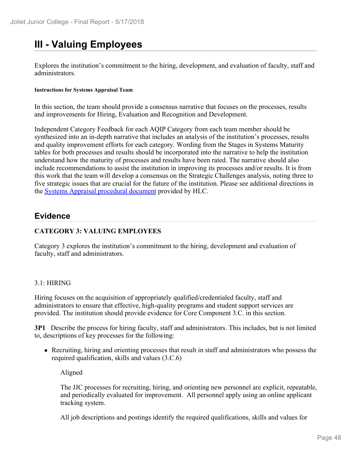# **III - Valuing Employees**

Explores the institution's commitment to the hiring, development, and evaluation of faculty, staff and administrators.

#### **Instructions for Systems Appraisal Team**

In this section, the team should provide a consensus narrative that focuses on the processes, results and improvements for Hiring, Evaluation and Recognition and Development.

Independent Category Feedback for each AQIP Category from each team member should be synthesized into an in-depth narrative that includes an analysis of the institution's processes, results and quality improvement efforts for each category. Wording from the Stages in Systems Maturity tables for both processes and results should be incorporated into the narrative to help the institution understand how the maturity of processes and results have been rated. The narrative should also include recommendations to assist the institution in improving its processes and/or results. It is from this work that the team will develop a consensus on the Strategic Challenges analysis, noting three to five strategic issues that are crucial for the future of the institution. Please see additional directions in the Systems Appraisal procedural document provided by HLC.

## **Evidence**

## **CATEGORY 3: VALUING EMPLOYEES**

Category 3 explores the institution's commitment to the hiring, development and evaluation of faculty, staff and administrators.

## 3.1: HIRING

Hiring focuses on the acquisition of appropriately qualified/credentialed faculty, staff and administrators to ensure that effective, high-quality programs and student support services are provided. The institution should provide evidence for Core Component 3.C. in this section.

**3P1** Describe the process for hiring faculty, staff and administrators. This includes, but is not limited to, descriptions of key processes for the following:

Recruiting, hiring and orienting processes that result in staff and administrators who possess the required qualification, skills and values (3.C.6)

Aligned

The JJC processes for recruiting, hiring, and orienting new personnel are explicit, repeatable, and periodically evaluated for improvement. All personnel apply using an online applicant tracking system.

All job descriptions and postings identify the required qualifications, skills and values for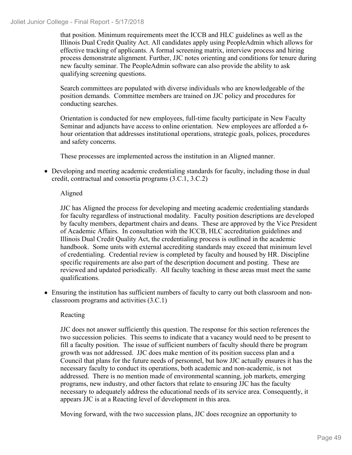#### Joliet Junior College - Final Report - 5/17/2018

that position. Minimum requirements meet the ICCB and HLC guidelines as well as the Illinois Dual Credit Quality Act. All candidates apply using PeopleAdmin which allows for effective tracking of applicants. A formal screening matrix, interview process and hiring process demonstrate alignment. Further, JJC notes orienting and conditions for tenure during new faculty seminar. The PeopleAdmin software can also provide the ability to ask qualifying screening questions.

Search committees are populated with diverse individuals who are knowledgeable of the position demands. Committee members are trained on JJC policy and procedures for conducting searches.

Orientation is conducted for new employees, full-time faculty participate in New Faculty Seminar and adjuncts have access to online orientation. New employees are afforded a 6 hour orientation that addresses institutional operations, strategic goals, polices, procedures and safety concerns.

These processes are implemented across the institution in an Aligned manner.

Developing and meeting academic credentialing standards for faculty, including those in dual credit, contractual and consortia programs (3.C.1, 3.C.2)

## Aligned

JJC has Aligned the process for developing and meeting academic credentialing standards for faculty regardless of instructional modality. Faculty position descriptions are developed by faculty members, department chairs and deans. These are approved by the Vice President of Academic Affairs. In consultation with the ICCB, HLC accreditation guidelines and Illinois Dual Credit Quality Act, the credentialing process is outlined in the academic handbook. Some units with external accrediting standards may exceed that minimum level of credentialing. Credential review is completed by faculty and housed by HR. Discipline specific requirements are also part of the description document and posting. These are reviewed and updated periodically. All faculty teaching in these areas must meet the same qualifications.

Ensuring the institution has sufficient numbers of faculty to carry out both classroom and nonclassroom programs and activities (3.C.1)

## Reacting

JJC does not answer sufficiently this question. The response for this section references the two succession policies. This seems to indicate that a vacancy would need to be present to fill a faculty position. The issue of sufficient numbers of faculty should there be program growth was not addressed. JJC does make mention of its position success plan and a Council that plans for the future needs of personnel, but how JJC actually ensures it has the necessary faculty to conduct its operations, both academic and non-academic, is not addressed. There is no mention made of environmental scanning, job markets, emerging programs, new industry, and other factors that relate to ensuring JJC has the faculty necessary to adequately address the educational needs of its service area. Consequently, it appears JJC is at a Reacting level of development in this area.

Moving forward, with the two succession plans, JJC does recognize an opportunity to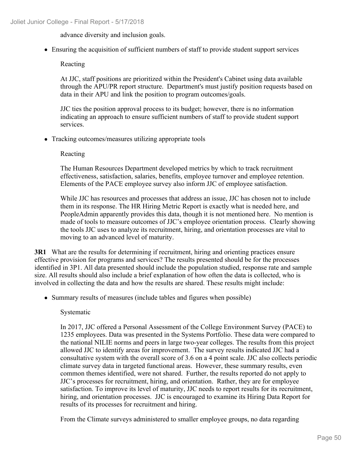advance diversity and inclusion goals.

Ensuring the acquisition of sufficient numbers of staff to provide student support services

Reacting

At JJC, staff positions are prioritized within the President's Cabinet using data available through the APU/PR report structure. Department's must justify position requests based on data in their APU and link the position to program outcomes/goals.

JJC ties the position approval process to its budget; however, there is no information indicating an approach to ensure sufficient numbers of staff to provide student support services.

• Tracking outcomes/measures utilizing appropriate tools

Reacting

The Human Resources Department developed metrics by which to track recruitment effectiveness, satisfaction, salaries, benefits, employee turnover and employee retention. Elements of the PACE employee survey also inform JJC of employee satisfaction.

While JJC has resources and processes that address an issue, JJC has chosen not to include them in its response. The HR Hiring Metric Report is exactly what is needed here, and PeopleAdmin apparently provides this data, though it is not mentioned here. No mention is made of tools to measure outcomes of JJC's employee orientation process. Clearly showing the tools JJC uses to analyze its recruitment, hiring, and orientation processes are vital to moving to an advanced level of maturity.

**3R1** What are the results for determining if recruitment, hiring and orienting practices ensure effective provision for programs and services? The results presented should be for the processes identified in 3P1. All data presented should include the population studied, response rate and sample size. All results should also include a brief explanation of how often the data is collected, who is involved in collecting the data and how the results are shared. These results might include:

• Summary results of measures (include tables and figures when possible)

Systematic

In 2017, JJC offered a Personal Assessment of the College Environment Survey (PACE) to 1235 employees. Data was presented in the Systems Portfolio. These data were compared to the national NILIE norms and peers in large two-year colleges. The results from this project allowed JJC to identify areas for improvement. The survey results indicated JJC had a consultative system with the overall score of 3.6 on a 4 point scale. JJC also collects periodic climate survey data in targeted functional areas. However, these summary results, even common themes identified, were not shared. Further, the results reported do not apply to JJC's processes for recruitment, hiring, and orientation. Rather, they are for employee satisfaction. To improve its level of maturity, JJC needs to report results for its recruitment, hiring, and orientation processes. JJC is encouraged to examine its Hiring Data Report for results of its processes for recruitment and hiring.

From the Climate surveys administered to smaller employee groups, no data regarding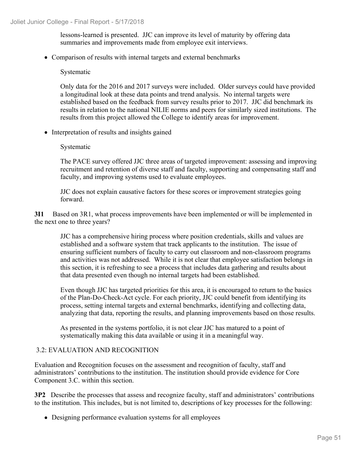lessons-learned is presented. JJC can improve its level of maturity by offering data summaries and improvements made from employee exit interviews.

• Comparison of results with internal targets and external benchmarks

Systematic

Only data for the 2016 and 2017 surveys were included. Older surveys could have provided a longitudinal look at these data points and trend analysis. No internal targets were established based on the feedback from survey results prior to 2017. JJC did benchmark its results in relation to the national NILIE norms and peers for similarly sized institutions. The results from this project allowed the College to identify areas for improvement.

• Interpretation of results and insights gained

#### Systematic

The PACE survey offered JJC three areas of targeted improvement: assessing and improving recruitment and retention of diverse staff and faculty, supporting and compensating staff and faculty, and improving systems used to evaluate employees.

JJC does not explain causative factors for these scores or improvement strategies going forward.

**3I1** Based on 3R1, what process improvements have been implemented or will be implemented in the next one to three years?

JJC has a comprehensive hiring process where position credentials, skills and values are established and a software system that track applicants to the institution. The issue of ensuring sufficient numbers of faculty to carry out classroom and non-classroom programs and activities was not addressed. While it is not clear that employee satisfaction belongs in this section, it is refreshing to see a process that includes data gathering and results about that data presented even though no internal targets had been established.

Even though JJC has targeted priorities for this area, it is encouraged to return to the basics of the Plan-Do-Check-Act cycle. For each priority, JJC could benefit from identifying its process, setting internal targets and external benchmarks, identifying and collecting data, analyzing that data, reporting the results, and planning improvements based on those results.

As presented in the systems portfolio, it is not clear JJC has matured to a point of systematically making this data available or using it in a meaningful way.

## 3.2: EVALUATION AND RECOGNITION

Evaluation and Recognition focuses on the assessment and recognition of faculty, staff and administrators' contributions to the institution. The institution should provide evidence for Core Component 3.C. within this section.

**3P2** Describe the processes that assess and recognize faculty, staff and administrators' contributions to the institution. This includes, but is not limited to, descriptions of key processes for the following:

Designing performance evaluation systems for all employees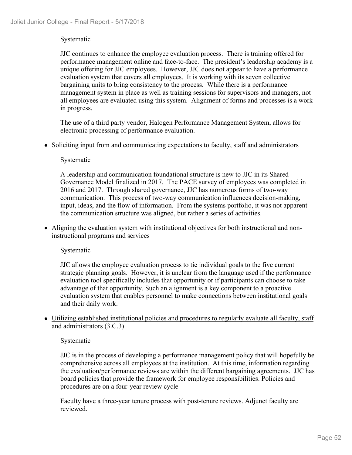## Systematic

JJC continues to enhance the employee evaluation process. There is training offered for performance management online and face-to-face. The president's leadership academy is a unique offering for JJC employees. However, JJC does not appear to have a performance evaluation system that covers all employees. It is working with its seven collective bargaining units to bring consistency to the process. While there is a performance management system in place as well as training sessions for supervisors and managers, not all employees are evaluated using this system. Alignment of forms and processes is a work in progress.

The use of a third party vendor, Halogen Performance Management System, allows for electronic processing of performance evaluation.

• Soliciting input from and communicating expectations to faculty, staff and administrators

#### Systematic

A leadership and communication foundational structure is new to JJC in its Shared Governance Model finalized in 2017. The PACE survey of employees was completed in 2016 and 2017. Through shared governance, JJC has numerous forms of two-way communication. This process of two-way communication influences decision-making, input, ideas, and the flow of information. From the systems portfolio, it was not apparent the communication structure was aligned, but rather a series of activities.

Aligning the evaluation system with institutional objectives for both instructional and noninstructional programs and services

#### Systematic

JJC allows the employee evaluation process to tie individual goals to the five current strategic planning goals. However, it is unclear from the language used if the performance evaluation tool specifically includes that opportunity or if participants can choose to take advantage of that opportunity. Such an alignment is a key component to a proactive evaluation system that enables personnel to make connections between institutional goals and their daily work.

Utilizing established institutional policies and procedures to regularly evaluate all faculty, staff and administrators (3.C.3)

#### Systematic

JJC is in the process of developing a performance management policy that will hopefully be comprehensive across all employees at the institution. At this time, information regarding the evaluation/performance reviews are within the different bargaining agreements. JJC has board policies that provide the framework for employee responsibilities. Policies and procedures are on a four-year review cycle

Faculty have a three-year tenure process with post-tenure reviews. Adjunct faculty are reviewed.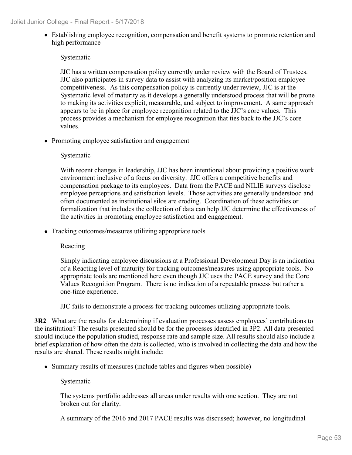Establishing employee recognition, compensation and benefit systems to promote retention and high performance

## Systematic

JJC has a written compensation policy currently under review with the Board of Trustees. JJC also participates in survey data to assist with analyzing its market/position employee competitiveness. As this compensation policy is currently under review, JJC is at the Systematic level of maturity as it develops a generally understood process that will be prone to making its activities explicit, measurable, and subject to improvement. A same approach appears to be in place for employee recognition related to the JJC's core values. This process provides a mechanism for employee recognition that ties back to the JJC's core values.

• Promoting employee satisfaction and engagement

## Systematic

With recent changes in leadership, JJC has been intentional about providing a positive work environment inclusive of a focus on diversity. JJC offers a competitive benefits and compensation package to its employees. Data from the PACE and NILIE surveys disclose employee perceptions and satisfaction levels. Those activities are generally understood and often documented as institutional silos are eroding. Coordination of these activities or formalization that includes the collection of data can help JJC determine the effectiveness of the activities in promoting employee satisfaction and engagement.

• Tracking outcomes/measures utilizing appropriate tools

## Reacting

Simply indicating employee discussions at a Professional Development Day is an indication of a Reacting level of maturity for tracking outcomes/measures using appropriate tools. No appropriate tools are mentioned here even though JJC uses the PACE survey and the Core Values Recognition Program. There is no indication of a repeatable process but rather a one-time experience.

JJC fails to demonstrate a process for tracking outcomes utilizing appropriate tools.

**3R2** What are the results for determining if evaluation processes assess employees' contributions to the institution? The results presented should be for the processes identified in 3P2. All data presented should include the population studied, response rate and sample size. All results should also include a brief explanation of how often the data is collected, who is involved in collecting the data and how the results are shared. These results might include:

• Summary results of measures (include tables and figures when possible)

## Systematic

The systems portfolio addresses all areas under results with one section. They are not broken out for clarity.

A summary of the 2016 and 2017 PACE results was discussed; however, no longitudinal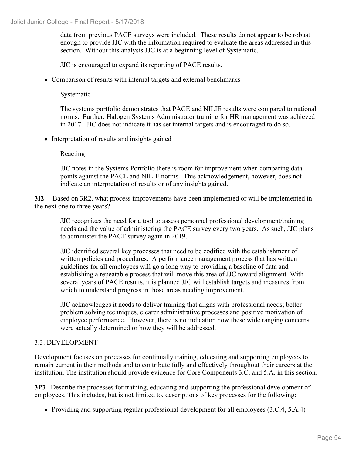data from previous PACE surveys were included. These results do not appear to be robust enough to provide JJC with the information required to evaluate the areas addressed in this section. Without this analysis JJC is at a beginning level of Systematic.

JJC is encouraged to expand its reporting of PACE results.

• Comparison of results with internal targets and external benchmarks

Systematic

The systems portfolio demonstrates that PACE and NILIE results were compared to national norms. Further, Halogen Systems Administrator training for HR management was achieved in 2017. JJC does not indicate it has set internal targets and is encouraged to do so.

• Interpretation of results and insights gained

Reacting

JJC notes in the Systems Portfolio there is room for improvement when comparing data points against the PACE and NILIE norms. This acknowledgement, however, does not indicate an interpretation of results or of any insights gained.

**3I2** Based on 3R2, what process improvements have been implemented or will be implemented in the next one to three years?

JJC recognizes the need for a tool to assess personnel professional development/training needs and the value of administering the PACE survey every two years. As such, JJC plans to administer the PACE survey again in 2019.

JJC identified several key processes that need to be codified with the establishment of written policies and procedures. A performance management process that has written guidelines for all employees will go a long way to providing a baseline of data and establishing a repeatable process that will move this area of JJC toward alignment. With several years of PACE results, it is planned JJC will establish targets and measures from which to understand progress in those areas needing improvement.

JJC acknowledges it needs to deliver training that aligns with professional needs; better problem solving techniques, clearer administrative processes and positive motivation of employee performance. However, there is no indication how these wide ranging concerns were actually determined or how they will be addressed.

## 3.3: DEVELOPMENT

Development focuses on processes for continually training, educating and supporting employees to remain current in their methods and to contribute fully and effectively throughout their careers at the institution. The institution should provide evidence for Core Components 3.C. and 5.A. in this section.

**3P3** Describe the processes for training, educating and supporting the professional development of employees. This includes, but is not limited to, descriptions of key processes for the following:

• Providing and supporting regular professional development for all employees (3.C.4, 5.A.4)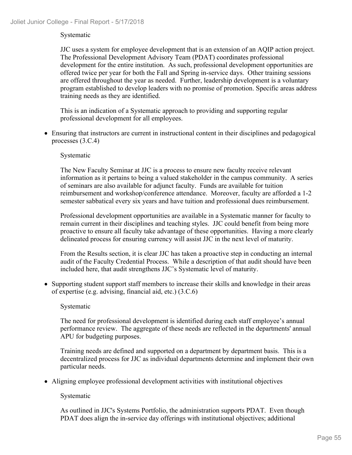## Systematic

JJC uses a system for employee development that is an extension of an AQIP action project. The Professional Development Advisory Team (PDAT) coordinates professional development for the entire institution. As such, professional development opportunities are offered twice per year for both the Fall and Spring in-service days. Other training sessions are offered throughout the year as needed. Further, leadership development is a voluntary program established to develop leaders with no promise of promotion. Specific areas address training needs as they are identified.

This is an indication of a Systematic approach to providing and supporting regular professional development for all employees.

Ensuring that instructors are current in instructional content in their disciplines and pedagogical processes (3.C.4)

#### Systematic

The New Faculty Seminar at JJC is a process to ensure new faculty receive relevant information as it pertains to being a valued stakeholder in the campus community. A series of seminars are also available for adjunct faculty. Funds are available for tuition reimbursement and workshop/conference attendance. Moreover, faculty are afforded a 1-2 semester sabbatical every six years and have tuition and professional dues reimbursement.

Professional development opportunities are available in a Systematic manner for faculty to remain current in their disciplines and teaching styles. JJC could benefit from being more proactive to ensure all faculty take advantage of these opportunities. Having a more clearly delineated process for ensuring currency will assist JJC in the next level of maturity.

From the Results section, it is clear JJC has taken a proactive step in conducting an internal audit of the Faculty Credential Process. While a description of that audit should have been included here, that audit strengthens JJC's Systematic level of maturity.

Supporting student support staff members to increase their skills and knowledge in their areas of expertise (e.g. advising, financial aid, etc.) (3.C.6)

## Systematic

The need for professional development is identified during each staff employee's annual performance review. The aggregate of these needs are reflected in the departments' annual APU for budgeting purposes.

Training needs are defined and supported on a department by department basis. This is a decentralized process for JJC as individual departments determine and implement their own particular needs.

Aligning employee professional development activities with institutional objectives

Systematic

As outlined in JJC's Systems Portfolio, the administration supports PDAT. Even though PDAT does align the in-service day offerings with institutional objectives; additional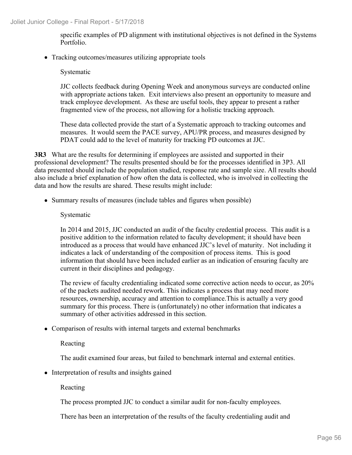specific examples of PD alignment with institutional objectives is not defined in the Systems Portfolio.

• Tracking outcomes/measures utilizing appropriate tools

## Systematic

JJC collects feedback during Opening Week and anonymous surveys are conducted online with appropriate actions taken. Exit interviews also present an opportunity to measure and track employee development. As these are useful tools, they appear to present a rather fragmented view of the process, not allowing for a holistic tracking approach.

These data collected provide the start of a Systematic approach to tracking outcomes and measures. It would seem the PACE survey, APU/PR process, and measures designed by PDAT could add to the level of maturity for tracking PD outcomes at JJC.

**3R3** What are the results for determining if employees are assisted and supported in their professional development? The results presented should be for the processes identified in 3P3. All data presented should include the population studied, response rate and sample size. All results should also include a brief explanation of how often the data is collected, who is involved in collecting the data and how the results are shared. These results might include:

• Summary results of measures (include tables and figures when possible)

## Systematic

In 2014 and 2015, JJC conducted an audit of the faculty credential process. This audit is a positive addition to the information related to faculty development; it should have been introduced as a process that would have enhanced JJC's level of maturity. Not including it indicates a lack of understanding of the composition of process items. This is good information that should have been included earlier as an indication of ensuring faculty are current in their disciplines and pedagogy.

The review of faculty credentialing indicated some corrective action needs to occur, as 20% of the packets audited needed rework. This indicates a process that may need more resources, ownership, accuracy and attention to compliance.This is actually a very good summary for this process. There is (unfortunately) no other information that indicates a summary of other activities addressed in this section.

Comparison of results with internal targets and external benchmarks

Reacting

The audit examined four areas, but failed to benchmark internal and external entities.

• Interpretation of results and insights gained

Reacting

The process prompted JJC to conduct a similar audit for non-faculty employees.

There has been an interpretation of the results of the faculty credentialing audit and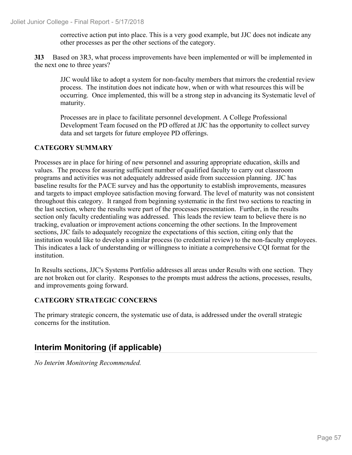corrective action put into place. This is a very good example, but JJC does not indicate any other processes as per the other sections of the category.

**3I3** Based on 3R3, what process improvements have been implemented or will be implemented in the next one to three years?

JJC would like to adopt a system for non-faculty members that mirrors the credential review process. The institution does not indicate how, when or with what resources this will be occurring. Once implemented, this will be a strong step in advancing its Systematic level of maturity.

Processes are in place to facilitate personnel development. A College Professional Development Team focused on the PD offered at JJC has the opportunity to collect survey data and set targets for future employee PD offerings.

## **CATEGORY SUMMARY**

Processes are in place for hiring of new personnel and assuring appropriate education, skills and values. The process for assuring sufficient number of qualified faculty to carry out classroom programs and activities was not adequately addressed aside from succession planning. JJC has baseline results for the PACE survey and has the opportunity to establish improvements, measures and targets to impact employee satisfaction moving forward. The level of maturity was not consistent throughout this category. It ranged from beginning systematic in the first two sections to reacting in the last section, where the results were part of the processes presentation. Further, in the results section only faculty credentialing was addressed. This leads the review team to believe there is no tracking, evaluation or improvement actions concerning the other sections. In the Improvement sections, JJC fails to adequately recognize the expectations of this section, citing only that the institution would like to develop a similar process (to credential review) to the non-faculty employees. This indicates a lack of understanding or willingness to initiate a comprehensive CQI format for the institution.

In Results sections, JJC's Systems Portfolio addresses all areas under Results with one section. They are not broken out for clarity. Responses to the prompts must address the actions, processes, results, and improvements going forward.

## **CATEGORY STRATEGIC CONCERNS**

The primary strategic concern, the systematic use of data, is addressed under the overall strategic concerns for the institution.

# **Interim Monitoring (if applicable)**

*No Interim Monitoring Recommended.*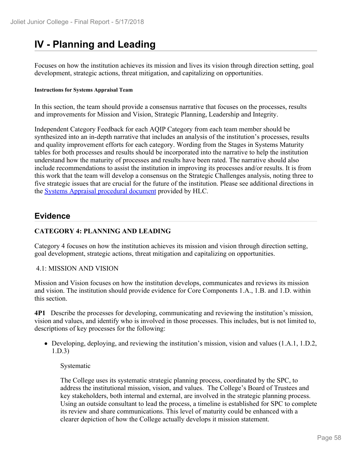# **IV - Planning and Leading**

Focuses on how the institution achieves its mission and lives its vision through direction setting, goal development, strategic actions, threat mitigation, and capitalizing on opportunities.

#### **Instructions for Systems Appraisal Team**

In this section, the team should provide a consensus narrative that focuses on the processes, results and improvements for Mission and Vision, Strategic Planning, Leadership and Integrity.

Independent Category Feedback for each AQIP Category from each team member should be synthesized into an in-depth narrative that includes an analysis of the institution's processes, results and quality improvement efforts for each category. Wording from the Stages in Systems Maturity tables for both processes and results should be incorporated into the narrative to help the institution understand how the maturity of processes and results have been rated. The narrative should also include recommendations to assist the institution in improving its processes and/or results. It is from this work that the team will develop a consensus on the Strategic Challenges analysis, noting three to five strategic issues that are crucial for the future of the institution. Please see additional directions in the **Systems Appraisal procedural document** provided by HLC.

## **Evidence**

## **CATEGORY 4: PLANNING AND LEADING**

Category 4 focuses on how the institution achieves its mission and vision through direction setting, goal development, strategic actions, threat mitigation and capitalizing on opportunities.

## 4.1: MISSION AND VISION

Mission and Vision focuses on how the institution develops, communicates and reviews its mission and vision. The institution should provide evidence for Core Components 1.A., 1.B. and 1.D. within this section.

**4P1** Describe the processes for developing, communicating and reviewing the institution's mission, vision and values, and identify who is involved in those processes. This includes, but is not limited to, descriptions of key processes for the following:

Developing, deploying, and reviewing the institution's mission, vision and values (1.A.1, 1.D.2, 1.D.3)

## Systematic

The College uses its systematic strategic planning process, coordinated by the SPC, to address the institutional mission, vision, and values. The College's Board of Trustees and key stakeholders, both internal and external, are involved in the strategic planning process. Using an outside consultant to lead the process, a timeline is established for SPC to complete its review and share communications. This level of maturity could be enhanced with a clearer depiction of how the College actually develops it mission statement.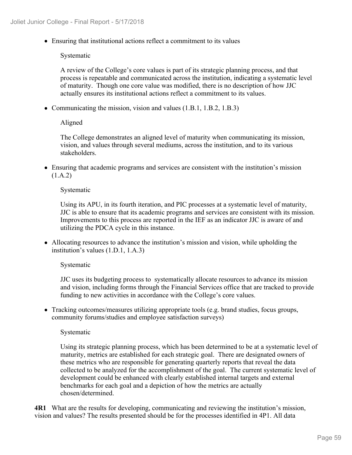Ensuring that institutional actions reflect a commitment to its values

Systematic

A review of the College's core values is part of its strategic planning process, and that process is repeatable and communicated across the institution, indicating a systematic level of maturity. Though one core value was modified, there is no description of how JJC actually ensures its institutional actions reflect a commitment to its values.

• Communicating the mission, vision and values (1.B.1, 1.B.2, 1.B.3)

Aligned

The College demonstrates an aligned level of maturity when communicating its mission, vision, and values through several mediums, across the institution, and to its various stakeholders.

Ensuring that academic programs and services are consistent with the institution's mission (1.A.2)

#### Systematic

Using its APU, in its fourth iteration, and PIC processes at a systematic level of maturity, JJC is able to ensure that its academic programs and services are consistent with its mission. Improvements to this process are reported in the IEF as an indicator JJC is aware of and utilizing the PDCA cycle in this instance.

Allocating resources to advance the institution's mission and vision, while upholding the institution's values (1.D.1, 1.A.3)

#### Systematic

JJC uses its budgeting process to systematically allocate resources to advance its mission and vision, including forms through the Financial Services office that are tracked to provide funding to new activities in accordance with the College's core values.

Tracking outcomes/measures utilizing appropriate tools (e.g. brand studies, focus groups, community forums/studies and employee satisfaction surveys)

#### Systematic

Using its strategic planning process, which has been determined to be at a systematic level of maturity, metrics are established for each strategic goal. There are designated owners of these metrics who are responsible for generating quarterly reports that reveal the data collected to be analyzed for the accomplishment of the goal. The current systematic level of development could be enhanced with clearly established internal targets and external benchmarks for each goal and a depiction of how the metrics are actually chosen/determined.

**4R1** What are the results for developing, communicating and reviewing the institution's mission, vision and values? The results presented should be for the processes identified in 4P1. All data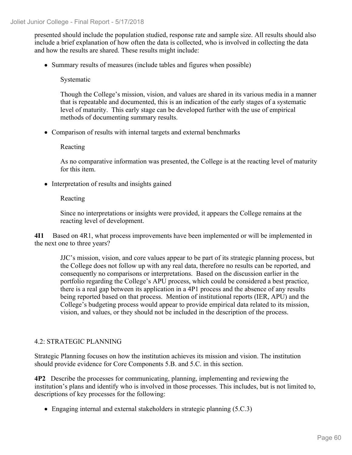Joliet Junior College - Final Report - 5/17/2018

presented should include the population studied, response rate and sample size. All results should also include a brief explanation of how often the data is collected, who is involved in collecting the data and how the results are shared. These results might include:

• Summary results of measures (include tables and figures when possible)

Systematic

Though the College's mission, vision, and values are shared in its various media in a manner that is repeatable and documented, this is an indication of the early stages of a systematic level of maturity. This early stage can be developed further with the use of empirical methods of documenting summary results.

Comparison of results with internal targets and external benchmarks

Reacting

As no comparative information was presented, the College is at the reacting level of maturity for this item.

• Interpretation of results and insights gained

## Reacting

Since no interpretations or insights were provided, it appears the College remains at the reacting level of development.

**4I1** Based on 4R1, what process improvements have been implemented or will be implemented in the next one to three years?

JJC's mission, vision, and core values appear to be part of its strategic planning process, but the College does not follow up with any real data, therefore no results can be reported, and consequently no comparisons or interpretations. Based on the discussion earlier in the portfolio regarding the College's APU process, which could be considered a best practice, there is a real gap between its application in a 4P1 process and the absence of any results being reported based on that process. Mention of institutional reports (IER, APU) and the College's budgeting process would appear to provide empirical data related to its mission, vision, and values, or they should not be included in the description of the process.

## 4.2: STRATEGIC PLANNING

Strategic Planning focuses on how the institution achieves its mission and vision. The institution should provide evidence for Core Components 5.B. and 5.C. in this section.

**4P2** Describe the processes for communicating, planning, implementing and reviewing the institution's plans and identify who is involved in those processes. This includes, but is not limited to, descriptions of key processes for the following:

• Engaging internal and external stakeholders in strategic planning (5.C.3)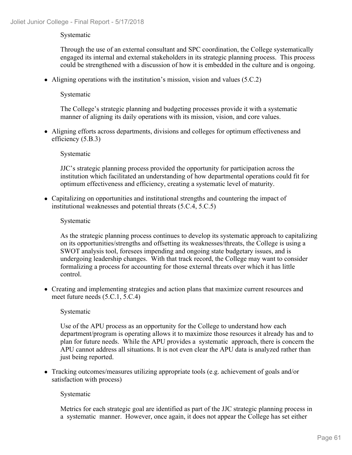## Systematic

Through the use of an external consultant and SPC coordination, the College systematically engaged its internal and external stakeholders in its strategic planning process. This process could be strengthened with a discussion of how it is embedded in the culture and is ongoing.

Aligning operations with the institution's mission, vision and values (5.C.2)

## Systematic

The College's strategic planning and budgeting processes provide it with a systematic manner of aligning its daily operations with its mission, vision, and core values.

Aligning efforts across departments, divisions and colleges for optimum effectiveness and efficiency (5.B.3)

## Systematic

JJC's strategic planning process provided the opportunity for participation across the institution which facilitated an understanding of how departmental operations could fit for optimum effectiveness and efficiency, creating a systematic level of maturity.

Capitalizing on opportunities and institutional strengths and countering the impact of institutional weaknesses and potential threats (5.C.4, 5.C.5)

## Systematic

As the strategic planning process continues to develop its systematic approach to capitalizing on its opportunities/strengths and offsetting its weaknesses/threats, the College is using a SWOT analysis tool, foresees impending and ongoing state budgetary issues, and is undergoing leadership changes. With that track record, the College may want to consider formalizing a process for accounting for those external threats over which it has little control.

Creating and implementing strategies and action plans that maximize current resources and meet future needs (5.C.1, 5.C.4)

## Systematic

Use of the APU process as an opportunity for the College to understand how each department/program is operating allows it to maximize those resources it already has and to plan for future needs. While the APU provides a systematic approach, there is concern the APU cannot address all situations. It is not even clear the APU data is analyzed rather than just being reported.

Tracking outcomes/measures utilizing appropriate tools (e.g. achievement of goals and/or satisfaction with process)

## Systematic

Metrics for each strategic goal are identified as part of the JJC strategic planning process in a systematic manner. However, once again, it does not appear the College has set either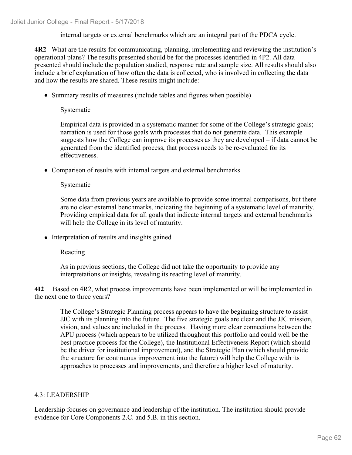internal targets or external benchmarks which are an integral part of the PDCA cycle.

**4R2** What are the results for communicating, planning, implementing and reviewing the institution's operational plans? The results presented should be for the processes identified in 4P2. All data presented should include the population studied, response rate and sample size. All results should also include a brief explanation of how often the data is collected, who is involved in collecting the data and how the results are shared. These results might include:

• Summary results of measures (include tables and figures when possible)

Systematic

Empirical data is provided in a systematic manner for some of the College's strategic goals; narration is used for those goals with processes that do not generate data. This example suggests how the College can improve its processes as they are developed – if data cannot be generated from the identified process, that process needs to be re-evaluated for its effectiveness.

Comparison of results with internal targets and external benchmarks

## Systematic

Some data from previous years are available to provide some internal comparisons, but there are no clear external benchmarks, indicating the beginning of a systematic level of maturity. Providing empirical data for all goals that indicate internal targets and external benchmarks will help the College in its level of maturity.

• Interpretation of results and insights gained

## Reacting

As in previous sections, the College did not take the opportunity to provide any interpretations or insights, revealing its reacting level of maturity.

**4I2** Based on 4R2, what process improvements have been implemented or will be implemented in the next one to three years?

The College's Strategic Planning process appears to have the beginning structure to assist JJC with its planning into the future. The five strategic goals are clear and the JJC mission, vision, and values are included in the process. Having more clear connections between the APU process (which appears to be utilized throughout this portfolio and could well be the best practice process for the College), the Institutional Effectiveness Report (which should be the driver for institutional improvement), and the Strategic Plan (which should provide the structure for continuous improvement into the future) will help the College with its approaches to processes and improvements, and therefore a higher level of maturity.

## 4.3: LEADERSHIP

Leadership focuses on governance and leadership of the institution. The institution should provide evidence for Core Components 2.C. and 5.B. in this section.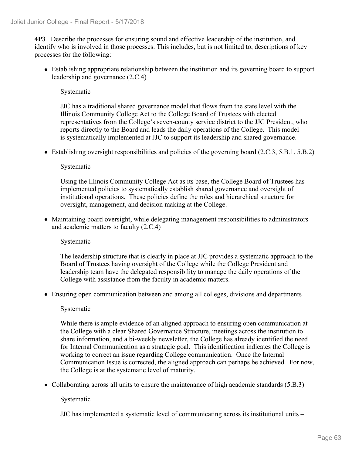**4P3** Describe the processes for ensuring sound and effective leadership of the institution, and identify who is involved in those processes. This includes, but is not limited to, descriptions of key processes for the following:

Establishing appropriate relationship between the institution and its governing board to support leadership and governance (2.C.4)

## Systematic

JJC has a traditional shared governance model that flows from the state level with the Illinois Community College Act to the College Board of Trustees with elected representatives from the College's seven-county service district to the JJC President, who reports directly to the Board and leads the daily operations of the College. This model is systematically implemented at JJC to support its leadership and shared governance.

 $\bullet$  Establishing oversight responsibilities and policies of the governing board (2.C.3, 5.B.1, 5.B.2)

## Systematic

Using the Illinois Community College Act as its base, the College Board of Trustees has implemented policies to systematically establish shared governance and oversight of institutional operations. These policies define the roles and hierarchical structure for oversight, management, and decision making at the College.

Maintaining board oversight, while delegating management responsibilities to administrators and academic matters to faculty (2.C.4)

## Systematic

The leadership structure that is clearly in place at JJC provides a systematic approach to the Board of Trustees having oversight of the College while the College President and leadership team have the delegated responsibility to manage the daily operations of the College with assistance from the faculty in academic matters.

Ensuring open communication between and among all colleges, divisions and departments

## Systematic

While there is ample evidence of an aligned approach to ensuring open communication at the College with a clear Shared Governance Structure, meetings across the institution to share information, and a bi-weekly newsletter, the College has already identified the need for Internal Communication as a strategic goal. This identification indicates the College is working to correct an issue regarding College communication. Once the Internal Communication Issue is corrected, the aligned approach can perhaps be achieved. For now, the College is at the systematic level of maturity.

• Collaborating across all units to ensure the maintenance of high academic standards (5.B.3)

## Systematic

JJC has implemented a systematic level of communicating across its institutional units –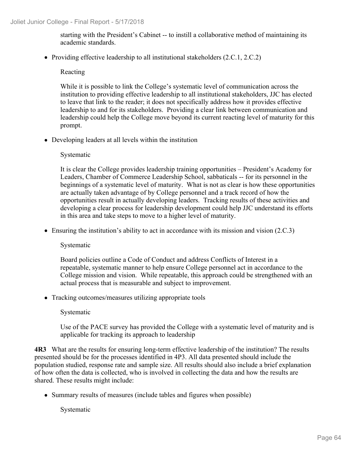starting with the President's Cabinet -- to instill a collaborative method of maintaining its academic standards.

• Providing effective leadership to all institutional stakeholders (2.C.1, 2.C.2)

## Reacting

While it is possible to link the College's systematic level of communication across the institution to providing effective leadership to all institutional stakeholders, JJC has elected to leave that link to the reader; it does not specifically address how it provides effective leadership to and for its stakeholders. Providing a clear link between communication and leadership could help the College move beyond its current reacting level of maturity for this prompt.

Developing leaders at all levels within the institution

## Systematic

It is clear the College provides leadership training opportunities – President's Academy for Leaders, Chamber of Commerce Leadership School, sabbaticals -- for its personnel in the beginnings of a systematic level of maturity. What is not as clear is how these opportunities are actually taken advantage of by College personnel and a track record of how the opportunities result in actually developing leaders. Tracking results of these activities and developing a clear process for leadership development could help JJC understand its efforts in this area and take steps to move to a higher level of maturity.

• Ensuring the institution's ability to act in accordance with its mission and vision (2.C.3)

Systematic

Board policies outline a Code of Conduct and address Conflicts of Interest in a repeatable, systematic manner to help ensure College personnel act in accordance to the College mission and vision. While repeatable, this approach could be strengthened with an actual process that is measurable and subject to improvement.

• Tracking outcomes/measures utilizing appropriate tools

## Systematic

Use of the PACE survey has provided the College with a systematic level of maturity and is applicable for tracking its approach to leadership

**4R3** What are the results for ensuring long-term effective leadership of the institution? The results presented should be for the processes identified in 4P3. All data presented should include the population studied, response rate and sample size. All results should also include a brief explanation of how often the data is collected, who is involved in collecting the data and how the results are shared. These results might include:

Summary results of measures (include tables and figures when possible)

Systematic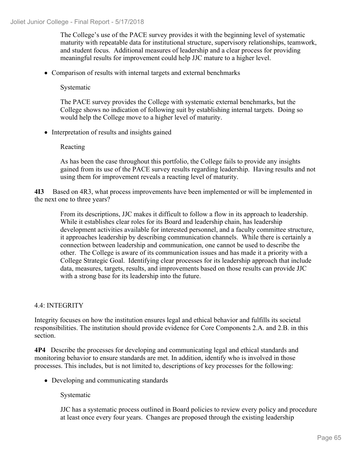The College's use of the PACE survey provides it with the beginning level of systematic maturity with repeatable data for institutional structure, supervisory relationships, teamwork, and student focus. Additional measures of leadership and a clear process for providing meaningful results for improvement could help JJC mature to a higher level.

Comparison of results with internal targets and external benchmarks

Systematic

The PACE survey provides the College with systematic external benchmarks, but the College shows no indication of following suit by establishing internal targets. Doing so would help the College move to a higher level of maturity.

• Interpretation of results and insights gained

## Reacting

As has been the case throughout this portfolio, the College fails to provide any insights gained from its use of the PACE survey results regarding leadership. Having results and not using them for improvement reveals a reacting level of maturity.

**4I3** Based on 4R3, what process improvements have been implemented or will be implemented in the next one to three years?

From its descriptions, JJC makes it difficult to follow a flow in its approach to leadership. While it establishes clear roles for its Board and leadership chain, has leadership development activities available for interested personnel, and a faculty committee structure, it approaches leadership by describing communication channels. While there is certainly a connection between leadership and communication, one cannot be used to describe the other. The College is aware of its communication issues and has made it a priority with a College Strategic Goal. Identifying clear processes for its leadership approach that include data, measures, targets, results, and improvements based on those results can provide JJC with a strong base for its leadership into the future.

## 4.4: INTEGRITY

Integrity focuses on how the institution ensures legal and ethical behavior and fulfills its societal responsibilities. The institution should provide evidence for Core Components 2.A. and 2.B. in this section.

**4P4** Describe the processes for developing and communicating legal and ethical standards and monitoring behavior to ensure standards are met. In addition, identify who is involved in those processes. This includes, but is not limited to, descriptions of key processes for the following:

• Developing and communicating standards

Systematic

JJC has a systematic process outlined in Board policies to review every policy and procedure at least once every four years. Changes are proposed through the existing leadership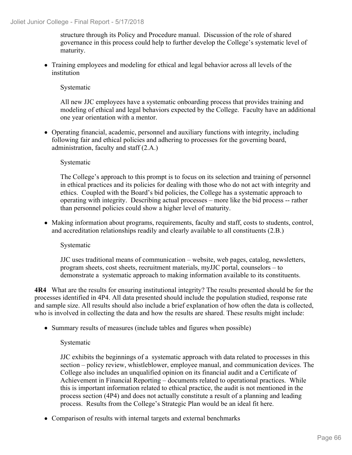structure through its Policy and Procedure manual. Discussion of the role of shared governance in this process could help to further develop the College's systematic level of maturity.

Training employees and modeling for ethical and legal behavior across all levels of the institution

Systematic

All new JJC employees have a systematic onboarding process that provides training and modeling of ethical and legal behaviors expected by the College. Faculty have an additional one year orientation with a mentor.

Operating financial, academic, personnel and auxiliary functions with integrity, including following fair and ethical policies and adhering to processes for the governing board, administration, faculty and staff (2.A.)

## Systematic

The College's approach to this prompt is to focus on its selection and training of personnel in ethical practices and its policies for dealing with those who do not act with integrity and ethics. Coupled with the Board's bid policies, the College has a systematic approach to operating with integrity. Describing actual processes – more like the bid process -- rather than personnel policies could show a higher level of maturity.

• Making information about programs, requirements, faculty and staff, costs to students, control, and accreditation relationships readily and clearly available to all constituents (2.B.)

Systematic

JJC uses traditional means of communication – website, web pages, catalog, newsletters, program sheets, cost sheets, recruitment materials, myJJC portal, counselors – to demonstrate a systematic approach to making information available to its constituents.

**4R4** What are the results for ensuring institutional integrity? The results presented should be for the processes identified in 4P4. All data presented should include the population studied, response rate and sample size. All results should also include a brief explanation of how often the data is collected, who is involved in collecting the data and how the results are shared. These results might include:

• Summary results of measures (include tables and figures when possible)

## Systematic

JJC exhibits the beginnings of a systematic approach with data related to processes in this section – policy review, whistleblower, employee manual, and communication devices. The College also includes an unqualified opinion on its financial audit and a Certificate of Achievement in Financial Reporting – documents related to operational practices. While this is important information related to ethical practice, the audit is not mentioned in the process section (4P4) and does not actually constitute a result of a planning and leading process. Results from the College's Strategic Plan would be an ideal fit here.

• Comparison of results with internal targets and external benchmarks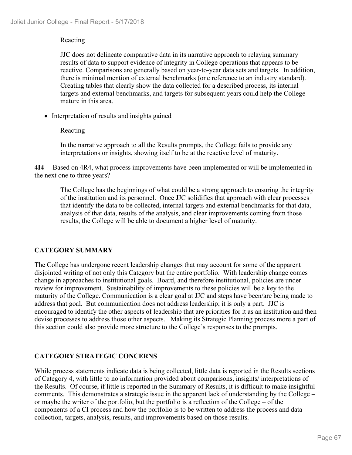## Reacting

JJC does not delineate comparative data in its narrative approach to relaying summary results of data to support evidence of integrity in College operations that appears to be reactive. Comparisons are generally based on year-to-year data sets and targets. In addition, there is minimal mention of external benchmarks (one reference to an industry standard). Creating tables that clearly show the data collected for a described process, its internal targets and external benchmarks, and targets for subsequent years could help the College mature in this area.

• Interpretation of results and insights gained

## Reacting

In the narrative approach to all the Results prompts, the College fails to provide any interpretations or insights, showing itself to be at the reactive level of maturity.

**4I4** Based on 4R4, what process improvements have been implemented or will be implemented in the next one to three years?

The College has the beginnings of what could be a strong approach to ensuring the integrity of the institution and its personnel. Once JJC solidifies that approach with clear processes that identify the data to be collected, internal targets and external benchmarks for that data, analysis of that data, results of the analysis, and clear improvements coming from those results, the College will be able to document a higher level of maturity.

## **CATEGORY SUMMARY**

The College has undergone recent leadership changes that may account for some of the apparent disjointed writing of not only this Category but the entire portfolio. With leadership change comes change in approaches to institutional goals. Board, and therefore institutional, policies are under review for improvement. Sustainability of improvements to these policies will be a key to the maturity of the College. Communication is a clear goal at JJC and steps have been/are being made to address that goal. But communication does not address leadership; it is only a part. JJC is encouraged to identify the other aspects of leadership that are priorities for it as an institution and then devise processes to address those other aspects. Making its Strategic Planning process more a part of this section could also provide more structure to the College's responses to the prompts.

## **CATEGORY STRATEGIC CONCERNS**

While process statements indicate data is being collected, little data is reported in the Results sections of Category 4, with little to no information provided about comparisons, insights/ interpretations of the Results. Of course, if little is reported in the Summary of Results, it is difficult to make insightful comments. This demonstrates a strategic issue in the apparent lack of understanding by the College – or maybe the writer of the portfolio, but the portfolio is a reflection of the College – of the components of a CI process and how the portfolio is to be written to address the process and data collection, targets, analysis, results, and improvements based on those results.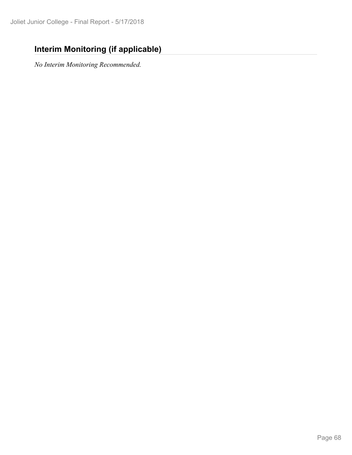# **Interim Monitoring (if applicable)**

*No Interim Monitoring Recommended.*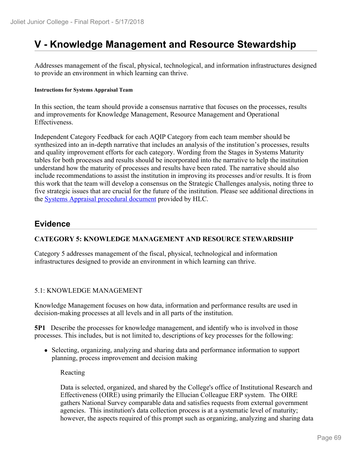# **V - Knowledge Management and Resource Stewardship**

Addresses management of the fiscal, physical, technological, and information infrastructures designed to provide an environment in which learning can thrive.

#### **Instructions for Systems Appraisal Team**

In this section, the team should provide a consensus narrative that focuses on the processes, results and improvements for Knowledge Management, Resource Management and Operational Effectiveness.

Independent Category Feedback for each AQIP Category from each team member should be synthesized into an in-depth narrative that includes an analysis of the institution's processes, results and quality improvement efforts for each category. Wording from the Stages in Systems Maturity tables for both processes and results should be incorporated into the narrative to help the institution understand how the maturity of processes and results have been rated. The narrative should also include recommendations to assist the institution in improving its processes and/or results. It is from this work that the team will develop a consensus on the Strategic Challenges analysis, noting three to five strategic issues that are crucial for the future of the institution. Please see additional directions in the **Systems Appraisal procedural document** provided by HLC.

## **Evidence**

## **CATEGORY 5: KNOWLEDGE MANAGEMENT AND RESOURCE STEWARDSHIP**

Category 5 addresses management of the fiscal, physical, technological and information infrastructures designed to provide an environment in which learning can thrive.

## 5.1: KNOWLEDGE MANAGEMENT

Knowledge Management focuses on how data, information and performance results are used in decision-making processes at all levels and in all parts of the institution.

**5P1** Describe the processes for knowledge management, and identify who is involved in those processes. This includes, but is not limited to, descriptions of key processes for the following:

• Selecting, organizing, analyzing and sharing data and performance information to support planning, process improvement and decision making

Reacting

Data is selected, organized, and shared by the College's office of Institutional Research and Effectiveness (OIRE) using primarily the Ellucian Colleague ERP system. The OIRE gathers National Survey comparable data and satisfies requests from external government agencies. This institution's data collection process is at a systematic level of maturity; however, the aspects required of this prompt such as organizing, analyzing and sharing data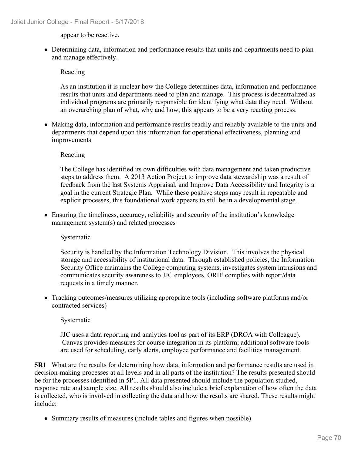appear to be reactive.

Determining data, information and performance results that units and departments need to plan and manage effectively.

## Reacting

As an institution it is unclear how the College determines data, information and performance results that units and departments need to plan and manage. This process is decentralized as individual programs are primarily responsible for identifying what data they need. Without an overarching plan of what, why and how, this appears to be a very reacting process.

• Making data, information and performance results readily and reliably available to the units and departments that depend upon this information for operational effectiveness, planning and improvements

## Reacting

The College has identified its own difficulties with data management and taken productive steps to address them. A 2013 Action Project to improve data stewardship was a result of feedback from the last Systems Appraisal, and Improve Data Accessibility and Integrity is a goal in the current Strategic Plan. While these positive steps may result in repeatable and explicit processes, this foundational work appears to still be in a developmental stage.

Ensuring the timeliness, accuracy, reliability and security of the institution's knowledge management system(s) and related processes

## Systematic

Security is handled by the Information Technology Division. This involves the physical storage and accessibility of institutional data. Through established policies, the Information Security Office maintains the College computing systems, investigates system intrusions and communicates security awareness to JJC employees. ORIE complies with report/data requests in a timely manner.

Tracking outcomes/measures utilizing appropriate tools (including software platforms and/or contracted services)

## Systematic

JJC uses a data reporting and analytics tool as part of its ERP (DROA with Colleague). Canvas provides measures for course integration in its platform; additional software tools are used for scheduling, early alerts, employee performance and facilities management.

**5R1** What are the results for determining how data, information and performance results are used in decision-making processes at all levels and in all parts of the institution? The results presented should be for the processes identified in 5P1. All data presented should include the population studied, response rate and sample size. All results should also include a brief explanation of how often the data is collected, who is involved in collecting the data and how the results are shared. These results might include:

• Summary results of measures (include tables and figures when possible)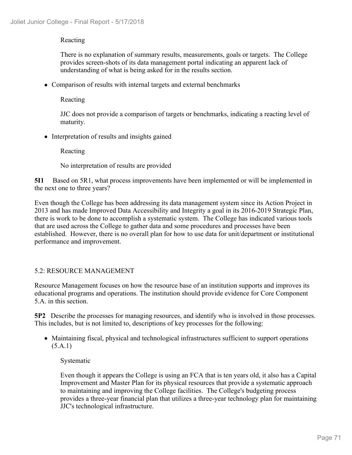## Reacting

There is no explanation of summary results, measurements, goals or targets. The College provides screen-shots of its data management portal indicating an apparent lack of understanding of what is being asked for in the results section.

Comparison of results with internal targets and external benchmarks

Reacting

JJC does not provide a comparison of targets or benchmarks, indicating a reacting level of maturity.

• Interpretation of results and insights gained

Reacting

No interpretation of results are provided

**5I1** Based on 5R1, what process improvements have been implemented or will be implemented in the next one to three years?

Even though the College has been addressing its data management system since its Action Project in 2013 and has made Improved Data Accessibility and Integrity a goal in its 2016-2019 Strategic Plan, there is work to be done to accomplish a systematic system. The College has indicated various tools that are used across the College to gather data and some procedures and processes have been established. However, there is no overall plan for how to use data for unit/department or institutional performance and improvement.

## 5.2: RESOURCE MANAGEMENT

Resource Management focuses on how the resource base of an institution supports and improves its educational programs and operations. The institution should provide evidence for Core Component 5.A. in this section.

**5P2** Describe the processes for managing resources, and identify who is involved in those processes. This includes, but is not limited to, descriptions of key processes for the following:

Maintaining fiscal, physical and technological infrastructures sufficient to support operations (5.A.1)

## Systematic

Even though it appears the College is using an FCA that is ten years old, it also has a Capital Improvement and Master Plan for its physical resources that provide a systematic approach to maintaining and improving the College facilities. The College's budgeting process provides a three-year financial plan that utilizes a three-year technology plan for maintaining JJC's technological infrastructure.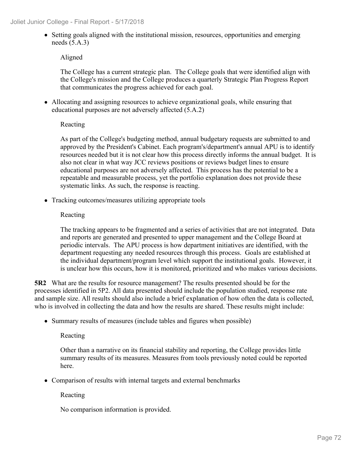• Setting goals aligned with the institutional mission, resources, opportunities and emerging needs (5.A.3)

## Aligned

The College has a current strategic plan. The College goals that were identified align with the College's mission and the College produces a quarterly Strategic Plan Progress Report that communicates the progress achieved for each goal.

Allocating and assigning resources to achieve organizational goals, while ensuring that educational purposes are not adversely affected (5.A.2)

## Reacting

As part of the College's budgeting method, annual budgetary requests are submitted to and approved by the President's Cabinet. Each program's/department's annual APU is to identify resources needed but it is not clear how this process directly informs the annual budget. It is also not clear in what way JCC reviews positions or reviews budget lines to ensure educational purposes are not adversely affected. This process has the potential to be a repeatable and measurable process, yet the portfolio explanation does not provide these systematic links. As such, the response is reacting.

• Tracking outcomes/measures utilizing appropriate tools

## Reacting

The tracking appears to be fragmented and a series of activities that are not integrated. Data and reports are generated and presented to upper management and the College Board at periodic intervals. The APU process is how department initiatives are identified, with the department requesting any needed resources through this process. Goals are established at the individual department/program level which support the institutional goals. However, it is unclear how this occurs, how it is monitored, prioritized and who makes various decisions.

**5R2** What are the results for resource management? The results presented should be for the processes identified in 5P2. All data presented should include the population studied, response rate and sample size. All results should also include a brief explanation of how often the data is collected, who is involved in collecting the data and how the results are shared. These results might include:

• Summary results of measures (include tables and figures when possible)

## Reacting

Other than a narrative on its financial stability and reporting, the College provides little summary results of its measures. Measures from tools previously noted could be reported here.

• Comparison of results with internal targets and external benchmarks

Reacting

No comparison information is provided.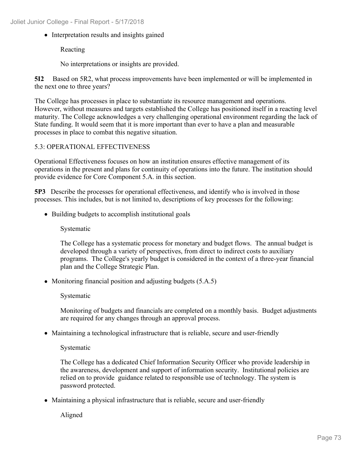• Interpretation results and insights gained

Reacting

No interpretations or insights are provided.

**5I2** Based on 5R2, what process improvements have been implemented or will be implemented in the next one to three years?

The College has processes in place to substantiate its resource management and operations. However, without measures and targets established the College has positioned itself in a reacting level maturity. The College acknowledges a very challenging operational environment regarding the lack of State funding. It would seem that it is more important than ever to have a plan and measurable processes in place to combat this negative situation.

#### 5.3: OPERATIONAL EFFECTIVENESS

Operational Effectiveness focuses on how an institution ensures effective management of its operations in the present and plans for continuity of operations into the future. The institution should provide evidence for Core Component 5.A. in this section.

**5P3** Describe the processes for operational effectiveness, and identify who is involved in those processes. This includes, but is not limited to, descriptions of key processes for the following:

• Building budgets to accomplish institutional goals

#### Systematic

The College has a systematic process for monetary and budget flows. The annual budget is developed through a variety of perspectives, from direct to indirect costs to auxiliary programs. The College's yearly budget is considered in the context of a three-year financial plan and the College Strategic Plan.

• Monitoring financial position and adjusting budgets (5.A.5)

Systematic

Monitoring of budgets and financials are completed on a monthly basis. Budget adjustments are required for any changes through an approval process.

Maintaining a technological infrastructure that is reliable, secure and user-friendly

Systematic

The College has a dedicated Chief Information Security Officer who provide leadership in the awareness, development and support of information security. Institutional policies are relied on to provide guidance related to responsible use of technology. The system is password protected.

• Maintaining a physical infrastructure that is reliable, secure and user-friendly

Aligned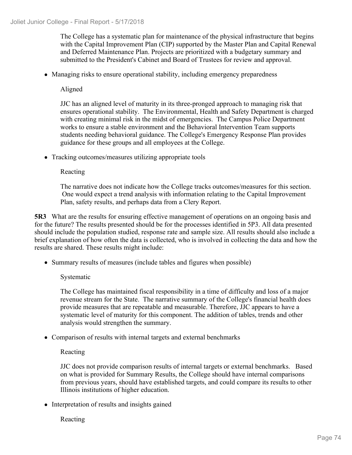The College has a systematic plan for maintenance of the physical infrastructure that begins with the Capital Improvement Plan (CIP) supported by the Master Plan and Capital Renewal and Deferred Maintenance Plan. Projects are prioritized with a budgetary summary and submitted to the President's Cabinet and Board of Trustees for review and approval.

• Managing risks to ensure operational stability, including emergency preparedness

Aligned

JJC has an aligned level of maturity in its three-pronged approach to managing risk that ensures operational stability. The Environmental, Health and Safety Department is charged with creating minimal risk in the midst of emergencies. The Campus Police Department works to ensure a stable environment and the Behavioral Intervention Team supports students needing behavioral guidance. The College's Emergency Response Plan provides guidance for these groups and all employees at the College.

• Tracking outcomes/measures utilizing appropriate tools

Reacting

The narrative does not indicate how the College tracks outcomes/measures for this section. One would expect a trend analysis with information relating to the Capital Improvement Plan, safety results, and perhaps data from a Clery Report.

**5R3** What are the results for ensuring effective management of operations on an ongoing basis and for the future? The results presented should be for the processes identified in 5P3. All data presented should include the population studied, response rate and sample size. All results should also include a brief explanation of how often the data is collected, who is involved in collecting the data and how the results are shared. These results might include:

• Summary results of measures (include tables and figures when possible)

Systematic

The College has maintained fiscal responsibility in a time of difficulty and loss of a major revenue stream for the State. The narrative summary of the College's financial health does provide measures that are repeatable and measurable. Therefore, JJC appears to have a systematic level of maturity for this component. The addition of tables, trends and other analysis would strengthen the summary.

• Comparison of results with internal targets and external benchmarks

Reacting

JJC does not provide comparison results of internal targets or external benchmarks. Based on what is provided for Summary Results, the College should have internal comparisons from previous years, should have established targets, and could compare its results to other Illinois institutions of higher education.

• Interpretation of results and insights gained

Reacting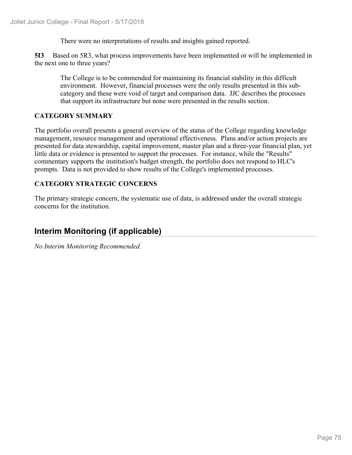There were no interpretations of results and insights gained reported.

**5I3** Based on 5R3, what process improvements have been implemented or will be implemented in the next one to three years?

The College is to be commended for maintaining its financial stability in this difficult environment. However, financial processes were the only results presented in this subcategory and these were void of target and comparison data. JJC describes the processes that support its infrastructure but none were presented in the results section.

#### **CATEGORY SUMMARY**

The portfolio overall presents a general overview of the status of the College regarding knowledge management, resource management and operational effectiveness. Plans and/or action projects are presented for data stewardship, capital improvement, master plan and a three-year financial plan, yet little data or evidence is presented to support the processes. For instance, while the "Results" commentary supports the institution's budget strength, the portfolio does not respond to HLC's prompts. Data is not provided to show results of the College's implemented processes.

#### **CATEGORY STRATEGIC CONCERNS**

The primary strategic concern, the systematic use of data, is addressed under the overall strategic concerns for the institution.

## **Interim Monitoring (if applicable)**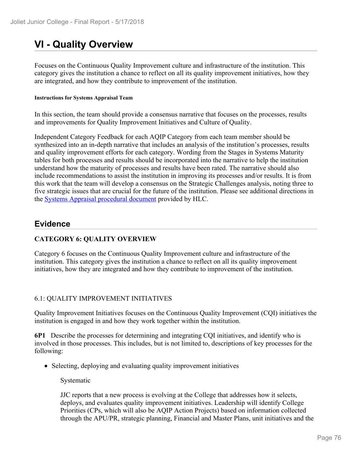# **VI - Quality Overview**

Focuses on the Continuous Quality Improvement culture and infrastructure of the institution. This category gives the institution a chance to reflect on all its quality improvement initiatives, how they are integrated, and how they contribute to improvement of the institution.

#### **Instructions for Systems Appraisal Team**

In this section, the team should provide a consensus narrative that focuses on the processes, results and improvements for Quality Improvement Initiatives and Culture of Quality.

Independent Category Feedback for each AQIP Category from each team member should be synthesized into an in-depth narrative that includes an analysis of the institution's processes, results and quality improvement efforts for each category. Wording from the Stages in Systems Maturity tables for both processes and results should be incorporated into the narrative to help the institution understand how the maturity of processes and results have been rated. The narrative should also include recommendations to assist the institution in improving its processes and/or results. It is from this work that the team will develop a consensus on the Strategic Challenges analysis, noting three to five strategic issues that are crucial for the future of the institution. Please see additional directions in the **Systems Appraisal procedural document** provided by HLC.

#### **Evidence**

#### **CATEGORY 6: QUALITY OVERVIEW**

Category 6 focuses on the Continuous Quality Improvement culture and infrastructure of the institution. This category gives the institution a chance to reflect on all its quality improvement initiatives, how they are integrated and how they contribute to improvement of the institution.

#### 6.1: QUALITY IMPROVEMENT INITIATIVES

Quality Improvement Initiatives focuses on the Continuous Quality Improvement (CQI) initiatives the institution is engaged in and how they work together within the institution.

**6P1** Describe the processes for determining and integrating CQI initiatives, and identify who is involved in those processes. This includes, but is not limited to, descriptions of key processes for the following:

• Selecting, deploying and evaluating quality improvement initiatives

Systematic

JJC reports that a new process is evolving at the College that addresses how it selects, deploys, and evaluates quality improvement initiatives. Leadership will identify College Priorities (CPs, which will also be AQIP Action Projects) based on information collected through the APU/PR, strategic planning, Financial and Master Plans, unit initiatives and the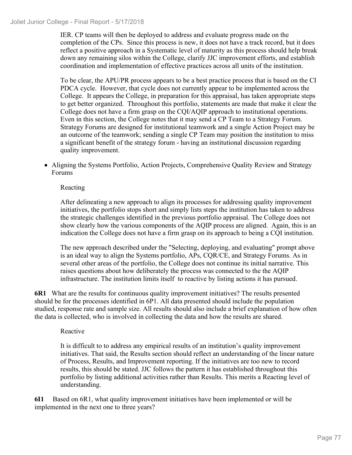#### Joliet Junior College - Final Report - 5/17/2018

IER. CP teams will then be deployed to address and evaluate progress made on the completion of the CPs. Since this process is new, it does not have a track record, but it does reflect a positive approach in a Systematic level of maturity as this process should help break down any remaining silos within the College, clarify JJC improvement efforts, and establish coordination and implementation of effective practices across all units of the institution.

To be clear, the APU/PR process appears to be a best practice process that is based on the CI PDCA cycle. However, that cycle does not currently appear to be implemented across the College. It appears the College, in preparation for this appraisal, has taken appropriate steps to get better organized. Throughout this portfolio, statements are made that make it clear the College does not have a firm grasp on the CQI/AQIP approach to institutional operations. Even in this section, the College notes that it may send a CP Team to a Strategy Forum. Strategy Forums are designed for institutional teamwork and a single Action Project may be an outcome of the teamwork; sending a single CP Team may position the institution to miss a significant benefit of the strategy forum - having an institutional discussion regarding quality improvement.

Aligning the Systems Portfolio, Action Projects, Comprehensive Quality Review and Strategy Forums

Reacting

After delineating a new approach to align its processes for addressing quality improvement initiatives, the portfolio stops short and simply lists steps the institution has taken to address the strategic challenges identified in the previous portfolio appraisal. The College does not show clearly how the various components of the AQIP process are aligned. Again, this is an indication the College does not have a firm grasp on its approach to being a CQI institution.

The new approach described under the "Selecting, deploying, and evaluating" prompt above is an ideal way to align the Systems portfolio, APs, CQR/CE, and Strategy Forums. As in several other areas of the portfolio, the College does not continue its initial narrative. This raises questions about how deliberately the process was connected to the the AQIP infrastructure. The institution limits itself to reactive by listing actions it has pursued.

**6R1** What are the results for continuous quality improvement initiatives? The results presented should be for the processes identified in 6P1. All data presented should include the population studied, response rate and sample size. All results should also include a brief explanation of how often the data is collected, who is involved in collecting the data and how the results are shared.

#### Reactive

It is difficult to to address any empirical results of an institution's quality improvement initiatives. That said, the Results section should reflect an understanding of the linear nature of Process, Results, and Improvement reporting. If the initiatives are too new to record results, this should be stated. JJC follows the pattern it has established throughout this portfolio by listing additional activities rather than Results. This merits a Reacting level of understanding.

**6I1** Based on 6R1, what quality improvement initiatives have been implemented or will be implemented in the next one to three years?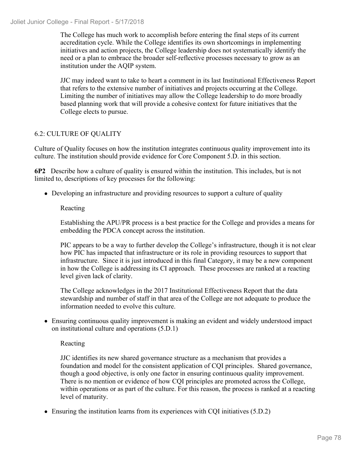The College has much work to accomplish before entering the final steps of its current accreditation cycle. While the College identifies its own shortcomings in implementing initiatives and action projects, the College leadership does not systematically identify the need or a plan to embrace the broader self-reflective processes necessary to grow as an institution under the AQIP system.

JJC may indeed want to take to heart a comment in its last Institutional Effectiveness Report that refers to the extensive number of initiatives and projects occurring at the College. Limiting the number of initiatives may allow the College leadership to do more broadly based planning work that will provide a cohesive context for future initiatives that the College elects to pursue.

#### 6.2: CULTURE OF QUALITY

Culture of Quality focuses on how the institution integrates continuous quality improvement into its culture. The institution should provide evidence for Core Component 5.D. in this section.

**6P2** Describe how a culture of quality is ensured within the institution. This includes, but is not limited to, descriptions of key processes for the following:

Developing an infrastructure and providing resources to support a culture of quality

#### Reacting

Establishing the APU/PR process is a best practice for the College and provides a means for embedding the PDCA concept across the institution.

PIC appears to be a way to further develop the College's infrastructure, though it is not clear how PIC has impacted that infrastructure or its role in providing resources to support that infrastructure. Since it is just introduced in this final Category, it may be a new component in how the College is addressing its CI approach.These processes are ranked at a reacting level given lack of clarity.

The College acknowledges in the 2017 Institutional Effectiveness Report that the data stewardship and number of staff in that area of the College are not adequate to produce the information needed to evolve this culture.

Ensuring continuous quality improvement is making an evident and widely understood impact on institutional culture and operations (5.D.1)

#### Reacting

JJC identifies its new shared governance structure as a mechanism that provides a foundation and model for the consistent application of CQI principles.Shared governance, though a good objective, is only one factor in ensuring continuous quality improvement. There is no mention or evidence of how CQI principles are promoted across the College, within operations or as part of the culture. For this reason, the process is ranked at a reacting level of maturity.

Ensuring the institution learns from its experiences with CQI initiatives (5.D.2)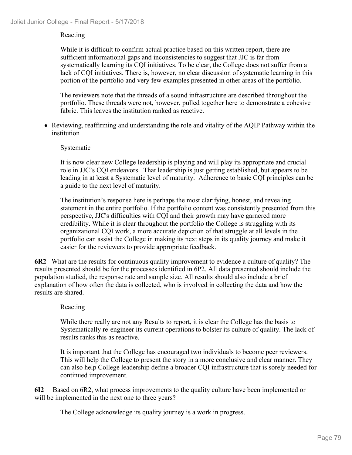#### Reacting

While it is difficult to confirm actual practice based on this written report, there are sufficient informational gaps and inconsistencies to suggest that JJC is far from systematically learning its CQI initiatives. To be clear, the College does not suffer from a lack of CQI initiatives. There is, however, no clear discussion of systematic learning in this portion of the portfolio and very few examples presented in other areas of the portfolio.

The reviewers note that the threads of a sound infrastructure are described throughout the portfolio. These threads were not, however, pulled together here to demonstrate a cohesive fabric. This leaves the institution ranked as reactive.

Reviewing, reaffirming and understanding the role and vitality of the AQIP Pathway within the institution

#### Systematic

It is now clear new College leadership is playing and will play its appropriate and crucial role in JJC's CQI endeavors. That leadership is just getting established, but appears to be leading in at least a Systematic level of maturity. Adherence to basic CQI principles can be a guide to the next level of maturity.

The institution's response here is perhaps the most clarifying, honest, and revealing statement in the entire portfolio. If the portfolio content was consistently presented from this perspective, JJC's difficulties with CQI and their growth may have garnered more credibility. While it is clear throughout the portfolio the College is struggling with its organizational CQI work, a more accurate depiction of that struggle at all levels in the portfolio can assist the College in making its next steps in its quality journey and make it easier for the reviewers to provide appropriate feedback.

**6R2** What are the results for continuous quality improvement to evidence a culture of quality? The results presented should be for the processes identified in 6P2. All data presented should include the population studied, the response rate and sample size. All results should also include a brief explanation of how often the data is collected, who is involved in collecting the data and how the results are shared.

#### Reacting

While there really are not any Results to report, it is clear the College has the basis to Systematically re-engineer its current operations to bolster its culture of quality. The lack of results ranks this as reactive.

It is important that the College has encouraged two individuals to become peer reviewers. This will help the College to present the story in a more conclusive and clear manner. They can also help College leadership define a broader CQI infrastructure that is sorely needed for continued improvement.

**6I2** Based on 6R2, what process improvements to the quality culture have been implemented or will be implemented in the next one to three years?

The College acknowledge its quality journey is a work in progress.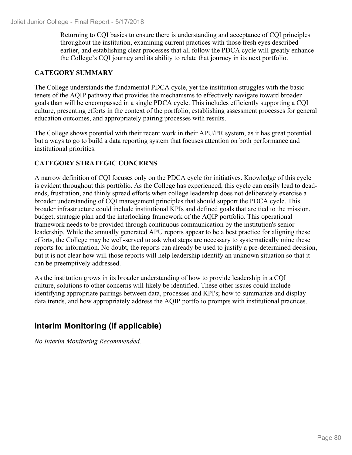Returning to CQI basics to ensure there is understanding and acceptance of CQI principles throughout the institution, examining current practices with those fresh eyes described earlier, and establishing clear processes that all follow the PDCA cycle will greatly enhance the College's CQI journey and its ability to relate that journey in its next portfolio.

#### **CATEGORY SUMMARY**

The College understands the fundamental PDCA cycle, yet the institution struggles with the basic tenets of the AQIP pathway that provides the mechanisms to effectively navigate toward broader goals than will be encompassed in a single PDCA cycle. This includes efficiently supporting a CQI culture, presenting efforts in the context of the portfolio, establishing assessment processes for general education outcomes, and appropriately pairing processes with results.

The College shows potential with their recent work in their APU/PR system, as it has great potential but a ways to go to build a data reporting system that focuses attention on both performance and institutional priorities.

#### **CATEGORY STRATEGIC CONCERNS**

A narrow definition of CQI focuses only on the PDCA cycle for initiatives. Knowledge of this cycle is evident throughout this portfolio. As the College has experienced, this cycle can easily lead to deadends, frustration, and thinly spread efforts when college leadership does not deliberately exercise a broader understanding of CQI management principles that should support the PDCA cycle. This broader infrastructure could include institutional KPIs and defined goals that are tied to the mission, budget, strategic plan and the interlocking framework of the AQIP portfolio. This operational framework needs to be provided through continuous communication by the institution's senior leadership. While the annually generated APU reports appear to be a best practice for aligning these efforts, the College may be well-served to ask what steps are necessary to systematically mine these reports for information. No doubt, the reports can already be used to justify a pre-determined decision, but it is not clear how will those reports will help leadership identify an unknown situation so that it can be preemptively addressed.

As the institution grows in its broader understanding of how to provide leadership in a CQI culture, solutions to other concerns will likely be identified. These other issues could include identifying appropriate pairings between data, processes and KPI's; how to summarize and display data trends, and how appropriately address the AQIP portfolio prompts with institutional practices.

## **Interim Monitoring (if applicable)**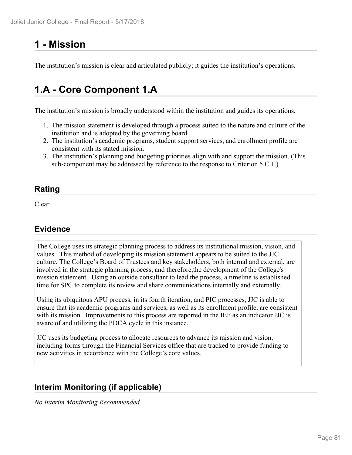# **1 - Mission**

The institution's mission is clear and articulated publicly; it guides the institution's operations.

## **1.A - Core Component 1.A**

The institution's mission is broadly understood within the institution and guides its operations.

- 1. The mission statement is developed through a process suited to the nature and culture of the institution and is adopted by the governing board.
- 2. The institution's academic programs, student support services, and enrollment profile are consistent with its stated mission.
- 3. The institution's planning and budgeting priorities align with and support the mission. (This sub-component may be addressed by reference to the response to Criterion 5.C.1.)

### **Rating**

Clear and the contract of the contract of the contract of the contract of the contract of the contract of the contract of the contract of the contract of the contract of the contract of the contract of the contract of the

### **Evidence**

The College uses its strategic planning process to address its institutional mission, vision, and values. This method of developing its mission statement appears to be suited to the JJC culture. The College's Board of Trustees and key stakeholders, both internal and external, are involved in the strategic planning process, and therefore,the development of the College's mission statement. Using an outside consultant to lead the process, a timeline is established time for SPC to complete its review and share communications internally and externally.

Using its ubiquitous APU process, in its fourth iteration, and PIC processes, JJC is able to ensure that its academic programs and services, as well as its enrollment profile, are consistent with its mission. Improvements to this process are reported in the IEF as an indicator JJC is aware of and utilizing the PDCA cycle in this instance.

JJC uses its budgeting process to allocate resources to advance its mission and vision, including forms through the Financial Services office that are tracked to provide funding to new activities in accordance with the College's core values.

## **Interim Monitoring (if applicable)**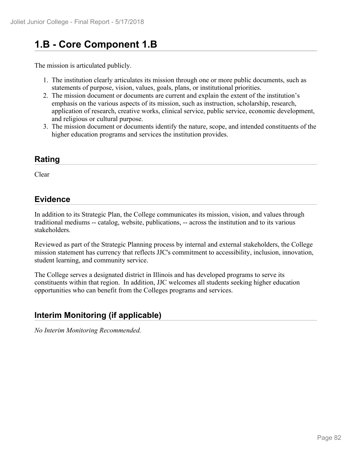# **1.B - Core Component 1.B**

The mission is articulated publicly.

- 1. The institution clearly articulates its mission through one or more public documents, such as statements of purpose, vision, values, goals, plans, or institutional priorities.
- 2. The mission document or documents are current and explain the extent of the institution's emphasis on the various aspects of its mission, such as instruction, scholarship, research, application of research, creative works, clinical service, public service, economic development, and religious or cultural purpose.
- 3. The mission document or documents identify the nature, scope, and intended constituents of the higher education programs and services the institution provides.

## **Rating**

Clear

## **Evidence**

In addition to its Strategic Plan, the College communicates its mission, vision, and values through traditional mediums -- catalog, website, publications, -- across the institution and to its various stakeholders.

Reviewed as part of the Strategic Planning process by internal and external stakeholders, the College mission statement has currency that reflects JJC's commitment to accessibility, inclusion, innovation, student learning, and community service.

The College serves a designated district in Illinois and has developed programs to serve its constituents within that region. In addition, JJC welcomes all students seeking higher education opportunities who can benefit from the Colleges programs and services.

## **Interim Monitoring (if applicable)**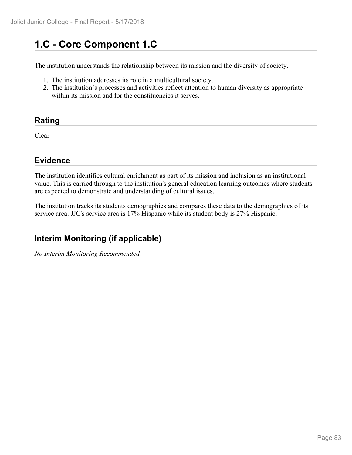# **1.C - Core Component 1.C**

The institution understands the relationship between its mission and the diversity of society.

- 1. The institution addresses its role in a multicultural society.
- 2. The institution's processes and activities reflect attention to human diversity as appropriate within its mission and for the constituencies it serves.

## **Rating**

Clear

## **Evidence**

The institution identifies cultural enrichment as part of its mission and inclusion as an institutional value. This is carried through to the institution's general education learning outcomes where students are expected to demonstrate and understanding of cultural issues.

The institution tracks its students demographics and compares these data to the demographics of its service area. JJC's service area is 17% Hispanic while its student body is 27% Hispanic.

## **Interim Monitoring (if applicable)**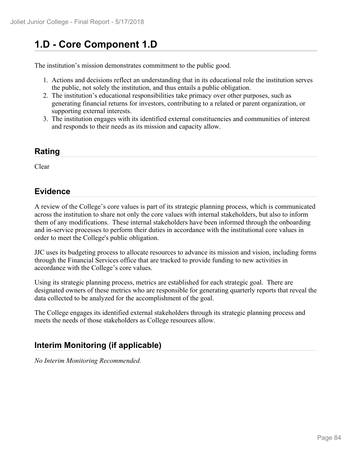# **1.D - Core Component 1.D**

The institution's mission demonstrates commitment to the public good.

- 1. Actions and decisions reflect an understanding that in its educational role the institution serves the public, not solely the institution, and thus entails a public obligation.
- 2. The institution's educational responsibilities take primacy over other purposes, such as generating financial returns for investors, contributing to a related or parent organization, or supporting external interests.
- 3. The institution engages with its identified external constituencies and communities of interest and responds to their needs as its mission and capacity allow.

### **Rating**

Clear

### **Evidence**

A review of the College's core values is part of its strategic planning process, which is communicated across the institution to share not only the core values with internal stakeholders, but also to inform them of any modifications. These internal stakeholders have been informed through the onboarding and in-service processes to perform their duties in accordance with the institutional core values in order to meet the College's public obligation.

JJC uses its budgeting process to allocate resources to advance its mission and vision, including forms through the Financial Services office that are tracked to provide funding to new activities in accordance with the College's core values.

Using its strategic planning process, metrics are established for each strategic goal. There are designated owners of these metrics who are responsible for generating quarterly reports that reveal the data collected to be analyzed for the accomplishment of the goal.

The College engages its identified external stakeholders through its strategic planning process and meets the needs of those stakeholders as College resources allow.

## **Interim Monitoring (if applicable)**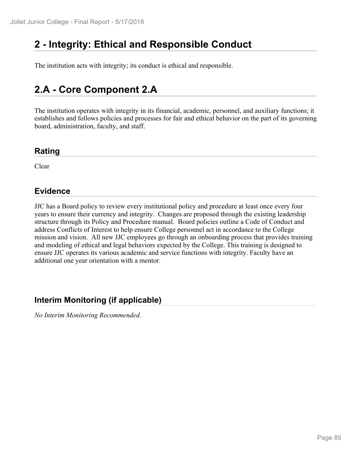# **2 - Integrity: Ethical and Responsible Conduct**

The institution acts with integrity; its conduct is ethical and responsible.

# **2.A - Core Component 2.A**

The institution operates with integrity in its financial, academic, personnel, and auxiliary functions; it establishes and follows policies and processes for fair and ethical behavior on the part of its governing board, administration, faculty, and staff.

### **Rating**

Clear

### **Evidence**

JJC has a Board policy to review every institutional policy and procedure at least once every four years to ensure their currency and integrity. Changes are proposed through the existing leadership structure through its Policy and Procedure manual. Board policies outline a Code of Conduct and address Conflicts of Interest to help ensure College personnel act in accordance to the College mission and vision. All new JJC employees go through an onboarding process that provides training and modeling of ethical and legal behaviors expected by the College. This training is designed to ensure JJC operates its various academic and service functions with integrity. Faculty have an additional one year orientation with a mentor.

### **Interim Monitoring (if applicable)**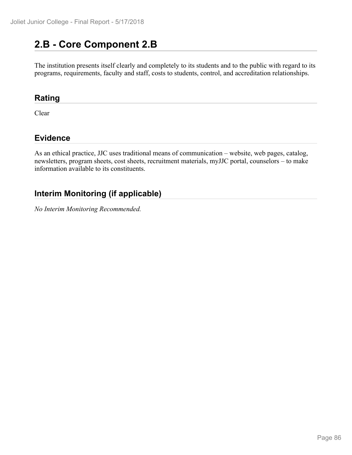## **2.B - Core Component 2.B**

The institution presents itself clearly and completely to its students and to the public with regard to its programs, requirements, faculty and staff, costs to students, control, and accreditation relationships.

#### **Rating**

Clear

## **Evidence**

As an ethical practice, JJC uses traditional means of communication – website, web pages, catalog, newsletters, program sheets, cost sheets, recruitment materials, myJJC portal, counselors – to make information available to its constituents.

## **Interim Monitoring (if applicable)**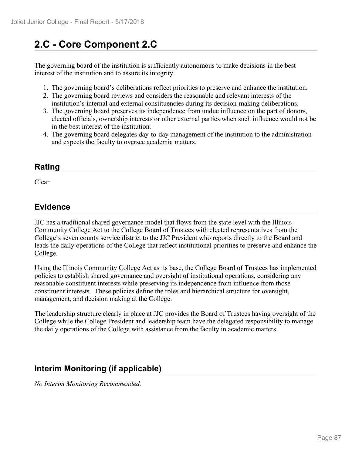# **2.C - Core Component 2.C**

The governing board of the institution is sufficiently autonomous to make decisions in the best interest of the institution and to assure its integrity.

- 1. The governing board's deliberations reflect priorities to preserve and enhance the institution.
- 2. The governing board reviews and considers the reasonable and relevant interests of the institution's internal and external constituencies during its decision-making deliberations.
- 3. The governing board preserves its independence from undue influence on the part of donors, elected officials, ownership interests or other external parties when such influence would not be in the best interest of the institution.
- 4. The governing board delegates day-to-day management of the institution to the administration and expects the faculty to oversee academic matters.

## **Rating**

Clear and the contract of the contract of the contract of the contract of the contract of the contract of the contract of the contract of the contract of the contract of the contract of the contract of the contract of the

## **Evidence**

JJC has a traditional shared governance model that flows from the state level with the Illinois Community College Act to the College Board of Trustees with elected representatives from the College's seven county service district to the JJC President who reports directly to the Board and leads the daily operations of the College that reflect institutional priorities to preserve and enhance the College.

Using the Illinois Community College Act as its base, the College Board of Trustees has implemented policies to establish shared governance and oversight of institutional operations, considering any reasonable constituent interests while preserving its independence from influence from those constituent interests. These policies define the roles and hierarchical structure for oversight, management, and decision making at the College.

The leadership structure clearly in place at JJC provides the Board of Trustees having oversight of the College while the College President and leadership team have the delegated responsibility to manage the daily operations of the College with assistance from the faculty in academic matters.

## **Interim Monitoring (if applicable)**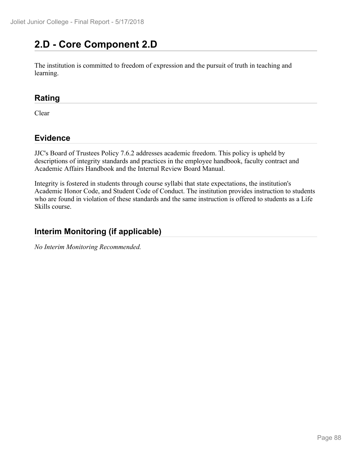# **2.D - Core Component 2.D**

The institution is committed to freedom of expression and the pursuit of truth in teaching and learning.

### **Rating**

Clear

## **Evidence**

JJC's Board of Trustees Policy 7.6.2 addresses academic freedom. This policy is upheld by descriptions of integrity standards and practices in the employee handbook, faculty contract and Academic Affairs Handbook and the Internal Review Board Manual.

Integrity is fostered in students through course syllabi that state expectations, the institution's Academic Honor Code, and Student Code of Conduct. The institution provides instruction to students who are found in violation of these standards and the same instruction is offered to students as a Life Skills course.

## **Interim Monitoring (if applicable)**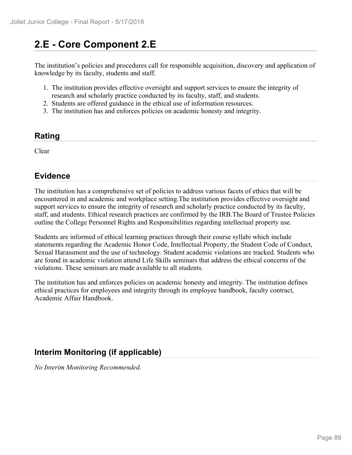# **2.E - Core Component 2.E**

The institution's policies and procedures call for responsible acquisition, discovery and application of knowledge by its faculty, students and staff.

- 1. The institution provides effective oversight and support services to ensure the integrity of research and scholarly practice conducted by its faculty, staff, and students.
- 2. Students are offered guidance in the ethical use of information resources.
- 3. The institution has and enforces policies on academic honesty and integrity.

#### **Rating**

Clear

## **Evidence**

The institution has a comprehensive set of policies to address various facets of ethics that will be encountered in and academic and workplace setting.The institution provides effective oversight and support services to ensure the integrity of research and scholarly practice conducted by its faculty, staff, and students. Ethical research practices are confirmed by the IRB.The Board of Trustee Policies outline the College Personnel Rights and Responsibilities regarding intellectual property use.

Students are informed of ethical learning practices through their course syllabi which include statements regarding the Academic Honor Code, Intellectual Property, the Student Code of Conduct, Sexual Harassment and the use of technology. Student academic violations are tracked. Students who are found in academic violation attend Life Skills seminars that address the ethical concerns of the violations. These seminars are made available to all students.

The institution has and enforces policies on academic honesty and integrity. The institution defines ethical practices for employees and integrity through its employee handbook, faculty contract, Academic Affair Handbook.

## **Interim Monitoring (if applicable)**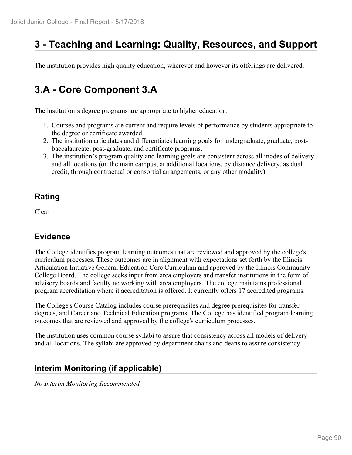# **3 - Teaching and Learning: Quality, Resources, and Support**

The institution provides high quality education, wherever and however its offerings are delivered.

## **3.A - Core Component 3.A**

The institution's degree programs are appropriate to higher education.

- 1. Courses and programs are current and require levels of performance by students appropriate to the degree or certificate awarded.
- 2. The institution articulates and differentiates learning goals for undergraduate, graduate, postbaccalaureate, post-graduate, and certificate programs.
- 3. The institution's program quality and learning goals are consistent across all modes of delivery and all locations (on the main campus, at additional locations, by distance delivery, as dual credit, through contractual or consortial arrangements, or any other modality).

#### **Rating**

Clear

### **Evidence**

The College identifies program learning outcomes that are reviewed and approved by the college's curriculum processes. These outcomes are in alignment with expectations set forth by the Illinois Articulation Initiative General Education Core Curriculum and approved by the Illinois Community College Board. The college seeks input from area employers and transfer institutions in the form of advisory boards and faculty networking with area employers. The college maintains professional program accreditation where it accreditation is offered. It currently offers 17 accredited programs.

The College's Course Catalog includes course prerequisites and degree prerequisites for transfer degrees, and Career and Technical Education programs. The College has identified program learning outcomes that are reviewed and approved by the college's curriculum processes.

The institution uses common course syllabi to assure that consistency across all models of delivery and all locations. The syllabi are approved by department chairs and deans to assure consistency.

### **Interim Monitoring (if applicable)**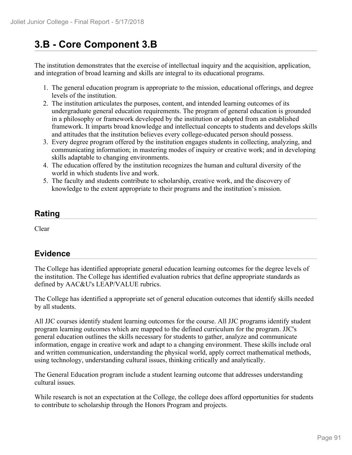# **3.B - Core Component 3.B**

The institution demonstrates that the exercise of intellectual inquiry and the acquisition, application, and integration of broad learning and skills are integral to its educational programs.

- 1. The general education program is appropriate to the mission, educational offerings, and degree levels of the institution.
- 2. The institution articulates the purposes, content, and intended learning outcomes of its undergraduate general education requirements. The program of general education is grounded in a philosophy or framework developed by the institution or adopted from an established framework. It imparts broad knowledge and intellectual concepts to students and develops skills and attitudes that the institution believes every college-educated person should possess.
- 3. Every degree program offered by the institution engages students in collecting, analyzing, and communicating information; in mastering modes of inquiry or creative work; and in developing skills adaptable to changing environments.
- 4. The education offered by the institution recognizes the human and cultural diversity of the world in which students live and work.
- 5. The faculty and students contribute to scholarship, creative work, and the discovery of knowledge to the extent appropriate to their programs and the institution's mission.

## **Rating**

Clear

## **Evidence**

The College has identified appropriate general education learning outcomes for the degree levels of the institution. The College has identified evaluation rubrics that define appropriate standards as defined by AAC&U's LEAP/VALUE rubrics.

The College has identified a appropriate set of general education outcomes that identify skills needed by all students.

All JJC courses identify student learning outcomes for the course. All JJC programs identify student program learning outcomes which are mapped to the defined curriculum for the program. JJC's general education outlines the skills necessary for students to gather, analyze and communicate information, engage in creative work and adapt to a changing environment. These skills include oral and written communication, understanding the physical world, apply correct mathematical methods, using technology, understanding cultural issues, thinking critically and analytically.

The General Education program include a student learning outcome that addresses understanding cultural issues.

While research is not an expectation at the College, the college does afford opportunities for students to contribute to scholarship through the Honors Program and projects.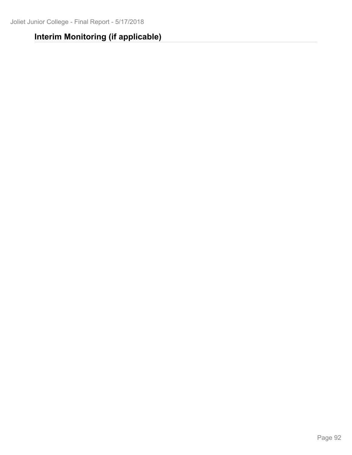# **Interim Monitoring (if applicable)**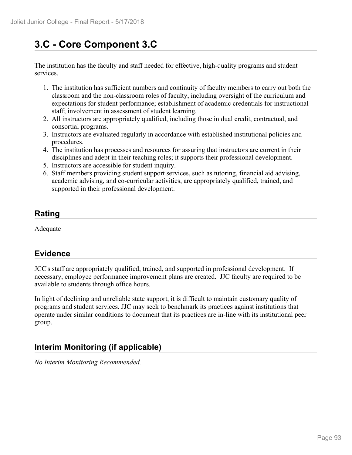# **3.C - Core Component 3.C**

The institution has the faculty and staff needed for effective, high-quality programs and student services.

- 1. The institution has sufficient numbers and continuity of faculty members to carry out both the classroom and the non-classroom roles of faculty, including oversight of the curriculum and expectations for student performance; establishment of academic credentials for instructional staff; involvement in assessment of student learning.
- 2. All instructors are appropriately qualified, including those in dual credit, contractual, and consortial programs.
- 3. Instructors are evaluated regularly in accordance with established institutional policies and procedures.
- 4. The institution has processes and resources for assuring that instructors are current in their disciplines and adept in their teaching roles; it supports their professional development.
- 5. Instructors are accessible for student inquiry.
- 6. Staff members providing student support services, such as tutoring, financial aid advising, academic advising, and co-curricular activities, are appropriately qualified, trained, and supported in their professional development.

## **Rating**

Adequate

## **Evidence**

JCC's staff are appropriately qualified, trained, and supported in professional development. If necessary, employee performance improvement plans are created. JJC faculty are required to be available to students through office hours.

In light of declining and unreliable state support, it is difficult to maintain customary quality of programs and student services. JJC may seek to benchmark its practices against institutions that operate under similar conditions to document that its practices are in-line with its institutional peer group.

## **Interim Monitoring (if applicable)**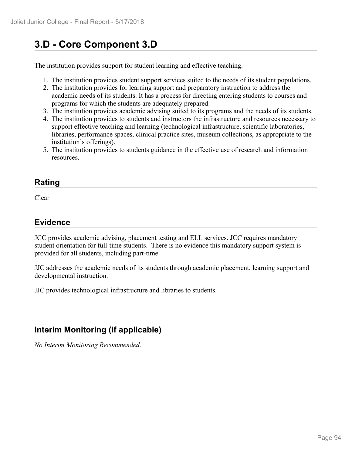# **3.D - Core Component 3.D**

The institution provides support for student learning and effective teaching.

- 1. The institution provides student support services suited to the needs of its student populations.
- 2. The institution provides for learning support and preparatory instruction to address the academic needs of its students. It has a process for directing entering students to courses and programs for which the students are adequately prepared.
- 3. The institution provides academic advising suited to its programs and the needs of its students.
- 4. The institution provides to students and instructors the infrastructure and resources necessary to support effective teaching and learning (technological infrastructure, scientific laboratories, libraries, performance spaces, clinical practice sites, museum collections, as appropriate to the institution's offerings).
- 5. The institution provides to students guidance in the effective use of research and information resources.

### **Rating**

Clear

## **Evidence**

JCC provides academic advising, placement testing and ELL services. JCC requires mandatory student orientation for full-time students. There is no evidence this mandatory support system is provided for all students, including part-time.

JJC addresses the academic needs of its students through academic placement, learning support and developmental instruction.

JJC provides technological infrastructure and libraries to students.

## **Interim Monitoring (if applicable)**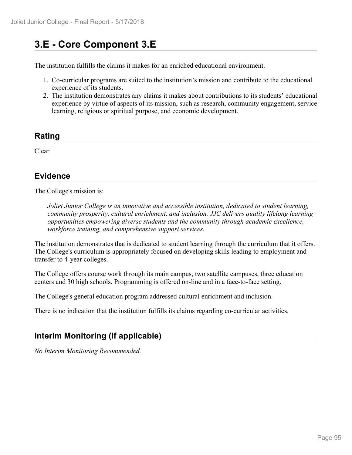# **3.E - Core Component 3.E**

The institution fulfills the claims it makes for an enriched educational environment.

- 1. Co-curricular programs are suited to the institution's mission and contribute to the educational experience of its students.
- 2. The institution demonstrates any claims it makes about contributions to its students' educational experience by virtue of aspects of its mission, such as research, community engagement, service learning, religious or spiritual purpose, and economic development.

#### **Rating**

Clear

## **Evidence**

The College's mission is:

*Joliet Junior College is an innovative and accessible institution, dedicated to student learning, community prosperity, cultural enrichment, and inclusion. JJC delivers quality lifelong learning opportunities empowering diverse students and the community through academic excellence, workforce training, and comprehensive support services.*

The institution demonstrates that is dedicated to student learning through the curriculum that it offers. The College's curriculum is appropriately focused on developing skills leading to employment and transfer to 4-year colleges.

The College offers course work through its main campus, two satellite campuses, three education centers and 30 high schools. Programming is offered on-line and in a face-to-face setting.

The College's general education program addressed cultural enrichment and inclusion.

There is no indication that the institution fulfills its claims regarding co-curricular activities.

## **Interim Monitoring (if applicable)**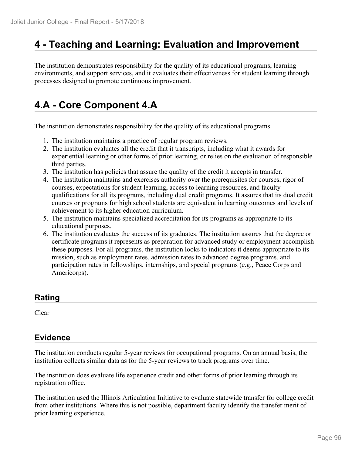## **4 - Teaching and Learning: Evaluation and Improvement**

The institution demonstrates responsibility for the quality of its educational programs, learning environments, and support services, and it evaluates their effectiveness for student learning through processes designed to promote continuous improvement.

# **4.A - Core Component 4.A**

The institution demonstrates responsibility for the quality of its educational programs.

- 1. The institution maintains a practice of regular program reviews.
- 2. The institution evaluates all the credit that it transcripts, including what it awards for experiential learning or other forms of prior learning, or relies on the evaluation of responsible third parties.
- 3. The institution has policies that assure the quality of the credit it accepts in transfer.
- 4. The institution maintains and exercises authority over the prerequisites for courses, rigor of courses, expectations for student learning, access to learning resources, and faculty qualifications for all its programs, including dual credit programs. It assures that its dual credit courses or programs for high school students are equivalent in learning outcomes and levels of achievement to its higher education curriculum.
- 5. The institution maintains specialized accreditation for its programs as appropriate to its educational purposes.
- 6. The institution evaluates the success of its graduates. The institution assures that the degree or certificate programs it represents as preparation for advanced study or employment accomplish these purposes. For all programs, the institution looks to indicators it deems appropriate to its mission, such as employment rates, admission rates to advanced degree programs, and participation rates in fellowships, internships, and special programs (e.g., Peace Corps and Americorps).

### **Rating**

Clear

## **Evidence**

The institution conducts regular 5-year reviews for occupational programs. On an annual basis, the institution collects similar data as for the 5-year reviews to track programs over time.

The institution does evaluate life experience credit and other forms of prior learning through its registration office.

The institution used the Illinois Articulation Initiative to evaluate statewide transfer for college credit from other institutions. Where this is not possible, department faculty identify the transfer merit of prior learning experience.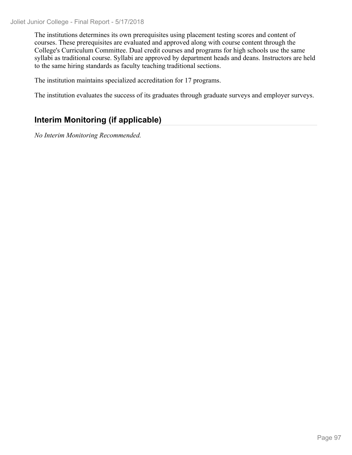Joliet Junior College - Final Report - 5/17/2018

The institutions determines its own prerequisites using placement testing scores and content of courses. These prerequisites are evaluated and approved along with course content through the College's Curriculum Committee. Dual credit courses and programs for high schools use the same syllabi as traditional course. Syllabi are approved by department heads and deans. Instructors are held to the same hiring standards as faculty teaching traditional sections.

The institution maintains specialized accreditation for 17 programs.

The institution evaluates the success of its graduates through graduate surveys and employer surveys.

## **Interim Monitoring (if applicable)**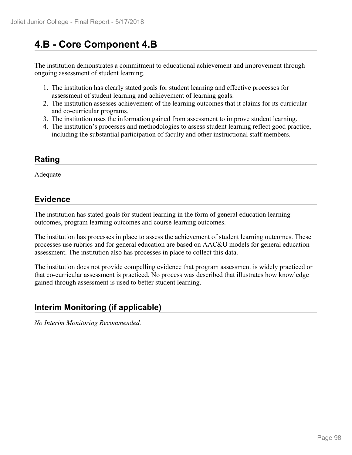# **4.B - Core Component 4.B**

The institution demonstrates a commitment to educational achievement and improvement through ongoing assessment of student learning.

- 1. The institution has clearly stated goals for student learning and effective processes for assessment of student learning and achievement of learning goals.
- 2. The institution assesses achievement of the learning outcomes that it claims for its curricular and co-curricular programs.
- 3. The institution uses the information gained from assessment to improve student learning.
- 4. The institution's processes and methodologies to assess student learning reflect good practice, including the substantial participation of faculty and other instructional staff members.

## **Rating**

Adequate

## **Evidence**

The institution has stated goals for student learning in the form of general education learning outcomes, program learning outcomes and course learning outcomes.

The institution has processes in place to assess the achievement of student learning outcomes. These processes use rubrics and for general education are based on AAC&U models for general education assessment. The institution also has processes in place to collect this data.

The institution does not provide compelling evidence that program assessment is widely practiced or that co-curricular assessment is practiced. No process was described that illustrates how knowledge gained through assessment is used to better student learning.

## **Interim Monitoring (if applicable)**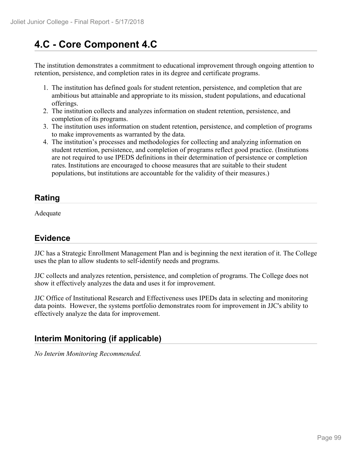# **4.C - Core Component 4.C**

The institution demonstrates a commitment to educational improvement through ongoing attention to retention, persistence, and completion rates in its degree and certificate programs.

- 1. The institution has defined goals for student retention, persistence, and completion that are ambitious but attainable and appropriate to its mission, student populations, and educational offerings.
- 2. The institution collects and analyzes information on student retention, persistence, and completion of its programs.
- 3. The institution uses information on student retention, persistence, and completion of programs to make improvements as warranted by the data.
- 4. The institution's processes and methodologies for collecting and analyzing information on student retention, persistence, and completion of programs reflect good practice. (Institutions are not required to use IPEDS definitions in their determination of persistence or completion rates. Institutions are encouraged to choose measures that are suitable to their student populations, but institutions are accountable for the validity of their measures.)

## **Rating**

Adequate

## **Evidence**

JJC has a Strategic Enrollment Management Plan and is beginning the next iteration of it. The College uses the plan to allow students to self-identify needs and programs.

JJC collects and analyzes retention, persistence, and completion of programs. The College does not show it effectively analyzes the data and uses it for improvement.

JJC Office of Institutional Research and Effectiveness uses IPEDs data in selecting and monitoring data points. However, the systems portfolio demonstrates room for improvement in JJC's ability to effectively analyze the data for improvement.

## **Interim Monitoring (if applicable)**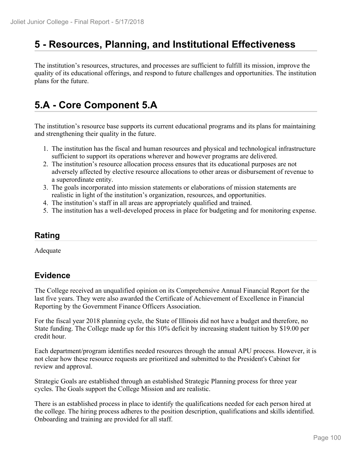## **5 - Resources, Planning, and Institutional Effectiveness**

The institution's resources, structures, and processes are sufficient to fulfill its mission, improve the quality of its educational offerings, and respond to future challenges and opportunities. The institution plans for the future.

# **5.A - Core Component 5.A**

The institution's resource base supports its current educational programs and its plans for maintaining and strengthening their quality in the future.

- 1. The institution has the fiscal and human resources and physical and technological infrastructure sufficient to support its operations wherever and however programs are delivered.
- 2. The institution's resource allocation process ensures that its educational purposes are not adversely affected by elective resource allocations to other areas or disbursement of revenue to a superordinate entity.
- 3. The goals incorporated into mission statements or elaborations of mission statements are realistic in light of the institution's organization, resources, and opportunities.
- 4. The institution's staff in all areas are appropriately qualified and trained.
- 5. The institution has a well-developed process in place for budgeting and for monitoring expense.

### **Rating**

Adequate

### **Evidence**

The College received an unqualified opinion on its Comprehensive Annual Financial Report for the last five years. They were also awarded the Certificate of Achievement of Excellence in Financial Reporting by the Government Finance Officers Association.

For the fiscal year 2018 planning cycle, the State of Illinois did not have a budget and therefore, no State funding. The College made up for this 10% deficit by increasing student tuition by \$19.00 per credit hour.

Each department/program identifies needed resources through the annual APU process. However, it is not clear how these resource requests are prioritized and submitted to the President's Cabinet for review and approval.

Strategic Goals are established through an established Strategic Planning process for three year cycles. The Goals support the College Mission and are realistic.

There is an established process in place to identify the qualifications needed for each person hired at the college. The hiring process adheres to the position description, qualifications and skills identified. Onboarding and training are provided for all staff.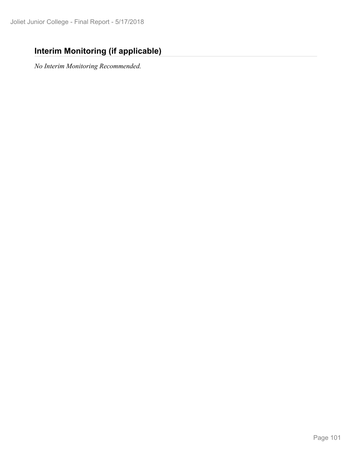## **Interim Monitoring (if applicable)**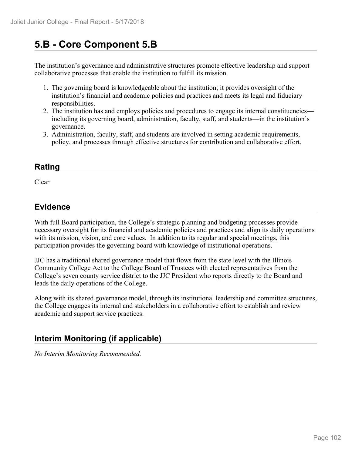# **5.B - Core Component 5.B**

The institution's governance and administrative structures promote effective leadership and support collaborative processes that enable the institution to fulfill its mission.

- 1. The governing board is knowledgeable about the institution; it provides oversight of the institution's financial and academic policies and practices and meets its legal and fiduciary responsibilities.
- 2. The institution has and employs policies and procedures to engage its internal constituencies including its governing board, administration, faculty, staff, and students—in the institution's governance.
- 3. Administration, faculty, staff, and students are involved in setting academic requirements, policy, and processes through effective structures for contribution and collaborative effort.

### **Rating**

Clear and the contract of the contract of the contract of the contract of the contract of the contract of the contract of the contract of the contract of the contract of the contract of the contract of the contract of the

### **Evidence**

With full Board participation, the College's strategic planning and budgeting processes provide necessary oversight for its financial and academic policies and practices and align its daily operations with its mission, vision, and core values. In addition to its regular and special meetings, this participation provides the governing board with knowledge of institutional operations.

JJC has a traditional shared governance model that flows from the state level with the Illinois Community College Act to the College Board of Trustees with elected representatives from the College's seven county service district to the JJC President who reports directly to the Board and leads the daily operations of the College.

Along with its shared governance model, through its institutional leadership and committee structures, the College engages its internal and stakeholders in a collaborative effort to establish and review academic and support service practices.

## **Interim Monitoring (if applicable)**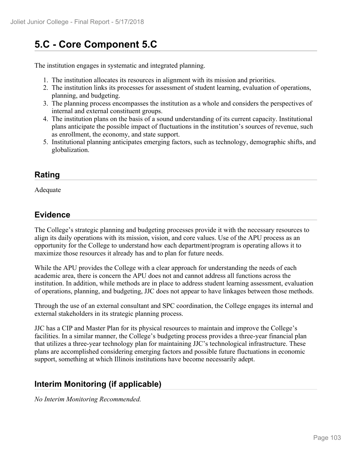# **5.C - Core Component 5.C**

The institution engages in systematic and integrated planning.

- 1. The institution allocates its resources in alignment with its mission and priorities.
- 2. The institution links its processes for assessment of student learning, evaluation of operations, planning, and budgeting.
- 3. The planning process encompasses the institution as a whole and considers the perspectives of internal and external constituent groups.
- 4. The institution plans on the basis of a sound understanding of its current capacity. Institutional plans anticipate the possible impact of fluctuations in the institution's sources of revenue, such as enrollment, the economy, and state support.
- 5. Institutional planning anticipates emerging factors, such as technology, demographic shifts, and globalization.

## **Rating**

Adequate

## **Evidence**

The College's strategic planning and budgeting processes provide it with the necessary resources to align its daily operations with its mission, vision, and core values. Use of the APU process as an opportunity for the College to understand how each department/program is operating allows it to maximize those resources it already has and to plan for future needs.

While the APU provides the College with a clear approach for understanding the needs of each academic area, there is concern the APU does not and cannot address all functions across the institution. In addition, while methods are in place to address student learning assessment, evaluation of operations, planning, and budgeting, JJC does not appear to have linkages between those methods.

Through the use of an external consultant and SPC coordination, the College engages its internal and external stakeholders in its strategic planning process.

JJC has a CIP and Master Plan for its physical resources to maintain and improve the College's facilities. In a similar manner, the College's budgeting process provides a three-year financial plan that utilizes a three-year technology plan for maintaining JJC's technological infrastructure. These plans are accomplished considering emerging factors and possible future fluctuations in economic support, something at which Illinois institutions have become necessarily adept.

## **Interim Monitoring (if applicable)**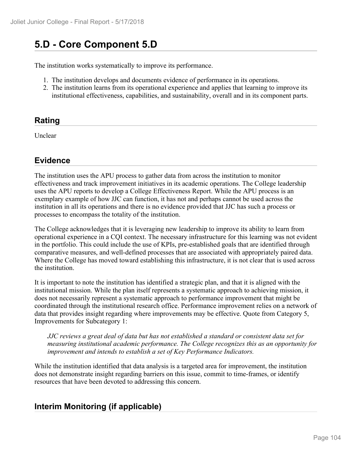# **5.D - Core Component 5.D**

The institution works systematically to improve its performance.

- 1. The institution develops and documents evidence of performance in its operations.
- 2. The institution learns from its operational experience and applies that learning to improve its institutional effectiveness, capabilities, and sustainability, overall and in its component parts.

## **Rating**

Unclear

### **Evidence**

The institution uses the APU process to gather data from across the institution to monitor effectiveness and track improvement initiatives in its academic operations. The College leadership uses the APU reports to develop a College Effectiveness Report. While the APU process is an exemplary example of how JJC can function, it has not and perhaps cannot be used across the institution in all its operations and there is no evidence provided that JJC has such a process or processes to encompass the totality of the institution.

The College acknowledges that it is leveraging new leadership to improve its ability to learn from operational experience in a CQI context. The necessary infrastructure for this learning was not evident in the portfolio. This could include the use of KPIs, pre-established goals that are identified through comparative measures, and well-defined processes that are associated with appropriately paired data. Where the College has moved toward establishing this infrastructure, it is not clear that is used across the institution.

It is important to note the institution has identified a strategic plan, and that it is aligned with the institutional mission. While the plan itself represents a systematic approach to achieving mission, it does not necessarily represent a systematic approach to performance improvement that might be coordinated through the institutional research office. Performance improvement relies on a network of data that provides insight regarding where improvements may be effective. Quote from Category 5, Improvements for Subcategory 1:

*JJC reviews a great deal of data but has not established a standard or consistent data set for measuring institutional academic performance. The College recognizes this as an opportunity for improvement and intends to establish a set of Key Performance Indicators.*

While the institution identified that data analysis is a targeted area for improvement, the institution does not demonstrate insight regarding barriers on this issue, commit to time-frames, or identify resources that have been devoted to addressing this concern.

## **Interim Monitoring (if applicable)**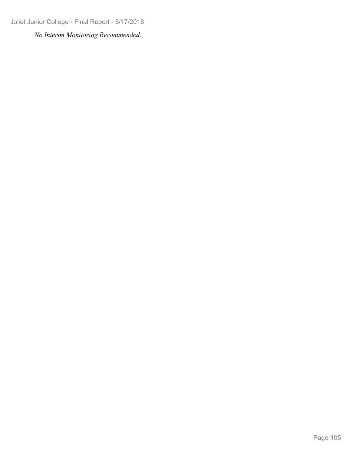Joliet Junior College - Final Report - 5/17/2018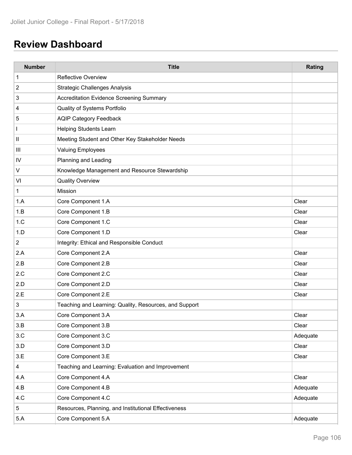# **Review Dashboard**

| <b>Number</b>  | <b>Title</b>                                           | Rating   |
|----------------|--------------------------------------------------------|----------|
| 1              | <b>Reflective Overview</b>                             |          |
| $\overline{c}$ | <b>Strategic Challenges Analysis</b>                   |          |
| 3              | <b>Accreditation Evidence Screening Summary</b>        |          |
| 4              | Quality of Systems Portfolio                           |          |
| 5              | <b>AQIP Category Feedback</b>                          |          |
|                | <b>Helping Students Learn</b>                          |          |
| $\mathsf{II}$  | Meeting Student and Other Key Stakeholder Needs        |          |
| Ш              | <b>Valuing Employees</b>                               |          |
| IV             | Planning and Leading                                   |          |
| $\sf V$        | Knowledge Management and Resource Stewardship          |          |
| VI             | <b>Quality Overview</b>                                |          |
| 1              | Mission                                                |          |
| 1.A            | Core Component 1.A                                     | Clear    |
| 1.B            | Core Component 1.B                                     | Clear    |
| 1.C            | Core Component 1.C                                     | Clear    |
| 1.D            | Core Component 1.D                                     | Clear    |
| $\overline{2}$ | Integrity: Ethical and Responsible Conduct             |          |
| 2.A            | Core Component 2.A                                     | Clear    |
| 2.B            | Core Component 2.B                                     | Clear    |
| 2.C            | Core Component 2.C                                     | Clear    |
| 2.D            | Core Component 2.D                                     | Clear    |
| 2.E            | Core Component 2.E                                     | Clear    |
| 3              | Teaching and Learning: Quality, Resources, and Support |          |
| 3.A            | Core Component 3.A                                     | Clear    |
| 3.B            | Core Component 3.B                                     | Clear    |
| 3.C            | Core Component 3.C                                     | Adequate |
| 3.D            | Core Component 3.D                                     | Clear    |
| 3.E            | Core Component 3.E                                     | Clear    |
| $\overline{4}$ | Teaching and Learning: Evaluation and Improvement      |          |
| 4.A            | Core Component 4.A                                     | Clear    |
| 4.B            | Core Component 4.B                                     | Adequate |
| 4.C            | Core Component 4.C                                     | Adequate |
| $5\,$          | Resources, Planning, and Institutional Effectiveness   |          |
| 5.A            | Core Component 5.A                                     | Adequate |
|                |                                                        |          |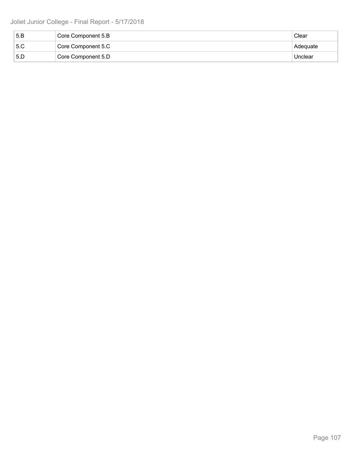| 5.B | Core Component 5.B | Clear    |  |
|-----|--------------------|----------|--|
| 5.C | Core Component 5.C | Adequate |  |
| 5.D | Core Component 5.D | Unclear  |  |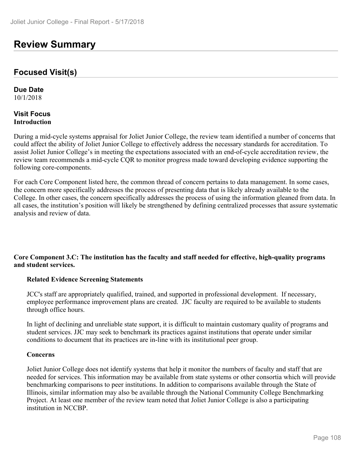## **Review Summary**

#### **Focused Visit(s)**

**Due Date** 10/1/2018

#### **Visit Focus Introduction**

During a mid-cycle systems appraisal for Joliet Junior College, the review team identified a number of concerns that could affect the ability of Joliet Junior College to effectively address the necessary standards for accreditation. To assist Joliet Junior College's in meeting the expectations associated with an end-of-cycle accreditation review, the review team recommends a mid-cycle CQR to monitor progress made toward developing evidence supporting the following core-components.

For each Core Component listed here, the common thread of concern pertains to data management. In some cases, the concern more specifically addresses the process of presenting data that is likely already available to the College. In other cases, the concern specifically addresses the process of using the information gleaned from data. In all cases, the institution's position will likely be strengthened by defining centralized processes that assure systematic analysis and review of data.

#### **Core Component 3.C: The institution has the faculty and staff needed for effective, high-quality programs and student services.**

#### **Related Evidence Screening Statements**

JCC's staff are appropriately qualified, trained, and supported in professional development. If necessary, employee performance improvement plans are created. JJC faculty are required to be available to students through office hours.

In light of declining and unreliable state support, it is difficult to maintain customary quality of programs and student services. JJC may seek to benchmark its practices against institutions that operate under similar conditions to document that its practices are in-line with its institutional peer group.

#### **Concerns**

Joliet Junior College does not identify systems that help it monitor the numbers of faculty and staff that are needed for services. This information may be available from state systems or other consortia which will provide benchmarking comparisons to peer institutions. In addition to comparisons available through the State of Illinois, similar information may also be available through the National Community College Benchmarking Project. At least one member of the review team noted that Joliet Junior College is also a participating institution in NCCBP.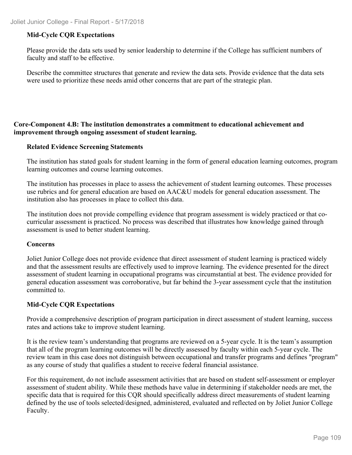## **Mid-Cycle CQR Expectations**

Please provide the data sets used by senior leadership to determine if the College has sufficient numbers of faculty and staff to be effective.

Describe the committee structures that generate and review the data sets. Provide evidence that the data sets were used to prioritize these needs amid other concerns that are part of the strategic plan.

### **Core-Component 4.B: The institution demonstrates a commitment to educational achievement and improvement through ongoing assessment of student learning.**

#### **Related Evidence Screening Statements**

The institution has stated goals for student learning in the form of general education learning outcomes, program learning outcomes and course learning outcomes.

The institution has processes in place to assess the achievement of student learning outcomes. These processes use rubrics and for general education are based on AAC&U models for general education assessment. The institution also has processes in place to collect this data.

The institution does not provide compelling evidence that program assessment is widely practiced or that cocurricular assessment is practiced. No process was described that illustrates how knowledge gained through assessment is used to better student learning.

#### **Concerns**

Joliet Junior College does not provide evidence that direct assessment of student learning is practiced widely and that the assessment results are effectively used to improve learning. The evidence presented for the direct assessment of student learning in occupational programs was circumstantial at best. The evidence provided for general education assessment was corroborative, but far behind the 3-year assessment cycle that the institution committed to.

#### **Mid-Cycle CQR Expectations**

Provide a comprehensive description of program participation in direct assessment of student learning, success rates and actions take to improve student learning.

It is the review team's understanding that programs are reviewed on a 5-year cycle. It is the team's assumption that all of the program learning outcomes will be directly assessed by faculty within each 5-year cycle. The review team in this case does not distinguish between occupational and transfer programs and defines "program" as any course of study that qualifies a student to receive federal financial assistance.

For this requirement, do not include assessment activities that are based on student self-assessment or employer assessment of student ability. While these methods have value in determining if stakeholder needs are met, the specific data that is required for this CQR should specifically address direct measurements of student learning defined by the use of tools selected/designed, administered, evaluated and reflected on by Joliet Junior College Faculty.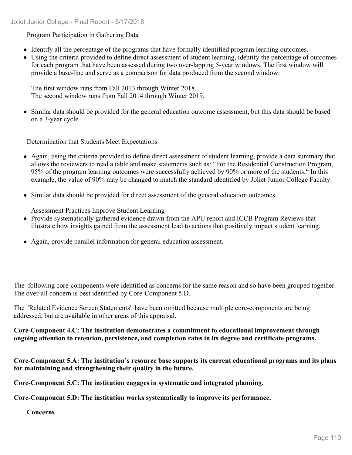## Program Participation in Gathering Data

- Identify all the percentage of the programs that have formally identified program learning outcomes.
- Using the criteria provided to define direct assessment of student learning, identify the percentage of outcomes for each program that have been assessed during two over-lapping 5-year windows. The first window will provide a base-line and serve as a comparison for data produced from the second window.

The first window runs from Fall 2013 through Winter 2018. The second window runs from Fall 2014 through Winter 2019.

Similar data should be provided for the general education outcome assessment, but this data should be based on a 3-year cycle.

Determination that Students Meet Expectations

- Again, using the criteria provided to define direct assessment of student learning, provide a data summary that allows the reviewers to read a table and make statements such as: "For the Residential Construction Program, 95% of the program learning outcomes were successfully achieved by 90% or more of the students." In this example, the value of 90% may be changed to match the standard identified by Joliet Junior College Faculty.
- Similar data should be provided for direct assessment of the general education outcomes.

Assessment Practices Improve Student Learning

- Provide systematically gathered evidence drawn from the APU report and ICCB Program Reviews that illustrate how insights gained from the assessment lead to actions that positively impact student learning.
- Again, provide parallel information for general education assessment.

The following core-components were identified as concerns for the same reason and so have been grouped together. The over-all concern is best identified by Core-Component 5.D.

The "Related Evidence Screen Statements" have been omitted because multiple core-components are being addressed, but are available in other areas of this appraisal.

**Core-Component 4.C: The institution demonstrates a commitment to educational improvement through ongoing attention to retention, persistence, and completion rates in its degree and certificate programs.**

**Core-Component 5.A: The institution's resource base supports its current educational programs and its plans for maintaining and strengthening their quality in the future.**

**Core-Component 5.C: The institution engages in systematic and integrated planning.**

**Core-Component 5.D: The institution works systematically to improve its performance.**

**Concerns**